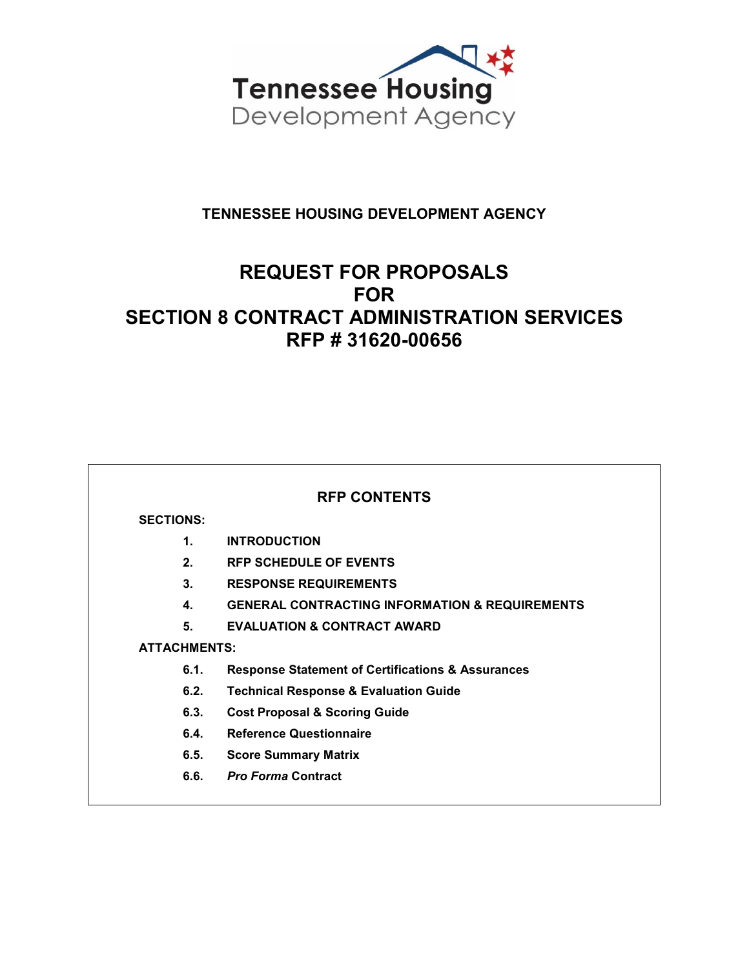

# **TENNESSEE HOUSING DEVELOPMENT AGENCY**

# **REQUEST FOR PROPOSALS FOR SECTION 8 CONTRACT ADMINISTRATION SERVICES RFP # 31620-00656**

# **RFP CONTENTS**

## **SECTIONS:**

- **1. INTRODUCTION**
- **2. RFP SCHEDULE OF EVENTS**
- **3. RESPONSE REQUIREMENTS**
- **4. GENERAL CONTRACTING INFORMATION & REQUIREMENTS**
- **5. EVALUATION & CONTRACT AWARD**

# **ATTACHMENTS:**

- **6.1. Response Statement of Certifications & Assurances**
- **6.2. Technical Response & Evaluation Guide**
- **6.3. Cost Proposal & Scoring Guide**
- **6.4. Reference Questionnaire**
- **6.5. Score Summary Matrix**
- **6.6.** *Pro Forma* **Contract**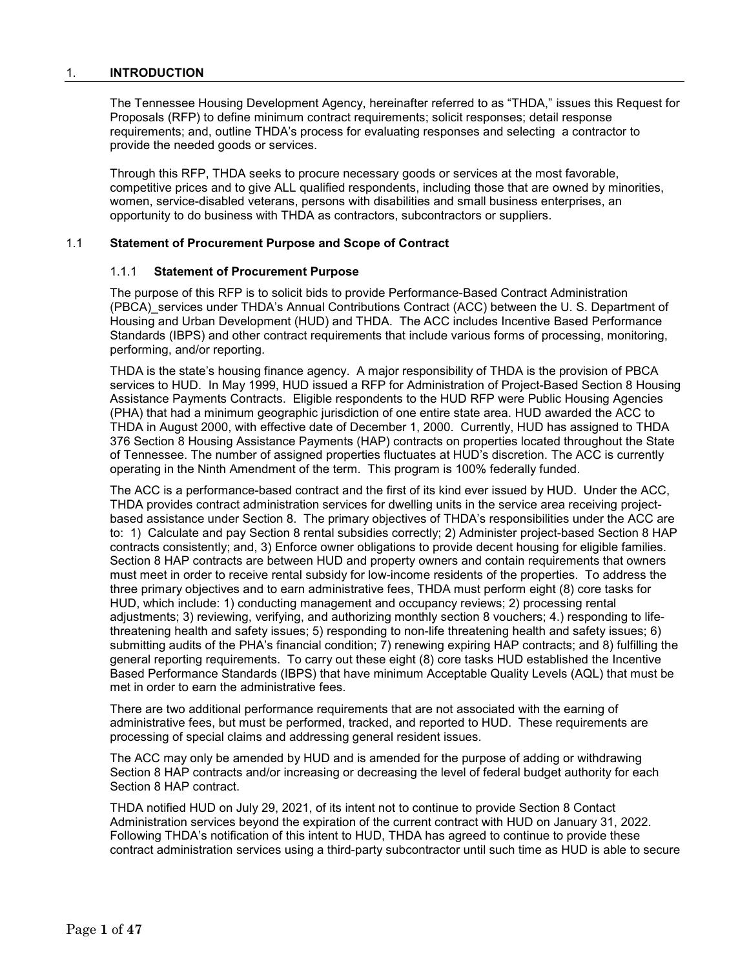#### 1. **INTRODUCTION**

The Tennessee Housing Development Agency, hereinafter referred to as "THDA," issues this Request for Proposals (RFP) to define minimum contract requirements; solicit responses; detail response requirements; and, outline THDA's process for evaluating responses and selecting a contractor to provide the needed goods or services.

Through this RFP, THDA seeks to procure necessary goods or services at the most favorable, competitive prices and to give ALL qualified respondents, including those that are owned by minorities, women, service-disabled veterans, persons with disabilities and small business enterprises, an opportunity to do business with THDA as contractors, subcontractors or suppliers.

#### 1.1 **Statement of Procurement Purpose and Scope of Contract**

### 1.1.1 **Statement of Procurement Purpose**

The purpose of this RFP is to solicit bids to provide Performance-Based Contract Administration (PBCA)\_services under THDA's Annual Contributions Contract (ACC) between the U. S. Department of Housing and Urban Development (HUD) and THDA. The ACC includes Incentive Based Performance Standards (IBPS) and other contract requirements that include various forms of processing, monitoring, performing, and/or reporting.

THDA is the state's housing finance agency. A major responsibility of THDA is the provision of PBCA services to HUD. In May 1999, HUD issued a RFP for Administration of Project-Based Section 8 Housing Assistance Payments Contracts. Eligible respondents to the HUD RFP were Public Housing Agencies (PHA) that had a minimum geographic jurisdiction of one entire state area. HUD awarded the ACC to THDA in August 2000, with effective date of December 1, 2000. Currently, HUD has assigned to THDA 376 Section 8 Housing Assistance Payments (HAP) contracts on properties located throughout the State of Tennessee. The number of assigned properties fluctuates at HUD's discretion. The ACC is currently operating in the Ninth Amendment of the term. This program is 100% federally funded.

The ACC is a performance-based contract and the first of its kind ever issued by HUD. Under the ACC, THDA provides contract administration services for dwelling units in the service area receiving projectbased assistance under Section 8. The primary objectives of THDA's responsibilities under the ACC are to: 1) Calculate and pay Section 8 rental subsidies correctly; 2) Administer project-based Section 8 HAP contracts consistently; and, 3) Enforce owner obligations to provide decent housing for eligible families. Section 8 HAP contracts are between HUD and property owners and contain requirements that owners must meet in order to receive rental subsidy for low-income residents of the properties. To address the three primary objectives and to earn administrative fees, THDA must perform eight (8) core tasks for HUD, which include: 1) conducting management and occupancy reviews; 2) processing rental adjustments; 3) reviewing, verifying, and authorizing monthly section 8 vouchers; 4.) responding to lifethreatening health and safety issues; 5) responding to non-life threatening health and safety issues; 6) submitting audits of the PHA's financial condition; 7) renewing expiring HAP contracts; and 8) fulfilling the general reporting requirements. To carry out these eight (8) core tasks HUD established the Incentive Based Performance Standards (IBPS) that have minimum Acceptable Quality Levels (AQL) that must be met in order to earn the administrative fees.

There are two additional performance requirements that are not associated with the earning of administrative fees, but must be performed, tracked, and reported to HUD. These requirements are processing of special claims and addressing general resident issues.

The ACC may only be amended by HUD and is amended for the purpose of adding or withdrawing Section 8 HAP contracts and/or increasing or decreasing the level of federal budget authority for each Section 8 HAP contract.

THDA notified HUD on July 29, 2021, of its intent not to continue to provide Section 8 Contact Administration services beyond the expiration of the current contract with HUD on January 31, 2022. Following THDA's notification of this intent to HUD, THDA has agreed to continue to provide these contract administration services using a third-party subcontractor until such time as HUD is able to secure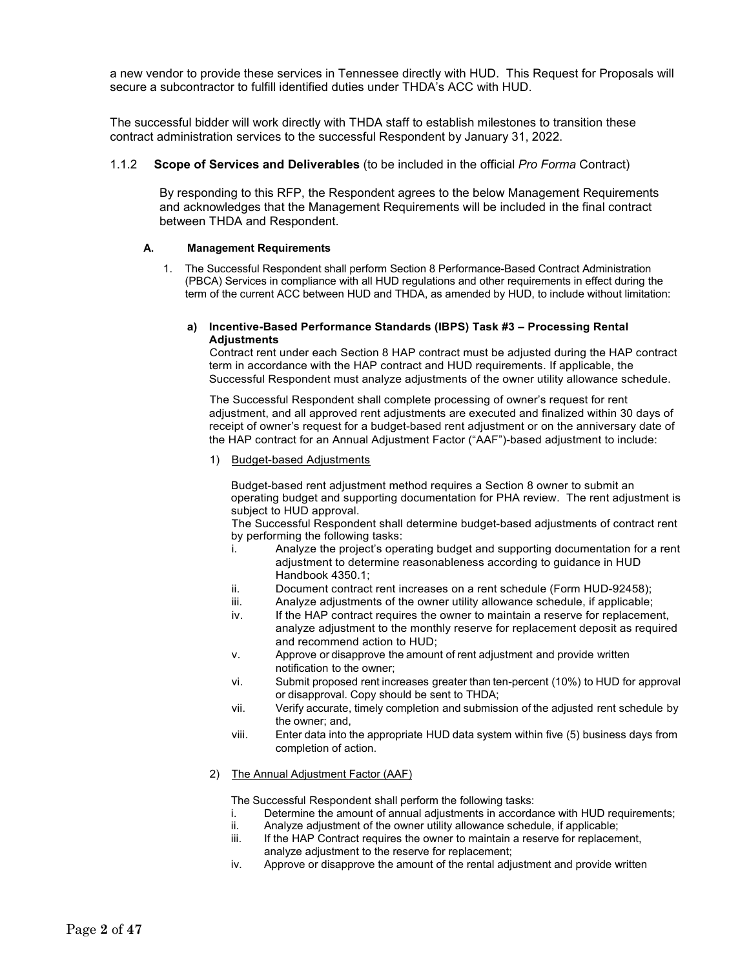a new vendor to provide these services in Tennessee directly with HUD. This Request for Proposals will secure a subcontractor to fulfill identified duties under THDA's ACC with HUD.

The successful bidder will work directly with THDA staff to establish milestones to transition these contract administration services to the successful Respondent by January 31, 2022.

#### 1.1.2 **Scope of Services and Deliverables** (to be included in the official *Pro Forma* Contract)

By responding to this RFP, the Respondent agrees to the below Management Requirements and acknowledges that the Management Requirements will be included in the final contract between THDA and Respondent.

#### **A. Management Requirements**

1. The Successful Respondent shall perform Section 8 Performance-Based Contract Administration (PBCA) Services in compliance with all HUD regulations and other requirements in effect during the term of the current ACC between HUD and THDA, as amended by HUD, to include without limitation:

#### **a) Incentive-Based Performance Standards (IBPS) Task #3 – Processing Rental Adjustments**

Contract rent under each Section 8 HAP contract must be adjusted during the HAP contract term in accordance with the HAP contract and HUD requirements. If applicable, the Successful Respondent must analyze adjustments of the owner utility allowance schedule.

The Successful Respondent shall complete processing of owner's request for rent adjustment, and all approved rent adjustments are executed and finalized within 30 days of receipt of owner's request for a budget-based rent adjustment or on the anniversary date of the HAP contract for an Annual Adjustment Factor ("AAF")-based adjustment to include:

#### 1) Budget-based Adjustments

Budget-based rent adjustment method requires a Section 8 owner to submit an operating budget and supporting documentation for PHA review. The rent adjustment is subject to HUD approval.

The Successful Respondent shall determine budget-based adjustments of contract rent by performing the following tasks:

- i. Analyze the project's operating budget and supporting documentation for a rent adjustment to determine reasonableness according to guidance in HUD Handbook 4350.1;
- ii. Document contract rent increases on a rent schedule (Form HUD-92458);
- iii. Analyze adjustments of the owner utility allowance schedule, if applicable;
- iv. If the HAP contract requires the owner to maintain a reserve for replacement, analyze adjustment to the monthly reserve for replacement deposit as required and recommend action to HUD;
- v. Approve or disapprove the amount of rent adjustment and provide written notification to the owner;
- vi. Submit proposed rent increases greater than ten-percent (10%) to HUD for approval or disapproval. Copy should be sent to THDA;
- vii. Verify accurate, timely completion and submission of the adjusted rent schedule by the owner; and,
- viii. Enter data into the appropriate HUD data system within five (5) business days from completion of action.

#### 2) The Annual Adjustment Factor (AAF)

- i. Determine the amount of annual adjustments in accordance with HUD requirements;<br>ii. Analyze adjustment of the owner utility allowance schedule, if applicable:
- ii. Analyze adjustment of the owner utility allowance schedule, if applicable;
- If the HAP Contract requires the owner to maintain a reserve for replacement, analyze adjustment to the reserve for replacement;
- iv. Approve or disapprove the amount of the rental adjustment and provide written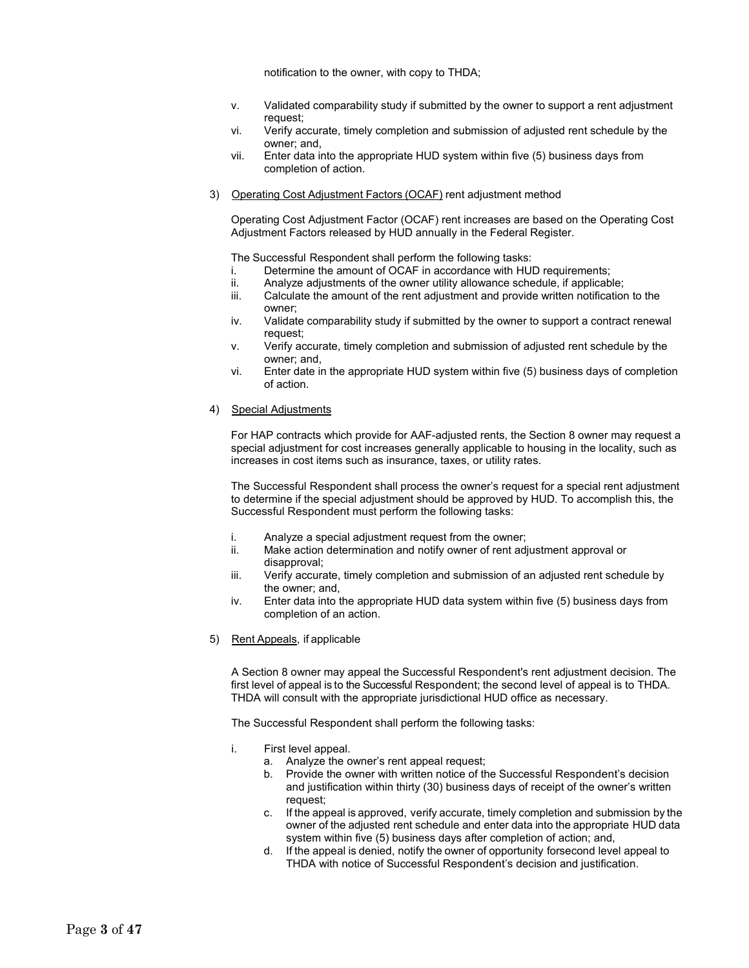notification to the owner, with copy to THDA;

- v. Validated comparability study if submitted by the owner to support a rent adjustment request;
- vi. Verify accurate, timely completion and submission of adjusted rent schedule by the owner; and,
- vii. Enter data into the appropriate HUD system within five (5) business days from completion of action.
- 3) Operating Cost Adjustment Factors (OCAF) rent adjustment method

Operating Cost Adjustment Factor (OCAF) rent increases are based on the Operating Cost Adjustment Factors released by HUD annually in the Federal Register.

The Successful Respondent shall perform the following tasks:

- i. Determine the amount of OCAF in accordance with HUD requirements;<br>ii. Analyze adjustments of the owner utility allowance schedule, if applicab
- Analyze adjustments of the owner utility allowance schedule, if applicable;
- iii. Calculate the amount of the rent adjustment and provide written notification to the owner;
- iv. Validate comparability study if submitted by the owner to support a contract renewal request;
- v. Verify accurate, timely completion and submission of adjusted rent schedule by the owner; and,
- vi. Enter date in the appropriate HUD system within five (5) business days of completion of action.
- 4) Special Adjustments

For HAP contracts which provide for AAF-adjusted rents, the Section 8 owner may request a special adjustment for cost increases generally applicable to housing in the locality, such as increases in cost items such as insurance, taxes, or utility rates.

The Successful Respondent shall process the owner's request for a special rent adjustment to determine if the special adjustment should be approved by HUD. To accomplish this, the Successful Respondent must perform the following tasks:

- i. Analyze a special adjustment request from the owner;<br>ii. Make action determination and notify owner of rent adj
- Make action determination and notify owner of rent adjustment approval or disapproval;
- iii. Verify accurate, timely completion and submission of an adjusted rent schedule by the owner; and,
- iv. Enter data into the appropriate HUD data system within five (5) business days from completion of an action.
- 5) Rent Appeals, if applicable

A Section 8 owner may appeal the Successful Respondent's rent adjustment decision. The first level of appeal is to the Successful Respondent; the second level of appeal is to THDA. THDA will consult with the appropriate jurisdictional HUD office as necessary.

- i. First level appeal.
	- a. Analyze the owner's rent appeal request;
	- b. Provide the owner with written notice of the Successful Respondent's decision and justification within thirty (30) business days of receipt of the owner's written request;
	- c. If the appeal is approved, verify accurate, timely completion and submission by the owner of the adjusted rent schedule and enter data into the appropriate HUD data system within five (5) business days after completion of action; and,
	- d. If the appeal is denied, notify the owner of opportunity forsecond level appeal to THDA with notice of Successful Respondent's decision and justification.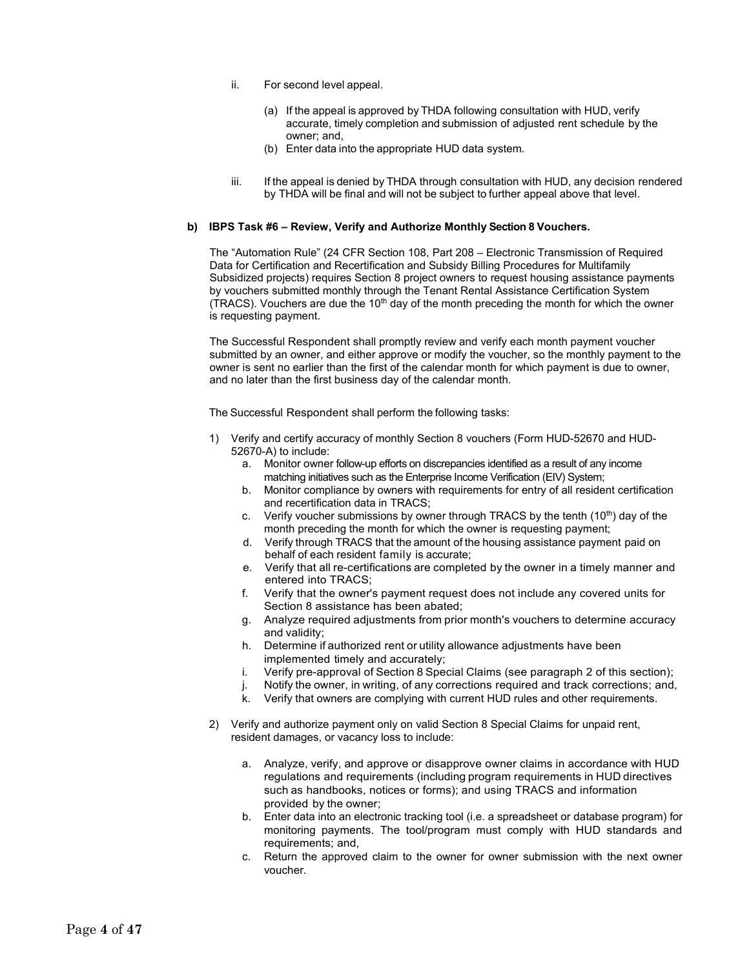- ii. For second level appeal.
	- (a) If the appeal is approved by THDA following consultation with HUD, verify accurate, timely completion and submission of adjusted rent schedule by the owner; and,
	- (b) Enter data into the appropriate HUD data system.
- iii. If the appeal is denied by THDA through consultation with HUD, any decision rendered by THDA will be final and will not be subject to further appeal above that level.

#### **b) IBPS Task #6 – Review, Verify and Authorize Monthly Section 8 Vouchers.**

The "Automation Rule" (24 CFR Section 108, Part 208 – Electronic Transmission of Required Data for Certification and Recertification and Subsidy Billing Procedures for Multifamily Subsidized projects) requires Section 8 project owners to request housing assistance payments by vouchers submitted monthly through the Tenant Rental Assistance Certification System (TRACS). Vouchers are due the  $10<sup>th</sup>$  day of the month preceding the month for which the owner is requesting payment.

The Successful Respondent shall promptly review and verify each month payment voucher submitted by an owner, and either approve or modify the voucher, so the monthly payment to the owner is sent no earlier than the first of the calendar month for which payment is due to owner, and no later than the first business day of the calendar month.

- 1) Verify and certify accuracy of monthly Section 8 vouchers (Form HUD-52670 and HUD-52670-A) to include:
	- a. Monitor owner follow-up efforts on discrepancies identified as a result of any income matching initiatives such as the Enterprise Income Verification (EIV) System;
	- b. Monitor compliance by owners with requirements for entry of all resident certification and recertification data in TRACS;
	- c. Verify voucher submissions by owner through TRACS by the tenth  $(10^{th})$  day of the month preceding the month for which the owner is requesting payment;
	- d. Verify through TRACS that the amount of the housing assistance payment paid on behalf of each resident family is accurate;
	- e. Verify that all re-certifications are completed by the owner in a timely manner and entered into TRACS;
	- f. Verify that the owner's payment request does not include any covered units for Section 8 assistance has been abated;
	- g. Analyze required adjustments from prior month's vouchers to determine accuracy and validity;
	- h. Determine if authorized rent or utility allowance adjustments have been implemented timely and accurately;
	- i. Verify pre-approval of Section 8 Special Claims (see paragraph 2 of this section);
	- j. Notify the owner, in writing, of any corrections required and track corrections; and,
	- k. Verify that owners are complying with current HUD rules and other requirements.
- 2) Verify and authorize payment only on valid Section 8 Special Claims for unpaid rent, resident damages, or vacancy loss to include:
	- a. Analyze, verify, and approve or disapprove owner claims in accordance with HUD regulations and requirements (including program requirements in HUD directives such as handbooks, notices or forms); and using TRACS and information provided by the owner;
	- b. Enter data into an electronic tracking tool (i.e. a spreadsheet or database program) for monitoring payments. The tool/program must comply with HUD standards and requirements; and,
	- c. Return the approved claim to the owner for owner submission with the next owner voucher.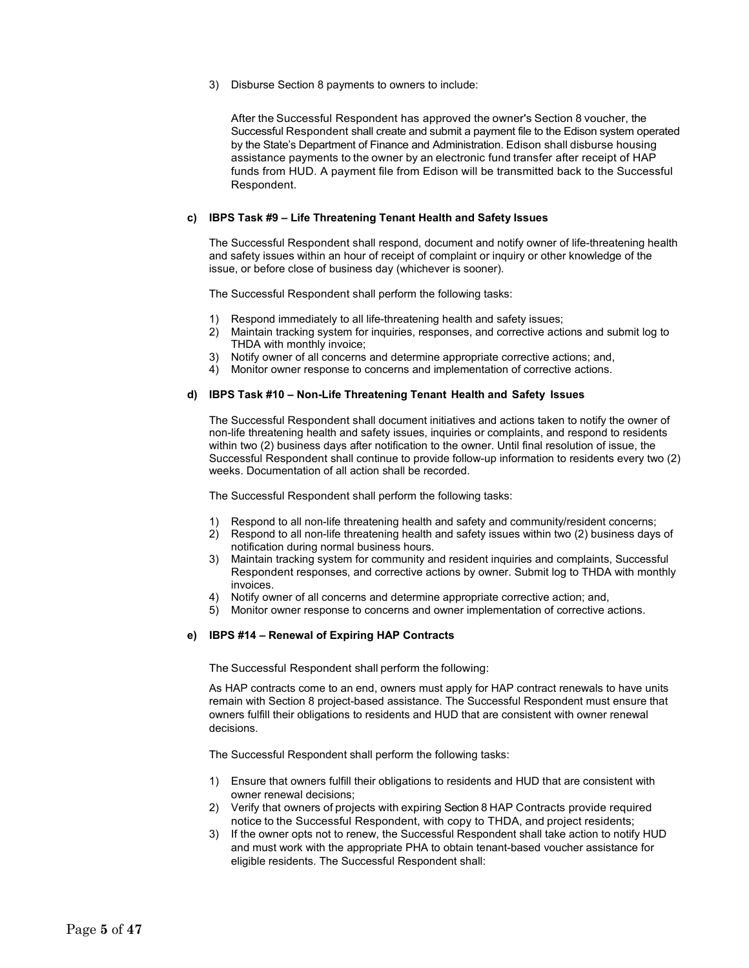3) Disburse Section 8 payments to owners to include:

After the Successful Respondent has approved the owner's Section 8 voucher, the Successful Respondent shall create and submit a payment file to the Edison system operated by the State's Department of Finance and Administration. Edison shall disburse housing assistance payments to the owner by an electronic fund transfer after receipt of HAP funds from HUD. A payment file from Edison will be transmitted back to the Successful Respondent.

#### **c) IBPS Task #9 – Life Threatening Tenant Health and Safety Issues**

The Successful Respondent shall respond, document and notify owner of life-threatening health and safety issues within an hour of receipt of complaint or inquiry or other knowledge of the issue, or before close of business day (whichever is sooner).

The Successful Respondent shall perform the following tasks:

- 1) Respond immediately to all life-threatening health and safety issues;
- 2) Maintain tracking system for inquiries, responses, and corrective actions and submit log to THDA with monthly invoice;
- 3) Notify owner of all concerns and determine appropriate corrective actions; and,
- 4) Monitor owner response to concerns and implementation of corrective actions.

#### **d) IBPS Task #10 – Non-Life Threatening Tenant Health and Safety Issues**

The Successful Respondent shall document initiatives and actions taken to notify the owner of non-life threatening health and safety issues, inquiries or complaints, and respond to residents within two (2) business days after notification to the owner. Until final resolution of issue, the Successful Respondent shall continue to provide follow-up information to residents every two (2) weeks. Documentation of all action shall be recorded.

The Successful Respondent shall perform the following tasks:

- 1) Respond to all non-life threatening health and safety and community/resident concerns;
- 2) Respond to all non-life threatening health and safety issues within two (2) business days of notification during normal business hours.
- 3) Maintain tracking system for community and resident inquiries and complaints, Successful Respondent responses, and corrective actions by owner. Submit log to THDA with monthly invoices.
- 4) Notify owner of all concerns and determine appropriate corrective action; and,
- 5) Monitor owner response to concerns and owner implementation of corrective actions.

#### **e) IBPS #14 – Renewal of Expiring HAP Contracts**

The Successful Respondent shall perform the following:

As HAP contracts come to an end, owners must apply for HAP contract renewals to have units remain with Section 8 project-based assistance. The Successful Respondent must ensure that owners fulfill their obligations to residents and HUD that are consistent with owner renewal decisions.

- 1) Ensure that owners fulfill their obligations to residents and HUD that are consistent with owner renewal decisions;
- 2) Verify that owners of projects with expiring Section 8 HAP Contracts provide required notice to the Successful Respondent, with copy to THDA, and project residents;
- 3) If the owner opts not to renew, the Successful Respondent shall take action to notify HUD and must work with the appropriate PHA to obtain tenant-based voucher assistance for eligible residents. The Successful Respondent shall: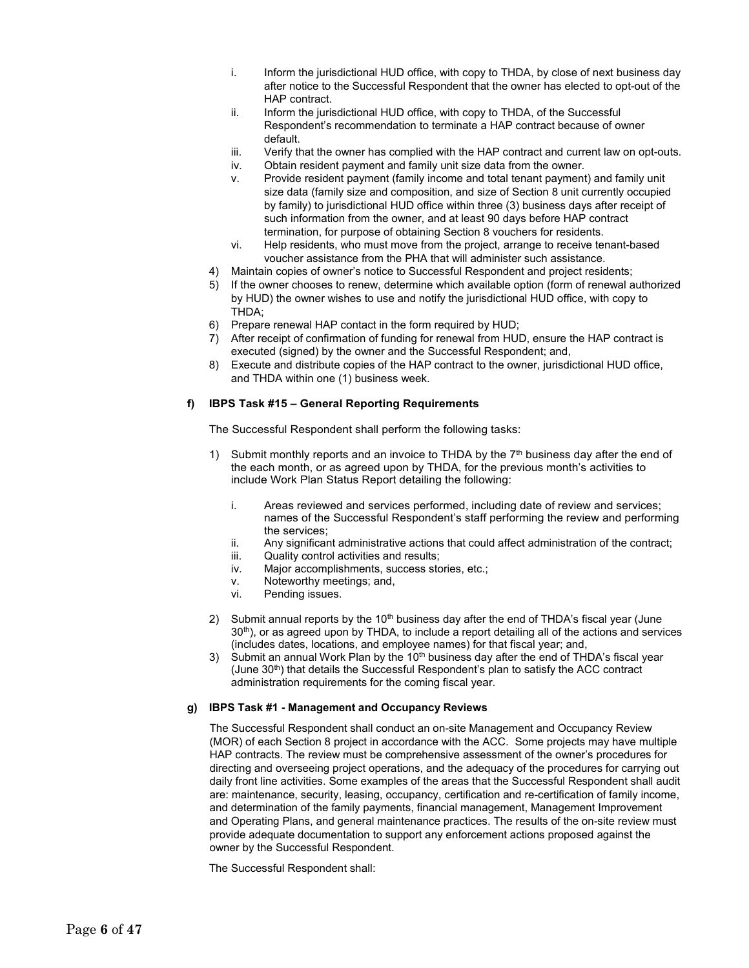- i. Inform the jurisdictional HUD office, with copy to THDA, by close of next business day after notice to the Successful Respondent that the owner has elected to opt-out of the HAP contract.
- ii. Inform the jurisdictional HUD office, with copy to THDA, of the Successful Respondent's recommendation to terminate a HAP contract because of owner default.
- iii. Verify that the owner has complied with the HAP contract and current law on opt-outs.
- iv. Obtain resident payment and family unit size data from the owner.
- v. Provide resident payment (family income and total tenant payment) and family unit size data (family size and composition, and size of Section 8 unit currently occupied by family) to jurisdictional HUD office within three (3) business days after receipt of such information from the owner, and at least 90 days before HAP contract termination, for purpose of obtaining Section 8 vouchers for residents.
- vi. Help residents, who must move from the project, arrange to receive tenant-based voucher assistance from the PHA that will administer such assistance.
- 4) Maintain copies of owner's notice to Successful Respondent and project residents;
- 5) If the owner chooses to renew, determine which available option (form of renewal authorized by HUD) the owner wishes to use and notify the jurisdictional HUD office, with copy to THDA;
- 6) Prepare renewal HAP contact in the form required by HUD;
- 7) After receipt of confirmation of funding for renewal from HUD, ensure the HAP contract is executed (signed) by the owner and the Successful Respondent; and,
- 8) Execute and distribute copies of the HAP contract to the owner, jurisdictional HUD office, and THDA within one (1) business week.

#### **f) IBPS Task #15 – General Reporting Requirements**

The Successful Respondent shall perform the following tasks:

- 1) Submit monthly reports and an invoice to THDA by the  $7<sup>th</sup>$  business day after the end of the each month, or as agreed upon by THDA, for the previous month's activities to include Work Plan Status Report detailing the following:
	- i. Areas reviewed and services performed, including date of review and services; names of the Successful Respondent's staff performing the review and performing the services;
	- ii. Any significant administrative actions that could affect administration of the contract;
	- iii. Quality control activities and results;
	- iv. Major accomplishments, success stories, etc.;
	- v. Noteworthy meetings; and,<br>vi. Pending issues.
	- Pending issues.
- 2) Submit annual reports by the 10<sup>th</sup> business day after the end of THDA's fiscal year (June 30<sup>th</sup>), or as agreed upon by THDA, to include a report detailing all of the actions and services (includes dates, locations, and employee names) for that fiscal year; and,
- 3) Submit an annual Work Plan by the  $10<sup>th</sup>$  business day after the end of THDA's fiscal year (June  $30<sup>th</sup>$ ) that details the Successful Respondent's plan to satisfy the ACC contract administration requirements for the coming fiscal year.

#### **g) IBPS Task #1 - Management and Occupancy Reviews**

The Successful Respondent shall conduct an on-site Management and Occupancy Review (MOR) of each Section 8 project in accordance with the ACC. Some projects may have multiple HAP contracts. The review must be comprehensive assessment of the owner's procedures for directing and overseeing project operations, and the adequacy of the procedures for carrying out daily front line activities. Some examples of the areas that the Successful Respondent shall audit are: maintenance, security, leasing, occupancy, certification and re-certification of family income, and determination of the family payments, financial management, Management Improvement and Operating Plans, and general maintenance practices. The results of the on-site review must provide adequate documentation to support any enforcement actions proposed against the owner by the Successful Respondent.

The Successful Respondent shall: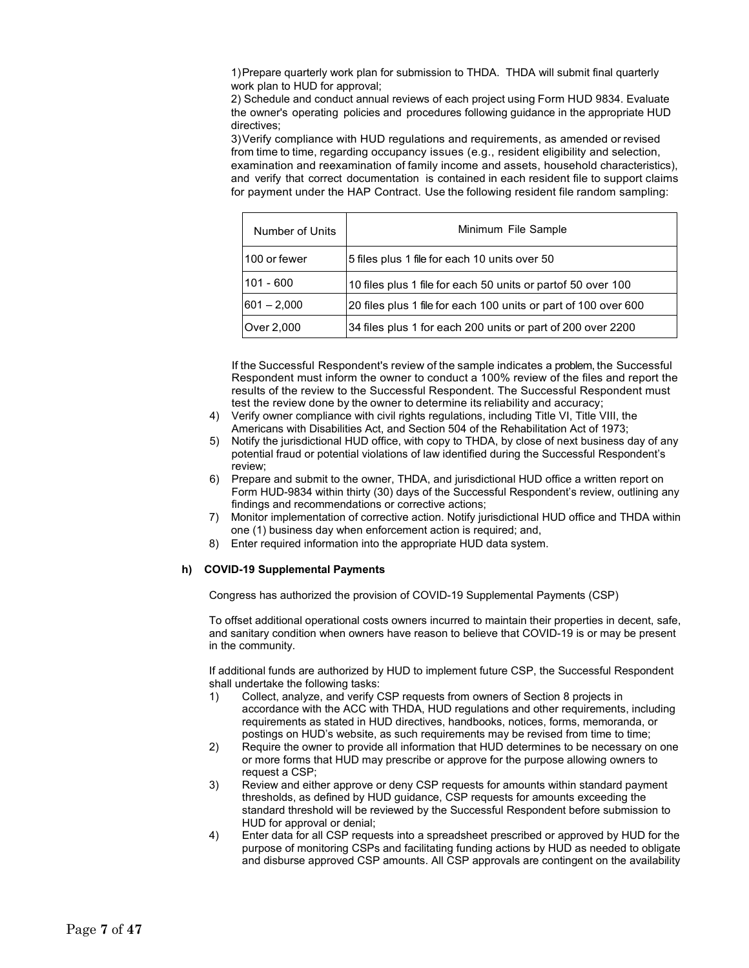1)Prepare quarterly work plan for submission to THDA. THDA will submit final quarterly work plan to HUD for approval;

2) Schedule and conduct annual reviews of each project using Form HUD 9834. Evaluate the owner's operating policies and procedures following guidance in the appropriate HUD directives;

3)Verify compliance with HUD regulations and requirements, as amended or revised from time to time, regarding occupancy issues (e.g., resident eligibility and selection, examination and reexamination of family income and assets, household characteristics), and verify that correct documentation is contained in each resident file to support claims for payment under the HAP Contract. Use the following resident file random sampling:

| Number of Units | Minimum File Sample                                             |
|-----------------|-----------------------------------------------------------------|
| 100 or fewer    | 5 files plus 1 file for each 10 units over 50                   |
| 101 - 600       | 10 files plus 1 file for each 50 units or partof 50 over 100    |
| $ 601 - 2,000 $ | 20 files plus 1 file for each 100 units or part of 100 over 600 |
| Over 2,000      | 34 files plus 1 for each 200 units or part of 200 over 2200     |

If the Successful Respondent's review of the sample indicates a problem, the Successful Respondent must inform the owner to conduct a 100% review of the files and report the results of the review to the Successful Respondent. The Successful Respondent must test the review done by the owner to determine its reliability and accuracy;

- 4) Verify owner compliance with civil rights regulations, including Title VI, Title VIII, the Americans with Disabilities Act, and Section 504 of the Rehabilitation Act of 1973;
- 5) Notify the jurisdictional HUD office, with copy to THDA, by close of next business day of any potential fraud or potential violations of law identified during the Successful Respondent's review;
- 6) Prepare and submit to the owner, THDA, and jurisdictional HUD office a written report on Form HUD-9834 within thirty (30) days of the Successful Respondent's review, outlining any findings and recommendations or corrective actions;
- 7) Monitor implementation of corrective action. Notify jurisdictional HUD office and THDA within one (1) business day when enforcement action is required; and,
- 8) Enter required information into the appropriate HUD data system.

#### **h) COVID-19 Supplemental Payments**

Congress has authorized the provision of COVID-19 Supplemental Payments (CSP)

To offset additional operational costs owners incurred to maintain their properties in decent, safe, and sanitary condition when owners have reason to believe that COVID-19 is or may be present in the community.

If additional funds are authorized by HUD to implement future CSP, the Successful Respondent shall undertake the following tasks:

- 1) Collect, analyze, and verify CSP requests from owners of Section 8 projects in accordance with the ACC with THDA, HUD regulations and other requirements, including requirements as stated in HUD directives, handbooks, notices, forms, memoranda, or postings on HUD's website, as such requirements may be revised from time to time;
- 2) Require the owner to provide all information that HUD determines to be necessary on one or more forms that HUD may prescribe or approve for the purpose allowing owners to request a CSP;
- 3) Review and either approve or deny CSP requests for amounts within standard payment thresholds, as defined by HUD guidance, CSP requests for amounts exceeding the standard threshold will be reviewed by the Successful Respondent before submission to HUD for approval or denial;
- 4) Enter data for all CSP requests into a spreadsheet prescribed or approved by HUD for the purpose of monitoring CSPs and facilitating funding actions by HUD as needed to obligate and disburse approved CSP amounts. All CSP approvals are contingent on the availability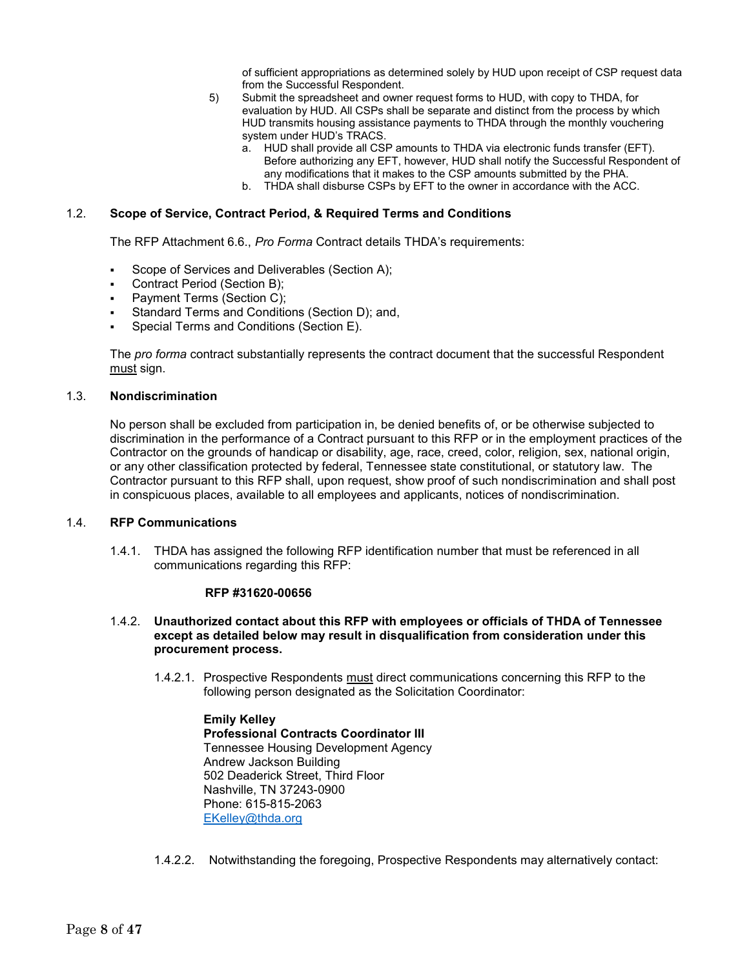of sufficient appropriations as determined solely by HUD upon receipt of CSP request data from the Successful Respondent.

- 5) Submit the spreadsheet and owner request forms to HUD, with copy to THDA, for evaluation by HUD. All CSPs shall be separate and distinct from the process by which HUD transmits housing assistance payments to THDA through the monthly vouchering system under HUD's TRACS.
	- a. HUD shall provide all CSP amounts to THDA via electronic funds transfer (EFT). Before authorizing any EFT, however, HUD shall notify the Successful Respondent of any modifications that it makes to the CSP amounts submitted by the PHA.
	- b. THDA shall disburse CSPs by EFT to the owner in accordance with the ACC.

#### 1.2. **Scope of Service, Contract Period, & Required Terms and Conditions**

The RFP Attachment 6.6., *Pro Forma* Contract details THDA's requirements:

- Scope of Services and Deliverables (Section A);
- Contract Period (Section B);
- Payment Terms (Section C);
- Standard Terms and Conditions (Section D); and,
- Special Terms and Conditions (Section E).

The *pro forma* contract substantially represents the contract document that the successful Respondent must sign.

#### 1.3. **Nondiscrimination**

No person shall be excluded from participation in, be denied benefits of, or be otherwise subjected to discrimination in the performance of a Contract pursuant to this RFP or in the employment practices of the Contractor on the grounds of handicap or disability, age, race, creed, color, religion, sex, national origin, or any other classification protected by federal, Tennessee state constitutional, or statutory law. The Contractor pursuant to this RFP shall, upon request, show proof of such nondiscrimination and shall post in conspicuous places, available to all employees and applicants, notices of nondiscrimination.

#### 1.4. **RFP Communications**

1.4.1. THDA has assigned the following RFP identification number that must be referenced in all communications regarding this RFP:

#### **RFP #31620-00656**

- 1.4.2. **Unauthorized contact about this RFP with employees or officials of THDA of Tennessee except as detailed below may result in disqualification from consideration under this procurement process.**
	- 1.4.2.1. Prospective Respondents must direct communications concerning this RFP to the following person designated as the Solicitation Coordinator:

**Emily Kelley Professional Contracts Coordinator III** Tennessee Housing Development Agency Andrew Jackson Building 502 Deaderick Street, Third Floor Nashville, TN 37243-0900 Phone: 615-815-2063 [EKelley@thda.org](mailto:EKelley@thda.org)

#### 1.4.2.2. Notwithstanding the foregoing, Prospective Respondents may alternatively contact: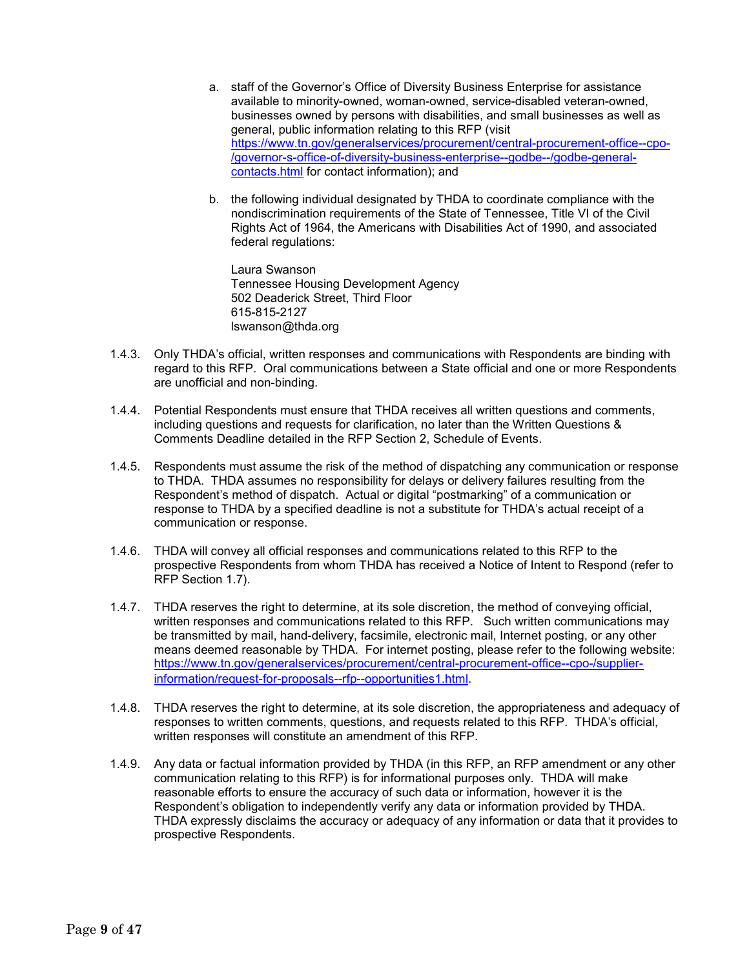- a. staff of the Governor's Office of Diversity Business Enterprise for assistance available to minority-owned, woman-owned, service-disabled veteran-owned, businesses owned by persons with disabilities, and small businesses as well as general, public information relating to this RFP (visit [https://www.tn.gov/generalservices/procurement/central-procurement-office--cpo-](https://www.tn.gov/generalservices/procurement/central-procurement-office--cpo-/governor-s-office-of-diversity-business-enterprise--godbe--/godbe-general-contacts.html) [/governor-s-office-of-diversity-business-enterprise--godbe--/godbe-general](https://www.tn.gov/generalservices/procurement/central-procurement-office--cpo-/governor-s-office-of-diversity-business-enterprise--godbe--/godbe-general-contacts.html)[contacts.html](https://www.tn.gov/generalservices/procurement/central-procurement-office--cpo-/governor-s-office-of-diversity-business-enterprise--godbe--/godbe-general-contacts.html) for contact information); and
- b. the following individual designated by THDA to coordinate compliance with the nondiscrimination requirements of the State of Tennessee, Title VI of the Civil Rights Act of 1964, the Americans with Disabilities Act of 1990, and associated federal regulations:

Laura Swanson Tennessee Housing Development Agency 502 Deaderick Street, Third Floor 615-815-2127 lswanson@thda.org

- 1.4.3. Only THDA's official, written responses and communications with Respondents are binding with regard to this RFP. Oral communications between a State official and one or more Respondents are unofficial and non-binding.
- 1.4.4. Potential Respondents must ensure that THDA receives all written questions and comments, including questions and requests for clarification, no later than the Written Questions & Comments Deadline detailed in the RFP Section 2, Schedule of Events.
- 1.4.5. Respondents must assume the risk of the method of dispatching any communication or response to THDA. THDA assumes no responsibility for delays or delivery failures resulting from the Respondent's method of dispatch. Actual or digital "postmarking" of a communication or response to THDA by a specified deadline is not a substitute for THDA's actual receipt of a communication or response.
- 1.4.6. THDA will convey all official responses and communications related to this RFP to the prospective Respondents from whom THDA has received a Notice of Intent to Respond (refer to RFP Section 1.7).
- 1.4.7. THDA reserves the right to determine, at its sole discretion, the method of conveying official, written responses and communications related to this RFP. Such written communications may be transmitted by mail, hand-delivery, facsimile, electronic mail, Internet posting, or any other means deemed reasonable by THDA. For internet posting, please refer to the following website: [https://www.tn.gov/generalservices/procurement/central-procurement-office--cpo-/supplier](https://www.tn.gov/generalservices/procurement/central-procurement-office--cpo-/supplier-information/request-for-proposals--rfp--opportunities1.html)[information/request-for-proposals--rfp--opportunities1.html](https://www.tn.gov/generalservices/procurement/central-procurement-office--cpo-/supplier-information/request-for-proposals--rfp--opportunities1.html).
- 1.4.8. THDA reserves the right to determine, at its sole discretion, the appropriateness and adequacy of responses to written comments, questions, and requests related to this RFP. THDA's official, written responses will constitute an amendment of this RFP.
- 1.4.9. Any data or factual information provided by THDA (in this RFP, an RFP amendment or any other communication relating to this RFP) is for informational purposes only. THDA will make reasonable efforts to ensure the accuracy of such data or information, however it is the Respondent's obligation to independently verify any data or information provided by THDA. THDA expressly disclaims the accuracy or adequacy of any information or data that it provides to prospective Respondents.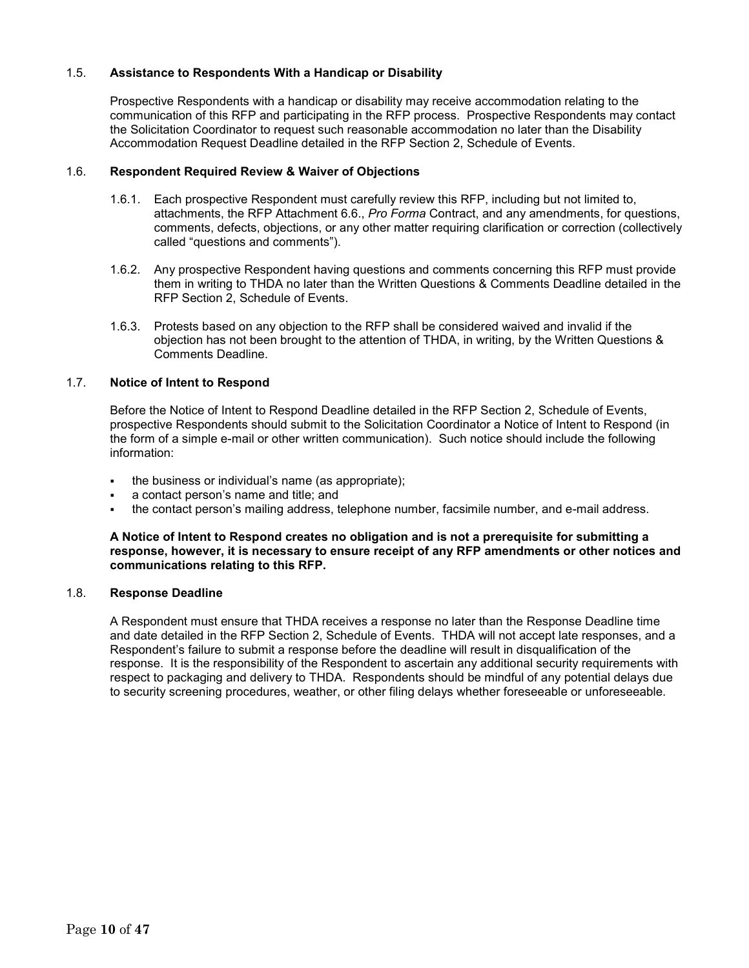### 1.5. **Assistance to Respondents With a Handicap or Disability**

Prospective Respondents with a handicap or disability may receive accommodation relating to the communication of this RFP and participating in the RFP process. Prospective Respondents may contact the Solicitation Coordinator to request such reasonable accommodation no later than the Disability Accommodation Request Deadline detailed in the RFP Section 2, Schedule of Events.

### 1.6. **Respondent Required Review & Waiver of Objections**

- 1.6.1. Each prospective Respondent must carefully review this RFP, including but not limited to, attachments, the RFP Attachment 6.6., *Pro Forma* Contract, and any amendments, for questions, comments, defects, objections, or any other matter requiring clarification or correction (collectively called "questions and comments").
- 1.6.2. Any prospective Respondent having questions and comments concerning this RFP must provide them in writing to THDA no later than the Written Questions & Comments Deadline detailed in the RFP Section 2, Schedule of Events.
- 1.6.3. Protests based on any objection to the RFP shall be considered waived and invalid if the objection has not been brought to the attention of THDA, in writing, by the Written Questions & Comments Deadline.

### 1.7. **Notice of Intent to Respond**

Before the Notice of Intent to Respond Deadline detailed in the RFP Section 2, Schedule of Events, prospective Respondents should submit to the Solicitation Coordinator a Notice of Intent to Respond (in the form of a simple e-mail or other written communication). Such notice should include the following information:

- the business or individual's name (as appropriate);
- a contact person's name and title; and
- the contact person's mailing address, telephone number, facsimile number, and e-mail address.

#### **A Notice of Intent to Respond creates no obligation and is not a prerequisite for submitting a response, however, it is necessary to ensure receipt of any RFP amendments or other notices and communications relating to this RFP.**

#### 1.8. **Response Deadline**

A Respondent must ensure that THDA receives a response no later than the Response Deadline time and date detailed in the RFP Section 2, Schedule of Events. THDA will not accept late responses, and a Respondent's failure to submit a response before the deadline will result in disqualification of the response. It is the responsibility of the Respondent to ascertain any additional security requirements with respect to packaging and delivery to THDA. Respondents should be mindful of any potential delays due to security screening procedures, weather, or other filing delays whether foreseeable or unforeseeable.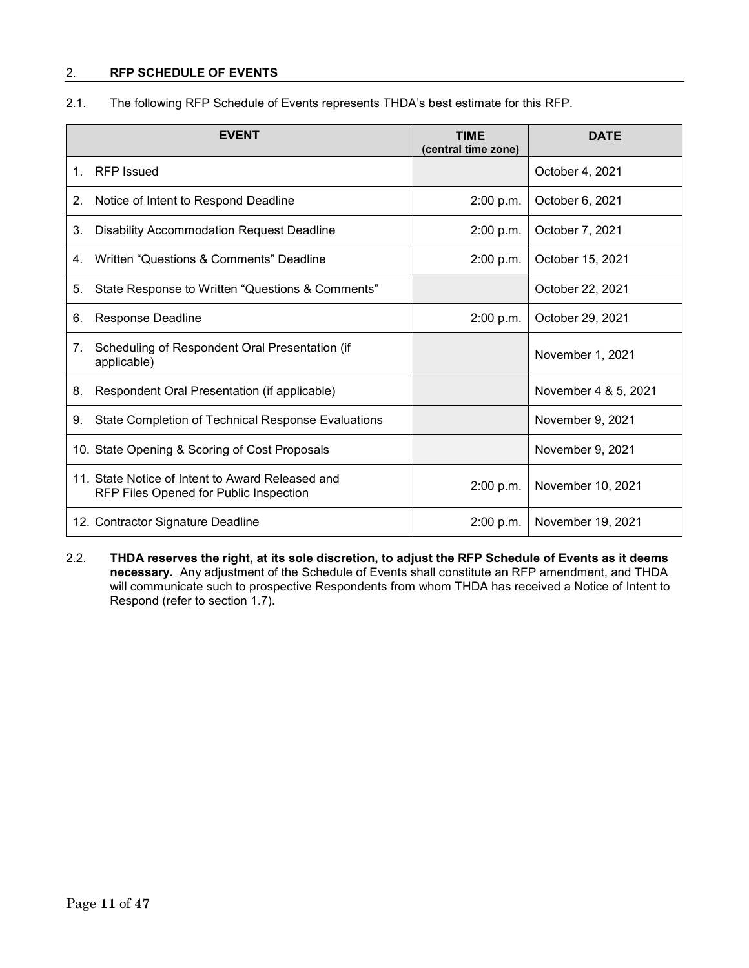### 2. **RFP SCHEDULE OF EVENTS**

| 2.1. |  |  |  |  | The following RFP Schedule of Events represents THDA's best estimate for this RFP. |  |
|------|--|--|--|--|------------------------------------------------------------------------------------|--|
|------|--|--|--|--|------------------------------------------------------------------------------------|--|

|                                | <b>EVENT</b>                                                                               | <b>TIME</b><br>(central time zone) | <b>DATE</b>          |
|--------------------------------|--------------------------------------------------------------------------------------------|------------------------------------|----------------------|
| $1_{-}$                        | <b>RFP</b> Issued                                                                          |                                    | October 4, 2021      |
| 2.                             | Notice of Intent to Respond Deadline                                                       | 2:00 p.m.                          | October 6, 2021      |
| 3.                             | <b>Disability Accommodation Request Deadline</b>                                           | 2:00 p.m.                          | October 7, 2021      |
| 4.                             | Written "Questions & Comments" Deadline                                                    | 2:00 p.m.                          | October 15, 2021     |
| 5.                             | State Response to Written "Questions & Comments"                                           |                                    | October 22, 2021     |
| 6.                             | <b>Response Deadline</b>                                                                   | 2:00 p.m.                          | October 29, 2021     |
| $7_{\scriptscriptstyle{\sim}}$ | Scheduling of Respondent Oral Presentation (if<br>applicable)                              |                                    | November 1, 2021     |
| 8.                             | Respondent Oral Presentation (if applicable)                                               |                                    | November 4 & 5, 2021 |
| 9.                             | State Completion of Technical Response Evaluations                                         |                                    | November 9, 2021     |
|                                | 10. State Opening & Scoring of Cost Proposals                                              |                                    | November 9, 2021     |
|                                | 11. State Notice of Intent to Award Released and<br>RFP Files Opened for Public Inspection | 2:00 p.m.                          | November 10, 2021    |
|                                | 12. Contractor Signature Deadline                                                          | 2:00 p.m.                          | November 19, 2021    |

2.2. **THDA reserves the right, at its sole discretion, to adjust the RFP Schedule of Events as it deems necessary.** Any adjustment of the Schedule of Events shall constitute an RFP amendment, and THDA will communicate such to prospective Respondents from whom THDA has received a Notice of Intent to Respond (refer to section 1.7).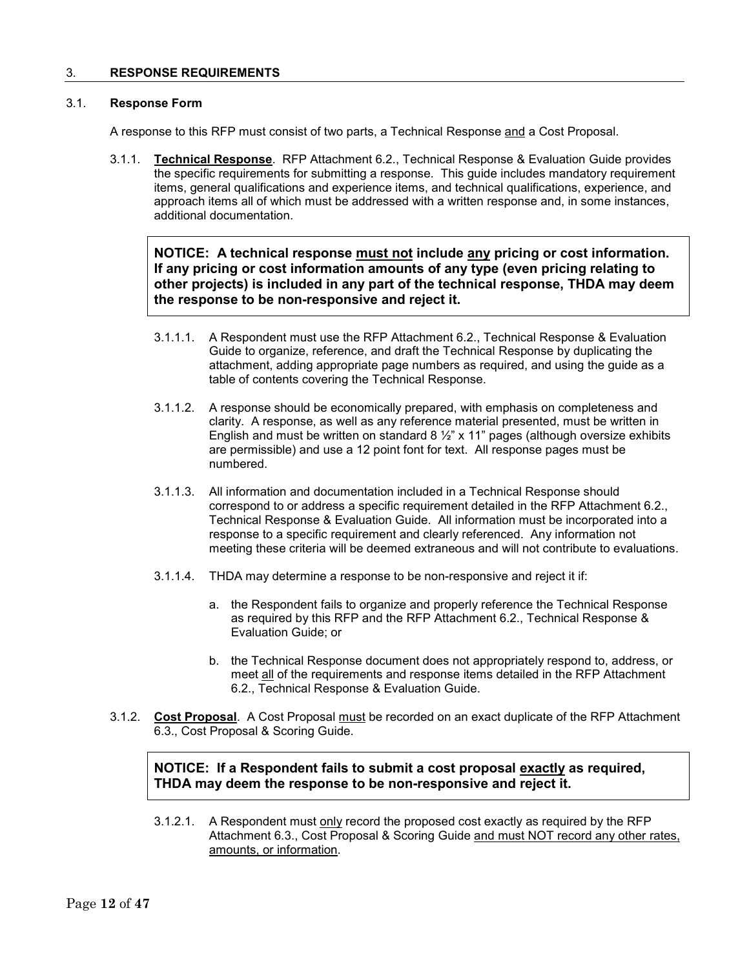#### 3. **RESPONSE REQUIREMENTS**

### 3.1. **Response Form**

A response to this RFP must consist of two parts, a Technical Response and a Cost Proposal.

3.1.1. **Technical Response**. RFP Attachment 6.2., Technical Response & Evaluation Guide provides the specific requirements for submitting a response. This guide includes mandatory requirement items, general qualifications and experience items, and technical qualifications, experience, and approach items all of which must be addressed with a written response and, in some instances, additional documentation.

### **NOTICE: A technical response must not include any pricing or cost information. If any pricing or cost information amounts of any type (even pricing relating to other projects) is included in any part of the technical response, THDA may deem the response to be non-responsive and reject it.**

- 3.1.1.1. A Respondent must use the RFP Attachment 6.2., Technical Response & Evaluation Guide to organize, reference, and draft the Technical Response by duplicating the attachment, adding appropriate page numbers as required, and using the guide as a table of contents covering the Technical Response.
- 3.1.1.2. A response should be economically prepared, with emphasis on completeness and clarity. A response, as well as any reference material presented, must be written in English and must be written on standard  $8\frac{1}{2}$ " x 11" pages (although oversize exhibits are permissible) and use a 12 point font for text. All response pages must be numbered.
- 3.1.1.3. All information and documentation included in a Technical Response should correspond to or address a specific requirement detailed in the RFP Attachment 6.2., Technical Response & Evaluation Guide. All information must be incorporated into a response to a specific requirement and clearly referenced. Any information not meeting these criteria will be deemed extraneous and will not contribute to evaluations.
- 3.1.1.4. THDA may determine a response to be non-responsive and reject it if:
	- a. the Respondent fails to organize and properly reference the Technical Response as required by this RFP and the RFP Attachment 6.2., Technical Response & Evaluation Guide; or
	- b. the Technical Response document does not appropriately respond to, address, or meet all of the requirements and response items detailed in the RFP Attachment 6.2., Technical Response & Evaluation Guide.
- 3.1.2. **Cost Proposal**. A Cost Proposal must be recorded on an exact duplicate of the RFP Attachment 6.3., Cost Proposal & Scoring Guide.

### **NOTICE: If a Respondent fails to submit a cost proposal exactly as required, THDA may deem the response to be non-responsive and reject it.**

3.1.2.1. A Respondent must only record the proposed cost exactly as required by the RFP Attachment 6.3., Cost Proposal & Scoring Guide and must NOT record any other rates, amounts, or information.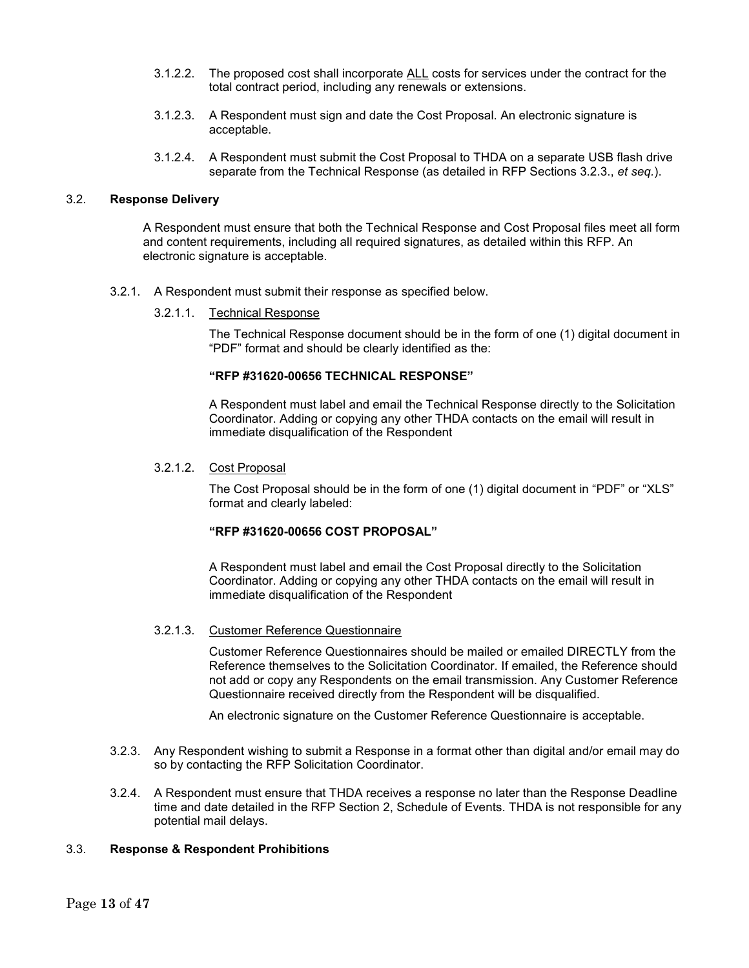- 3.1.2.2. The proposed cost shall incorporate ALL costs for services under the contract for the total contract period, including any renewals or extensions.
- 3.1.2.3. A Respondent must sign and date the Cost Proposal. An electronic signature is acceptable.
- 3.1.2.4. A Respondent must submit the Cost Proposal to THDA on a separate USB flash drive separate from the Technical Response (as detailed in RFP Sections 3.2.3., *et seq.*).

### 3.2. **Response Delivery**

A Respondent must ensure that both the Technical Response and Cost Proposal files meet all form and content requirements, including all required signatures, as detailed within this RFP. An electronic signature is acceptable.

- 3.2.1. A Respondent must submit their response as specified below.
	- 3.2.1.1. Technical Response

The Technical Response document should be in the form of one (1) digital document in "PDF" format and should be clearly identified as the:

#### **"RFP #31620-00656 TECHNICAL RESPONSE"**

A Respondent must label and email the Technical Response directly to the Solicitation Coordinator. Adding or copying any other THDA contacts on the email will result in immediate disqualification of the Respondent

3.2.1.2. Cost Proposal

The Cost Proposal should be in the form of one (1) digital document in "PDF" or "XLS" format and clearly labeled:

### **"RFP #31620-00656 COST PROPOSAL"**

A Respondent must label and email the Cost Proposal directly to the Solicitation Coordinator. Adding or copying any other THDA contacts on the email will result in immediate disqualification of the Respondent

#### 3.2.1.3. Customer Reference Questionnaire

Customer Reference Questionnaires should be mailed or emailed DIRECTLY from the Reference themselves to the Solicitation Coordinator. If emailed, the Reference should not add or copy any Respondents on the email transmission. Any Customer Reference Questionnaire received directly from the Respondent will be disqualified.

An electronic signature on the Customer Reference Questionnaire is acceptable.

- 3.2.3. Any Respondent wishing to submit a Response in a format other than digital and/or email may do so by contacting the RFP Solicitation Coordinator.
- 3.2.4. A Respondent must ensure that THDA receives a response no later than the Response Deadline time and date detailed in the RFP Section 2, Schedule of Events. THDA is not responsible for any potential mail delays.

#### 3.3. **Response & Respondent Prohibitions**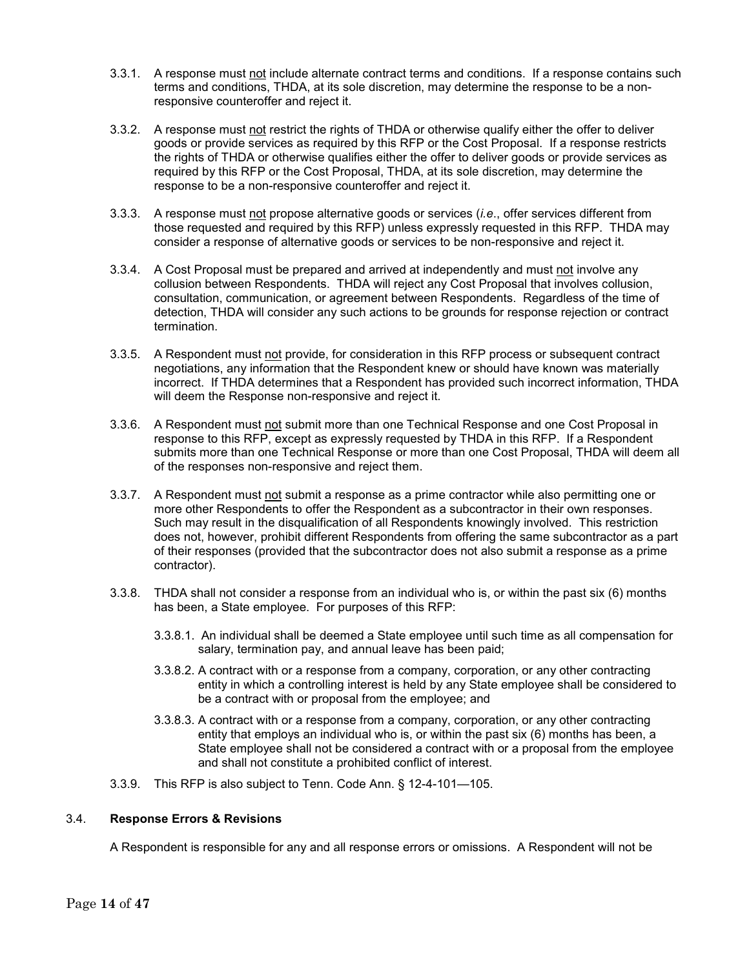- 3.3.1. A response must not include alternate contract terms and conditions. If a response contains such terms and conditions, THDA, at its sole discretion, may determine the response to be a nonresponsive counteroffer and reject it.
- 3.3.2. A response must not restrict the rights of THDA or otherwise qualify either the offer to deliver goods or provide services as required by this RFP or the Cost Proposal. If a response restricts the rights of THDA or otherwise qualifies either the offer to deliver goods or provide services as required by this RFP or the Cost Proposal, THDA, at its sole discretion, may determine the response to be a non-responsive counteroffer and reject it.
- 3.3.3. A response must not propose alternative goods or services (*i.e*., offer services different from those requested and required by this RFP) unless expressly requested in this RFP. THDA may consider a response of alternative goods or services to be non-responsive and reject it.
- 3.3.4. A Cost Proposal must be prepared and arrived at independently and must not involve any collusion between Respondents. THDA will reject any Cost Proposal that involves collusion, consultation, communication, or agreement between Respondents. Regardless of the time of detection, THDA will consider any such actions to be grounds for response rejection or contract termination.
- 3.3.5. A Respondent must not provide, for consideration in this RFP process or subsequent contract negotiations, any information that the Respondent knew or should have known was materially incorrect. If THDA determines that a Respondent has provided such incorrect information, THDA will deem the Response non-responsive and reject it.
- 3.3.6. A Respondent must not submit more than one Technical Response and one Cost Proposal in response to this RFP, except as expressly requested by THDA in this RFP. If a Respondent submits more than one Technical Response or more than one Cost Proposal, THDA will deem all of the responses non-responsive and reject them.
- 3.3.7. A Respondent must not submit a response as a prime contractor while also permitting one or more other Respondents to offer the Respondent as a subcontractor in their own responses. Such may result in the disqualification of all Respondents knowingly involved. This restriction does not, however, prohibit different Respondents from offering the same subcontractor as a part of their responses (provided that the subcontractor does not also submit a response as a prime contractor).
- 3.3.8. THDA shall not consider a response from an individual who is, or within the past six (6) months has been, a State employee. For purposes of this RFP:
	- 3.3.8.1. An individual shall be deemed a State employee until such time as all compensation for salary, termination pay, and annual leave has been paid;
	- 3.3.8.2. A contract with or a response from a company, corporation, or any other contracting entity in which a controlling interest is held by any State employee shall be considered to be a contract with or proposal from the employee; and
	- 3.3.8.3. A contract with or a response from a company, corporation, or any other contracting entity that employs an individual who is, or within the past six (6) months has been, a State employee shall not be considered a contract with or a proposal from the employee and shall not constitute a prohibited conflict of interest.
- 3.3.9. This RFP is also subject to Tenn. Code Ann. § 12-4-101—105.

### 3.4. **Response Errors & Revisions**

A Respondent is responsible for any and all response errors or omissions. A Respondent will not be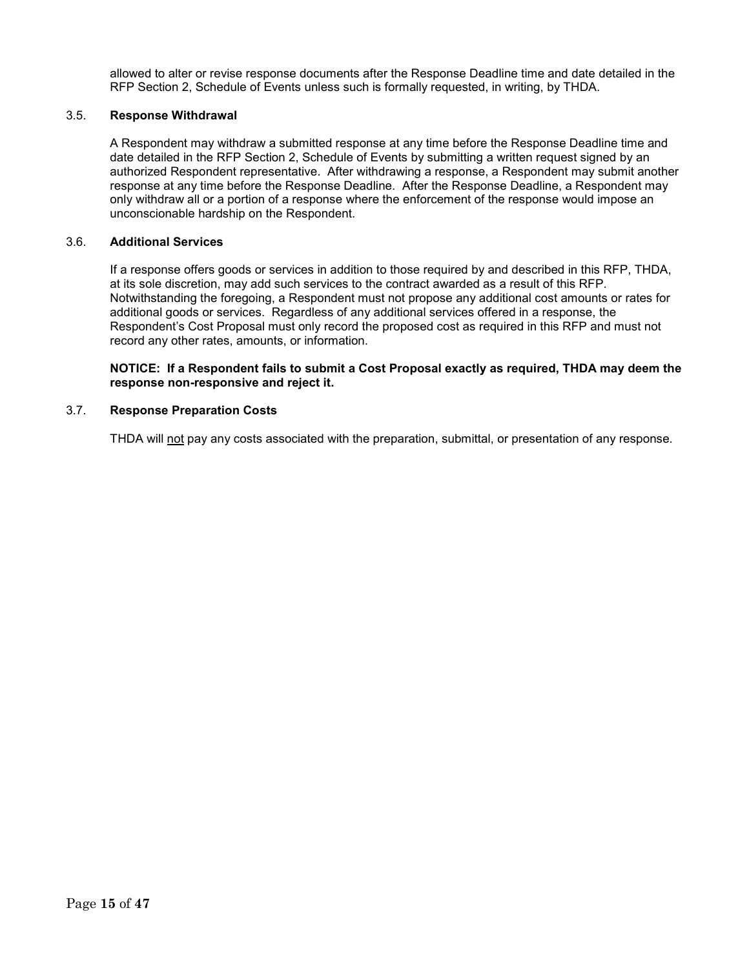allowed to alter or revise response documents after the Response Deadline time and date detailed in the RFP Section 2, Schedule of Events unless such is formally requested, in writing, by THDA.

### 3.5. **Response Withdrawal**

A Respondent may withdraw a submitted response at any time before the Response Deadline time and date detailed in the RFP Section 2, Schedule of Events by submitting a written request signed by an authorized Respondent representative. After withdrawing a response, a Respondent may submit another response at any time before the Response Deadline. After the Response Deadline, a Respondent may only withdraw all or a portion of a response where the enforcement of the response would impose an unconscionable hardship on the Respondent.

#### 3.6. **Additional Services**

If a response offers goods or services in addition to those required by and described in this RFP, THDA, at its sole discretion, may add such services to the contract awarded as a result of this RFP. Notwithstanding the foregoing, a Respondent must not propose any additional cost amounts or rates for additional goods or services. Regardless of any additional services offered in a response, the Respondent's Cost Proposal must only record the proposed cost as required in this RFP and must not record any other rates, amounts, or information.

#### **NOTICE: If a Respondent fails to submit a Cost Proposal exactly as required, THDA may deem the response non-responsive and reject it.**

### 3.7. **Response Preparation Costs**

THDA will not pay any costs associated with the preparation, submittal, or presentation of any response.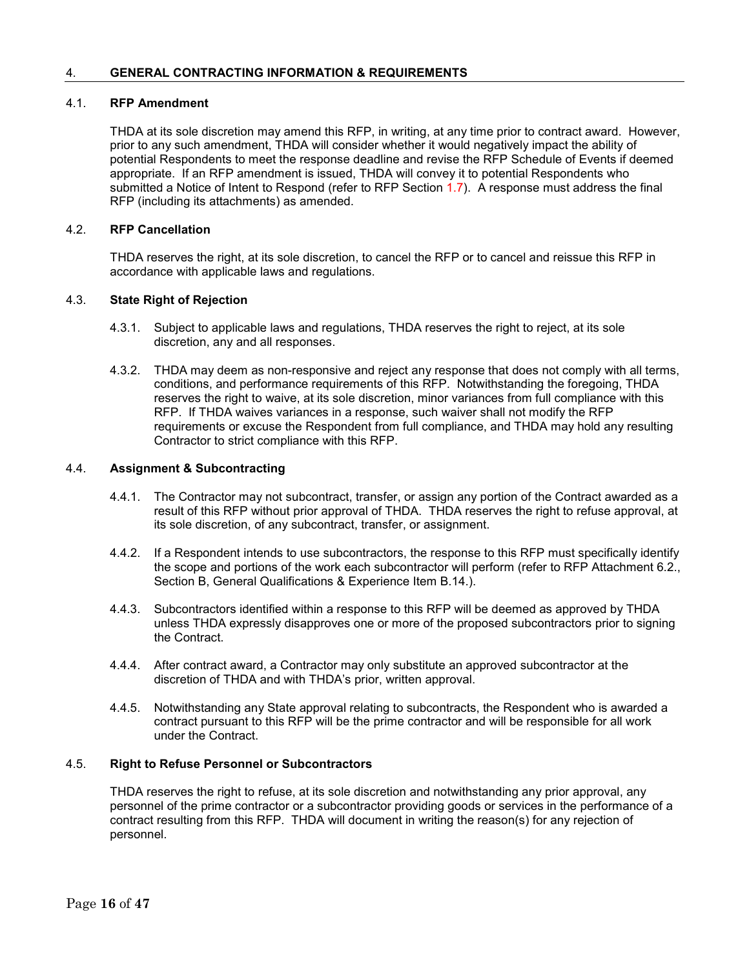#### 4. **GENERAL CONTRACTING INFORMATION & REQUIREMENTS**

### 4.1. **RFP Amendment**

THDA at its sole discretion may amend this RFP, in writing, at any time prior to contract award. However, prior to any such amendment, THDA will consider whether it would negatively impact the ability of potential Respondents to meet the response deadline and revise the RFP Schedule of Events if deemed appropriate. If an RFP amendment is issued, THDA will convey it to potential Respondents who submitted a Notice of Intent to Respond (refer to RFP Section 1.7). A response must address the final RFP (including its attachments) as amended.

### 4.2. **RFP Cancellation**

THDA reserves the right, at its sole discretion, to cancel the RFP or to cancel and reissue this RFP in accordance with applicable laws and regulations.

#### 4.3. **State Right of Rejection**

- 4.3.1. Subject to applicable laws and regulations, THDA reserves the right to reject, at its sole discretion, any and all responses.
- 4.3.2. THDA may deem as non-responsive and reject any response that does not comply with all terms, conditions, and performance requirements of this RFP. Notwithstanding the foregoing, THDA reserves the right to waive, at its sole discretion, minor variances from full compliance with this RFP. If THDA waives variances in a response, such waiver shall not modify the RFP requirements or excuse the Respondent from full compliance, and THDA may hold any resulting Contractor to strict compliance with this RFP.

#### 4.4. **Assignment & Subcontracting**

- 4.4.1. The Contractor may not subcontract, transfer, or assign any portion of the Contract awarded as a result of this RFP without prior approval of THDA. THDA reserves the right to refuse approval, at its sole discretion, of any subcontract, transfer, or assignment.
- 4.4.2. If a Respondent intends to use subcontractors, the response to this RFP must specifically identify the scope and portions of the work each subcontractor will perform (refer to RFP Attachment 6.2., Section B, General Qualifications & Experience Item B.14.).
- 4.4.3. Subcontractors identified within a response to this RFP will be deemed as approved by THDA unless THDA expressly disapproves one or more of the proposed subcontractors prior to signing the Contract.
- 4.4.4. After contract award, a Contractor may only substitute an approved subcontractor at the discretion of THDA and with THDA's prior, written approval.
- 4.4.5. Notwithstanding any State approval relating to subcontracts, the Respondent who is awarded a contract pursuant to this RFP will be the prime contractor and will be responsible for all work under the Contract.

#### 4.5. **Right to Refuse Personnel or Subcontractors**

THDA reserves the right to refuse, at its sole discretion and notwithstanding any prior approval, any personnel of the prime contractor or a subcontractor providing goods or services in the performance of a contract resulting from this RFP. THDA will document in writing the reason(s) for any rejection of personnel.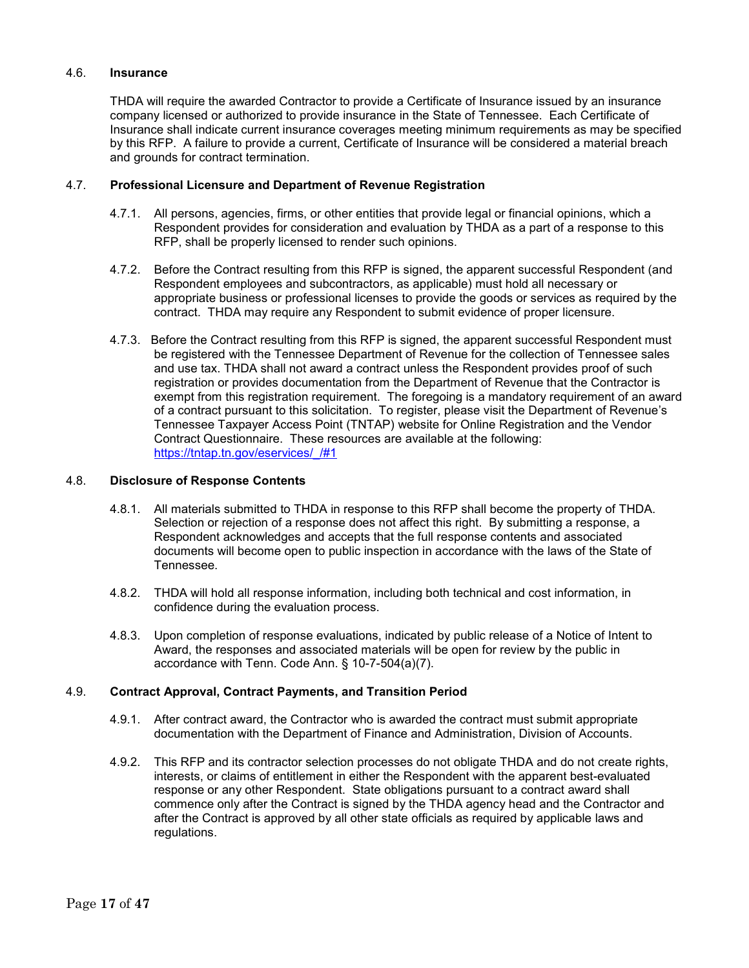#### 4.6. **Insurance**

THDA will require the awarded Contractor to provide a Certificate of Insurance issued by an insurance company licensed or authorized to provide insurance in the State of Tennessee. Each Certificate of Insurance shall indicate current insurance coverages meeting minimum requirements as may be specified by this RFP. A failure to provide a current, Certificate of Insurance will be considered a material breach and grounds for contract termination.

### 4.7. **Professional Licensure and Department of Revenue Registration**

- 4.7.1. All persons, agencies, firms, or other entities that provide legal or financial opinions, which a Respondent provides for consideration and evaluation by THDA as a part of a response to this RFP, shall be properly licensed to render such opinions.
- 4.7.2. Before the Contract resulting from this RFP is signed, the apparent successful Respondent (and Respondent employees and subcontractors, as applicable) must hold all necessary or appropriate business or professional licenses to provide the goods or services as required by the contract. THDA may require any Respondent to submit evidence of proper licensure.
- 4.7.3. Before the Contract resulting from this RFP is signed, the apparent successful Respondent must be registered with the Tennessee Department of Revenue for the collection of Tennessee sales and use tax. THDA shall not award a contract unless the Respondent provides proof of such registration or provides documentation from the Department of Revenue that the Contractor is exempt from this registration requirement. The foregoing is a mandatory requirement of an award of a contract pursuant to this solicitation. To register, please visit the Department of Revenue's Tennessee Taxpayer Access Point (TNTAP) website for Online Registration and the Vendor Contract Questionnaire. These resources are available at the following: [https://tntap.tn.gov/eservices/\\_/#1](https://tntap.tn.gov/eservices/_/#1)

#### 4.8. **Disclosure of Response Contents**

- 4.8.1. All materials submitted to THDA in response to this RFP shall become the property of THDA. Selection or rejection of a response does not affect this right. By submitting a response, a Respondent acknowledges and accepts that the full response contents and associated documents will become open to public inspection in accordance with the laws of the State of Tennessee.
- 4.8.2. THDA will hold all response information, including both technical and cost information, in confidence during the evaluation process.
- 4.8.3. Upon completion of response evaluations, indicated by public release of a Notice of Intent to Award, the responses and associated materials will be open for review by the public in accordance with Tenn. Code Ann. § 10-7-504(a)(7).

#### 4.9. **Contract Approval, Contract Payments, and Transition Period**

- 4.9.1. After contract award, the Contractor who is awarded the contract must submit appropriate documentation with the Department of Finance and Administration, Division of Accounts.
- 4.9.2. This RFP and its contractor selection processes do not obligate THDA and do not create rights, interests, or claims of entitlement in either the Respondent with the apparent best-evaluated response or any other Respondent. State obligations pursuant to a contract award shall commence only after the Contract is signed by the THDA agency head and the Contractor and after the Contract is approved by all other state officials as required by applicable laws and regulations.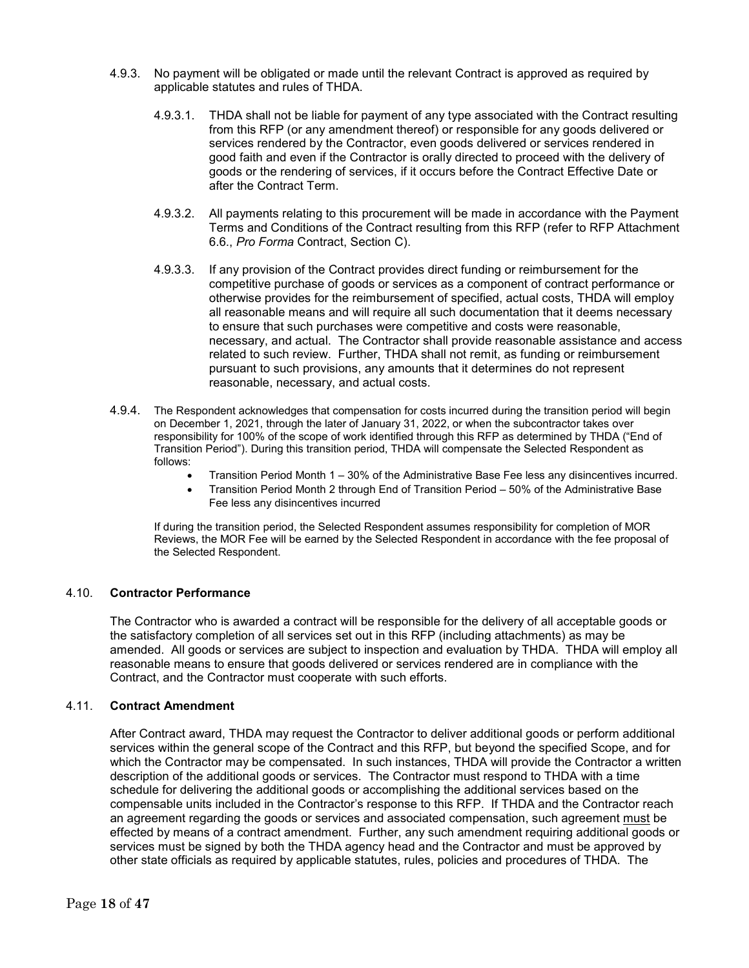- 4.9.3. No payment will be obligated or made until the relevant Contract is approved as required by applicable statutes and rules of THDA.
	- 4.9.3.1. THDA shall not be liable for payment of any type associated with the Contract resulting from this RFP (or any amendment thereof) or responsible for any goods delivered or services rendered by the Contractor, even goods delivered or services rendered in good faith and even if the Contractor is orally directed to proceed with the delivery of goods or the rendering of services, if it occurs before the Contract Effective Date or after the Contract Term.
	- 4.9.3.2. All payments relating to this procurement will be made in accordance with the Payment Terms and Conditions of the Contract resulting from this RFP (refer to RFP Attachment 6.6., *Pro Forma* Contract, Section C).
	- 4.9.3.3. If any provision of the Contract provides direct funding or reimbursement for the competitive purchase of goods or services as a component of contract performance or otherwise provides for the reimbursement of specified, actual costs, THDA will employ all reasonable means and will require all such documentation that it deems necessary to ensure that such purchases were competitive and costs were reasonable, necessary, and actual. The Contractor shall provide reasonable assistance and access related to such review. Further, THDA shall not remit, as funding or reimbursement pursuant to such provisions, any amounts that it determines do not represent reasonable, necessary, and actual costs.
- 4.9.4. The Respondent acknowledges that compensation for costs incurred during the transition period will begin on December 1, 2021, through the later of January 31, 2022, or when the subcontractor takes over responsibility for 100% of the scope of work identified through this RFP as determined by THDA ("End of Transition Period"). During this transition period, THDA will compensate the Selected Respondent as follows:
	- Transition Period Month 1 30% of the Administrative Base Fee less any disincentives incurred.
	- Transition Period Month 2 through End of Transition Period 50% of the Administrative Base Fee less any disincentives incurred

If during the transition period, the Selected Respondent assumes responsibility for completion of MOR Reviews, the MOR Fee will be earned by the Selected Respondent in accordance with the fee proposal of the Selected Respondent.

### 4.10. **Contractor Performance**

The Contractor who is awarded a contract will be responsible for the delivery of all acceptable goods or the satisfactory completion of all services set out in this RFP (including attachments) as may be amended. All goods or services are subject to inspection and evaluation by THDA. THDA will employ all reasonable means to ensure that goods delivered or services rendered are in compliance with the Contract, and the Contractor must cooperate with such efforts.

### 4.11. **Contract Amendment**

After Contract award, THDA may request the Contractor to deliver additional goods or perform additional services within the general scope of the Contract and this RFP, but beyond the specified Scope, and for which the Contractor may be compensated. In such instances, THDA will provide the Contractor a written description of the additional goods or services. The Contractor must respond to THDA with a time schedule for delivering the additional goods or accomplishing the additional services based on the compensable units included in the Contractor's response to this RFP. If THDA and the Contractor reach an agreement regarding the goods or services and associated compensation, such agreement must be effected by means of a contract amendment. Further, any such amendment requiring additional goods or services must be signed by both the THDA agency head and the Contractor and must be approved by other state officials as required by applicable statutes, rules, policies and procedures of THDA. The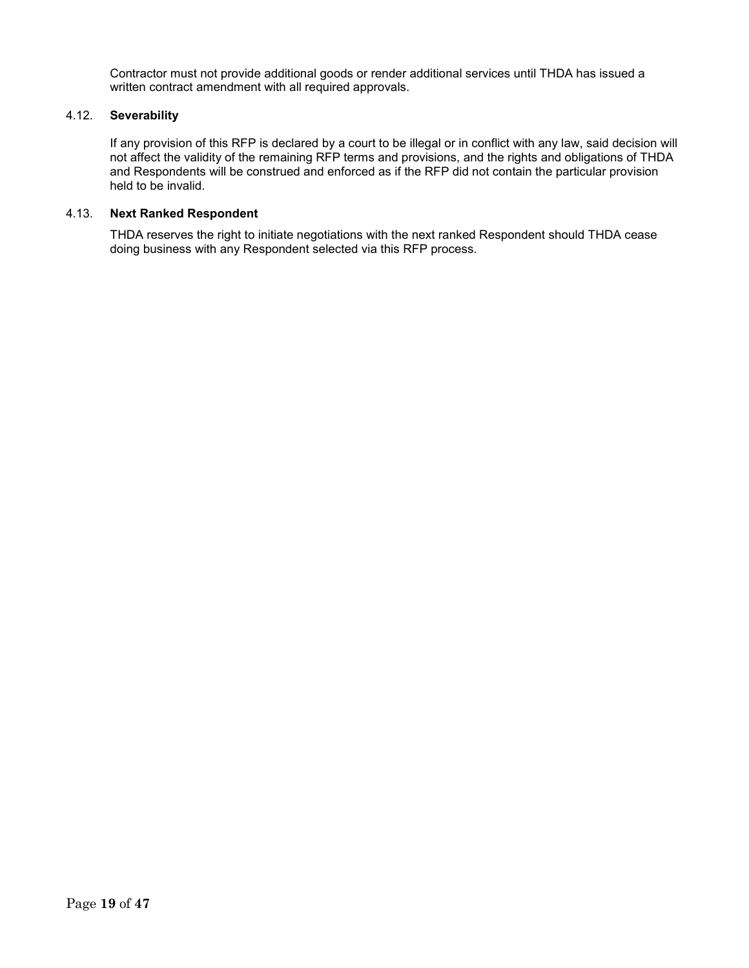Contractor must not provide additional goods or render additional services until THDA has issued a written contract amendment with all required approvals.

### 4.12. **Severability**

If any provision of this RFP is declared by a court to be illegal or in conflict with any law, said decision will not affect the validity of the remaining RFP terms and provisions, and the rights and obligations of THDA and Respondents will be construed and enforced as if the RFP did not contain the particular provision held to be invalid.

#### 4.13. **Next Ranked Respondent**

THDA reserves the right to initiate negotiations with the next ranked Respondent should THDA cease doing business with any Respondent selected via this RFP process.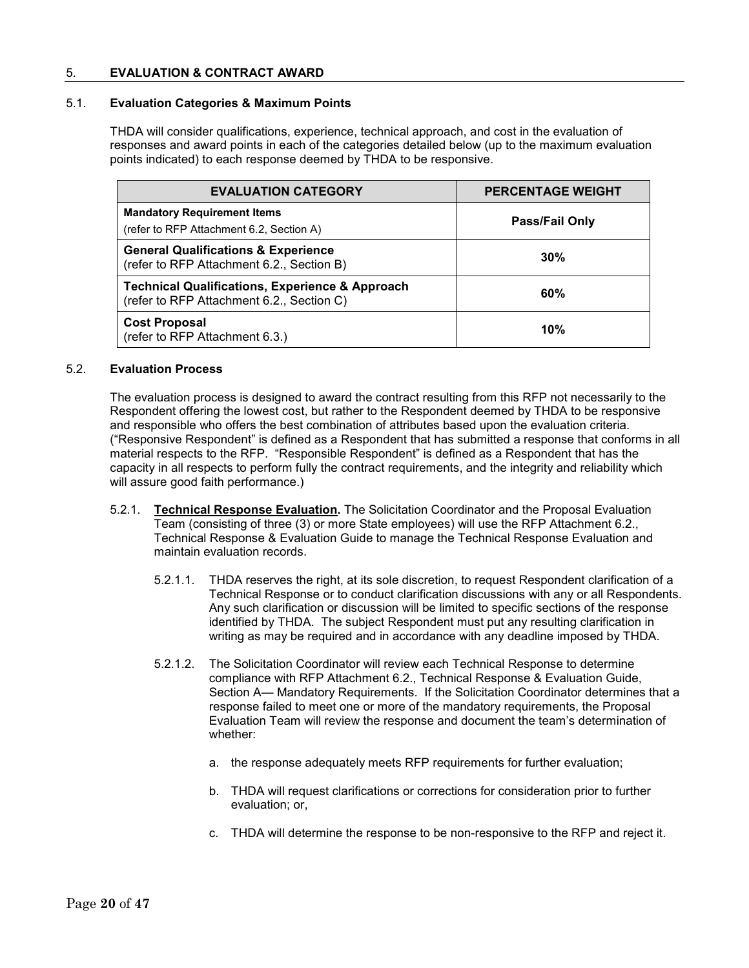#### 5. **EVALUATION & CONTRACT AWARD**

#### 5.1. **Evaluation Categories & Maximum Points**

THDA will consider qualifications, experience, technical approach, and cost in the evaluation of responses and award points in each of the categories detailed below (up to the maximum evaluation points indicated) to each response deemed by THDA to be responsive.

| <b>EVALUATION CATEGORY</b>                                                                              | <b>PERCENTAGE WEIGHT</b> |
|---------------------------------------------------------------------------------------------------------|--------------------------|
| <b>Mandatory Requirement Items</b><br>(refer to RFP Attachment 6.2, Section A)                          | <b>Pass/Fail Only</b>    |
| <b>General Qualifications &amp; Experience</b><br>(refer to RFP Attachment 6.2., Section B)             | 30%                      |
| <b>Technical Qualifications, Experience &amp; Approach</b><br>(refer to RFP Attachment 6.2., Section C) | 60%                      |
| <b>Cost Proposal</b><br>(refer to RFP Attachment 6.3.)                                                  | 10%                      |

#### 5.2. **Evaluation Process**

The evaluation process is designed to award the contract resulting from this RFP not necessarily to the Respondent offering the lowest cost, but rather to the Respondent deemed by THDA to be responsive and responsible who offers the best combination of attributes based upon the evaluation criteria. ("Responsive Respondent" is defined as a Respondent that has submitted a response that conforms in all material respects to the RFP. "Responsible Respondent" is defined as a Respondent that has the capacity in all respects to perform fully the contract requirements, and the integrity and reliability which will assure good faith performance.)

- 5.2.1. **Technical Response Evaluation.** The Solicitation Coordinator and the Proposal Evaluation Team (consisting of three (3) or more State employees) will use the RFP Attachment 6.2., Technical Response & Evaluation Guide to manage the Technical Response Evaluation and maintain evaluation records.
	- 5.2.1.1. THDA reserves the right, at its sole discretion, to request Respondent clarification of a Technical Response or to conduct clarification discussions with any or all Respondents. Any such clarification or discussion will be limited to specific sections of the response identified by THDA. The subject Respondent must put any resulting clarification in writing as may be required and in accordance with any deadline imposed by THDA.
	- 5.2.1.2. The Solicitation Coordinator will review each Technical Response to determine compliance with RFP Attachment 6.2., Technical Response & Evaluation Guide, Section A— Mandatory Requirements. If the Solicitation Coordinator determines that a response failed to meet one or more of the mandatory requirements, the Proposal Evaluation Team will review the response and document the team's determination of whether:
		- a. the response adequately meets RFP requirements for further evaluation;
		- b. THDA will request clarifications or corrections for consideration prior to further evaluation; or,
		- c. THDA will determine the response to be non-responsive to the RFP and reject it.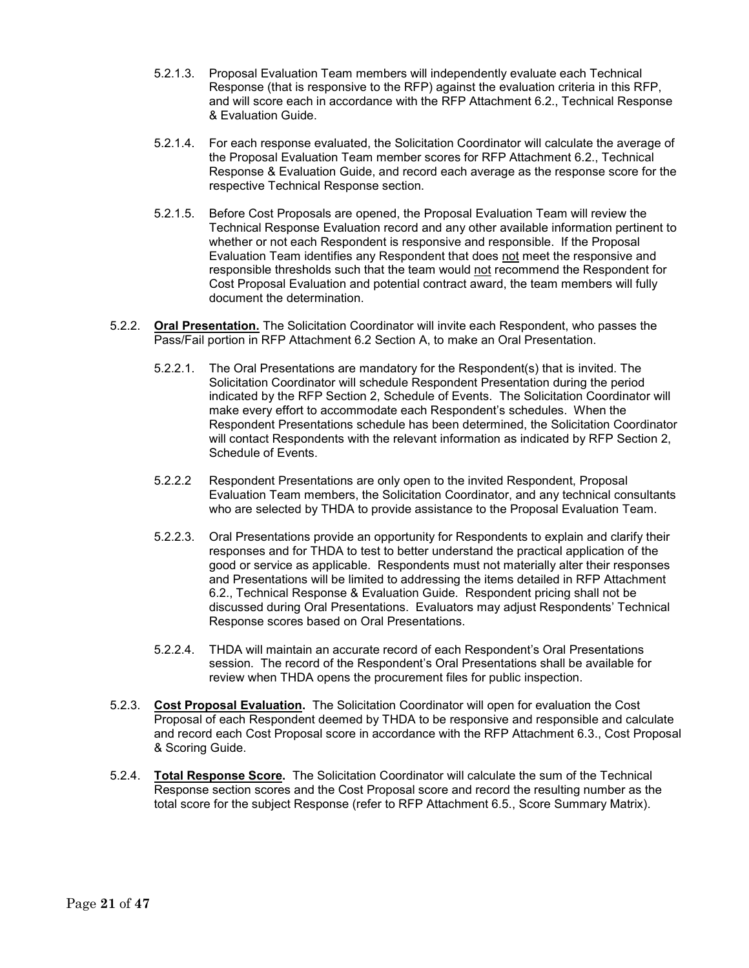- 5.2.1.3. Proposal Evaluation Team members will independently evaluate each Technical Response (that is responsive to the RFP) against the evaluation criteria in this RFP, and will score each in accordance with the RFP Attachment 6.2., Technical Response & Evaluation Guide.
- 5.2.1.4. For each response evaluated, the Solicitation Coordinator will calculate the average of the Proposal Evaluation Team member scores for RFP Attachment 6.2., Technical Response & Evaluation Guide, and record each average as the response score for the respective Technical Response section.
- 5.2.1.5. Before Cost Proposals are opened, the Proposal Evaluation Team will review the Technical Response Evaluation record and any other available information pertinent to whether or not each Respondent is responsive and responsible. If the Proposal Evaluation Team identifies any Respondent that does not meet the responsive and responsible thresholds such that the team would not recommend the Respondent for Cost Proposal Evaluation and potential contract award, the team members will fully document the determination.
- 5.2.2. **Oral Presentation.** The Solicitation Coordinator will invite each Respondent, who passes the Pass/Fail portion in RFP Attachment 6.2 Section A, to make an Oral Presentation.
	- 5.2.2.1. The Oral Presentations are mandatory for the Respondent(s) that is invited. The Solicitation Coordinator will schedule Respondent Presentation during the period indicated by the RFP Section 2, Schedule of Events. The Solicitation Coordinator will make every effort to accommodate each Respondent's schedules. When the Respondent Presentations schedule has been determined, the Solicitation Coordinator will contact Respondents with the relevant information as indicated by RFP Section 2, Schedule of Events.
	- 5.2.2.2 Respondent Presentations are only open to the invited Respondent, Proposal Evaluation Team members, the Solicitation Coordinator, and any technical consultants who are selected by THDA to provide assistance to the Proposal Evaluation Team.
	- 5.2.2.3. Oral Presentations provide an opportunity for Respondents to explain and clarify their responses and for THDA to test to better understand the practical application of the good or service as applicable. Respondents must not materially alter their responses and Presentations will be limited to addressing the items detailed in RFP Attachment 6.2., Technical Response & Evaluation Guide. Respondent pricing shall not be discussed during Oral Presentations. Evaluators may adjust Respondents' Technical Response scores based on Oral Presentations.
	- 5.2.2.4. THDA will maintain an accurate record of each Respondent's Oral Presentations session. The record of the Respondent's Oral Presentations shall be available for review when THDA opens the procurement files for public inspection.
- 5.2.3. **Cost Proposal Evaluation.** The Solicitation Coordinator will open for evaluation the Cost Proposal of each Respondent deemed by THDA to be responsive and responsible and calculate and record each Cost Proposal score in accordance with the RFP Attachment 6.3., Cost Proposal & Scoring Guide.
- 5.2.4. **Total Response Score.** The Solicitation Coordinator will calculate the sum of the Technical Response section scores and the Cost Proposal score and record the resulting number as the total score for the subject Response (refer to RFP Attachment 6.5., Score Summary Matrix).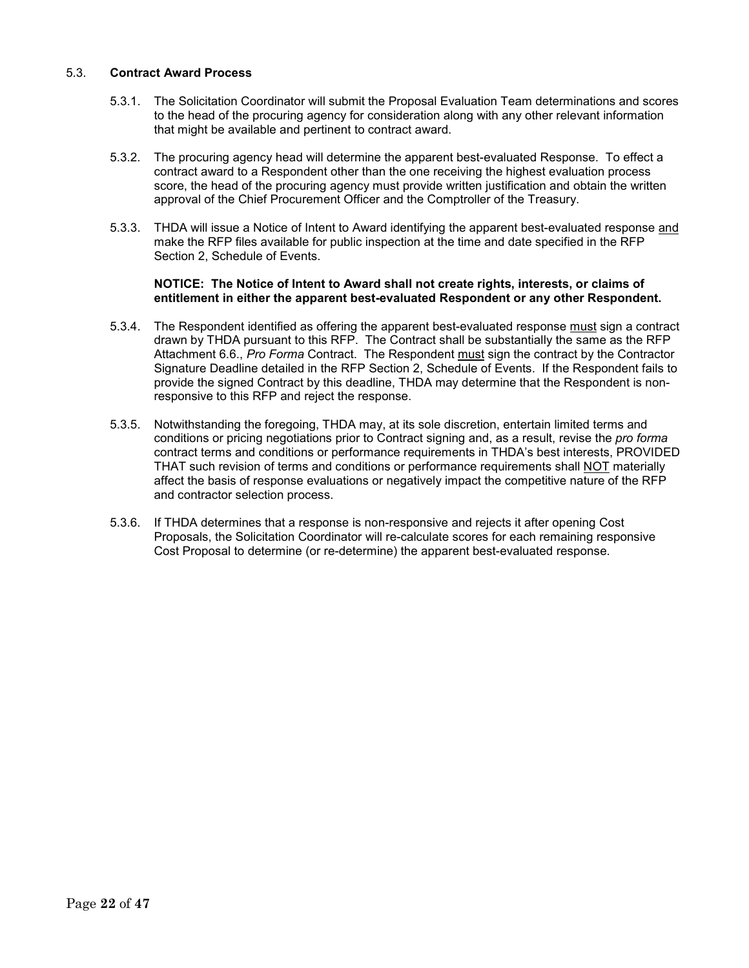#### 5.3. **Contract Award Process**

- 5.3.1. The Solicitation Coordinator will submit the Proposal Evaluation Team determinations and scores to the head of the procuring agency for consideration along with any other relevant information that might be available and pertinent to contract award.
- 5.3.2. The procuring agency head will determine the apparent best-evaluated Response. To effect a contract award to a Respondent other than the one receiving the highest evaluation process score, the head of the procuring agency must provide written justification and obtain the written approval of the Chief Procurement Officer and the Comptroller of the Treasury.
- 5.3.3. THDA will issue a Notice of Intent to Award identifying the apparent best-evaluated response and make the RFP files available for public inspection at the time and date specified in the RFP Section 2, Schedule of Events.

#### **NOTICE: The Notice of Intent to Award shall not create rights, interests, or claims of entitlement in either the apparent best-evaluated Respondent or any other Respondent.**

- 5.3.4. The Respondent identified as offering the apparent best-evaluated response must sign a contract drawn by THDA pursuant to this RFP. The Contract shall be substantially the same as the RFP Attachment 6.6., *Pro Forma* Contract. The Respondent must sign the contract by the Contractor Signature Deadline detailed in the RFP Section 2, Schedule of Events. If the Respondent fails to provide the signed Contract by this deadline, THDA may determine that the Respondent is nonresponsive to this RFP and reject the response.
- 5.3.5. Notwithstanding the foregoing, THDA may, at its sole discretion, entertain limited terms and conditions or pricing negotiations prior to Contract signing and, as a result, revise the *pro forma* contract terms and conditions or performance requirements in THDA's best interests, PROVIDED THAT such revision of terms and conditions or performance requirements shall NOT materially affect the basis of response evaluations or negatively impact the competitive nature of the RFP and contractor selection process.
- 5.3.6. If THDA determines that a response is non-responsive and rejects it after opening Cost Proposals, the Solicitation Coordinator will re-calculate scores for each remaining responsive Cost Proposal to determine (or re-determine) the apparent best-evaluated response.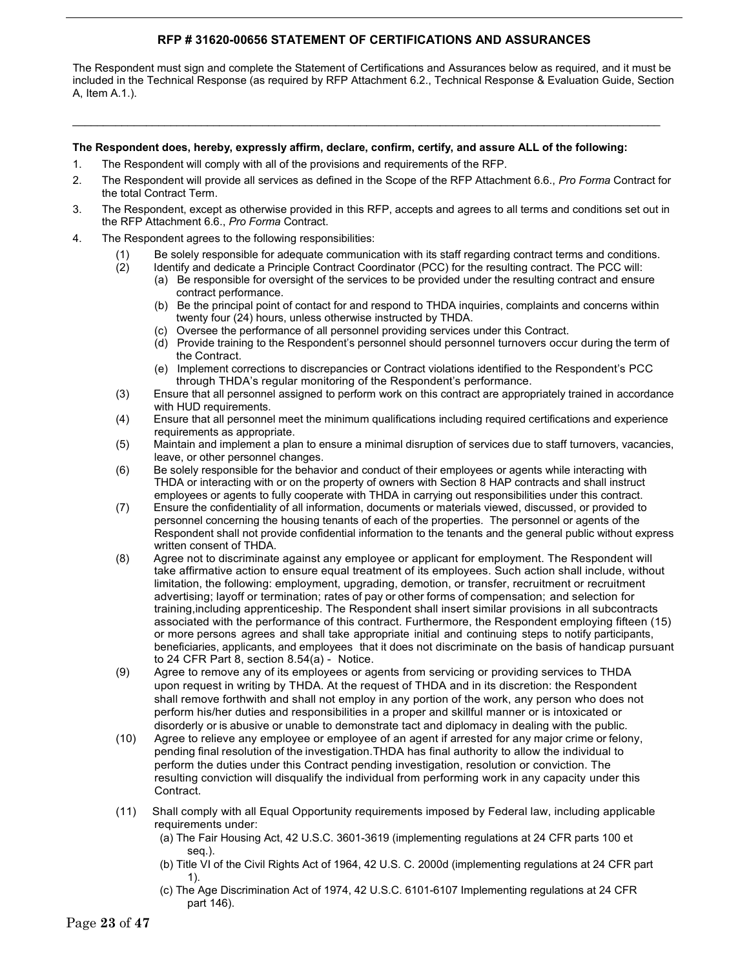### **RFP # 31620-00656 STATEMENT OF CERTIFICATIONS AND ASSURANCES**

The Respondent must sign and complete the Statement of Certifications and Assurances below as required, and it must be included in the Technical Response (as required by RFP Attachment 6.2., Technical Response & Evaluation Guide, Section A, Item A.1.).

\_\_\_\_\_\_\_\_\_\_\_\_\_\_\_\_\_\_\_\_\_\_\_\_\_\_\_\_\_\_\_\_\_\_\_\_\_\_\_\_\_\_\_\_\_\_\_\_\_\_\_\_\_\_\_\_\_\_\_\_\_\_\_\_\_\_\_\_\_\_\_\_\_\_\_\_\_\_\_\_\_\_\_\_\_\_\_\_\_\_\_\_\_\_\_\_

#### **The Respondent does, hereby, expressly affirm, declare, confirm, certify, and assure ALL of the following:**

- 1. The Respondent will comply with all of the provisions and requirements of the RFP.
- 2. The Respondent will provide all services as defined in the Scope of the RFP Attachment 6.6., *Pro Forma* Contract for the total Contract Term.
- 3. The Respondent, except as otherwise provided in this RFP, accepts and agrees to all terms and conditions set out in the RFP Attachment 6.6., *Pro Forma* Contract.
- 4. The Respondent agrees to the following responsibilities:
	-
	- (1) Be solely responsible for adequate communication with its staff regarding contract terms and conditions.<br>(2) Identify and dedicate a Principle Contract Coordinator (PCC) for the resulting contract. The PCC will: Identify and dedicate a Principle Contract Coordinator (PCC) for the resulting contract. The PCC will:
		- (a) Be responsible for oversight of the services to be provided under the resulting contract and ensure contract performance.
		- (b) Be the principal point of contact for and respond to THDA inquiries, complaints and concerns within twenty four (24) hours, unless otherwise instructed by THDA.
		- (c) Oversee the performance of all personnel providing services under this Contract.
		- (d) Provide training to the Respondent's personnel should personnel turnovers occur during the term of the Contract.
		- (e) Implement corrections to discrepancies or Contract violations identified to the Respondent's PCC through THDA's regular monitoring of the Respondent's performance.
	- (3) Ensure that all personnel assigned to perform work on this contract are appropriately trained in accordance with HUD requirements.
	- (4) Ensure that all personnel meet the minimum qualifications including required certifications and experience requirements as appropriate.
	- (5) Maintain and implement a plan to ensure a minimal disruption of services due to staff turnovers, vacancies, leave, or other personnel changes.
	- (6) Be solely responsible for the behavior and conduct of their employees or agents while interacting with THDA or interacting with or on the property of owners with Section 8 HAP contracts and shall instruct employees or agents to fully cooperate with THDA in carrying out responsibilities under this contract.
	- (7) Ensure the confidentiality of all information, documents or materials viewed, discussed, or provided to personnel concerning the housing tenants of each of the properties. The personnel or agents of the Respondent shall not provide confidential information to the tenants and the general public without express written consent of THDA.
	- (8) Agree not to discriminate against any employee or applicant for employment. The Respondent will take affirmative action to ensure equal treatment of its employees. Such action shall include, without limitation, the following: employment, upgrading, demotion, or transfer, recruitment or recruitment advertising; layoff or termination; rates of pay or other forms of compensation; and selection for training,including apprenticeship. The Respondent shall insert similar provisions in all subcontracts associated with the performance of this contract. Furthermore, the Respondent employing fifteen (15) or more persons agrees and shall take appropriate initial and continuing steps to notify participants, beneficiaries, applicants, and employees that it does not discriminate on the basis of handicap pursuant to 24 CFR Part 8, section 8.54(a) - Notice.
	- (9) Agree to remove any of its employees or agents from servicing or providing services to THDA upon request in writing by THDA. At the request of THDA and in its discretion: the Respondent shall remove forthwith and shall not employ in any portion of the work, any person who does not perform his/her duties and responsibilities in a proper and skillful manner or is intoxicated or disorderly or is abusive or unable to demonstrate tact and diplomacy in dealing with the public.
	- (10) Agree to relieve any employee or employee of an agent if arrested for any major crime or felony, pending final resolution of the investigation.THDA has final authority to allow the individual to perform the duties under this Contract pending investigation, resolution or conviction. The resulting conviction will disqualify the individual from performing work in any capacity under this Contract.
	- (11) Shall comply with all Equal Opportunity requirements imposed by Federal law, including applicable requirements under:
		- (a) The Fair Housing Act, 42 U.S.C. 3601-3619 (implementing regulations at 24 CFR parts 100 et seq.).
		- (b) Title VI of the Civil Rights Act of 1964, 42 U.S. C. 2000d (implementing regulations at 24 CFR part 1).
		- (c) The Age Discrimination Act of 1974, 42 U.S.C. 6101-6107 Implementing regulations at 24 CFR part 146).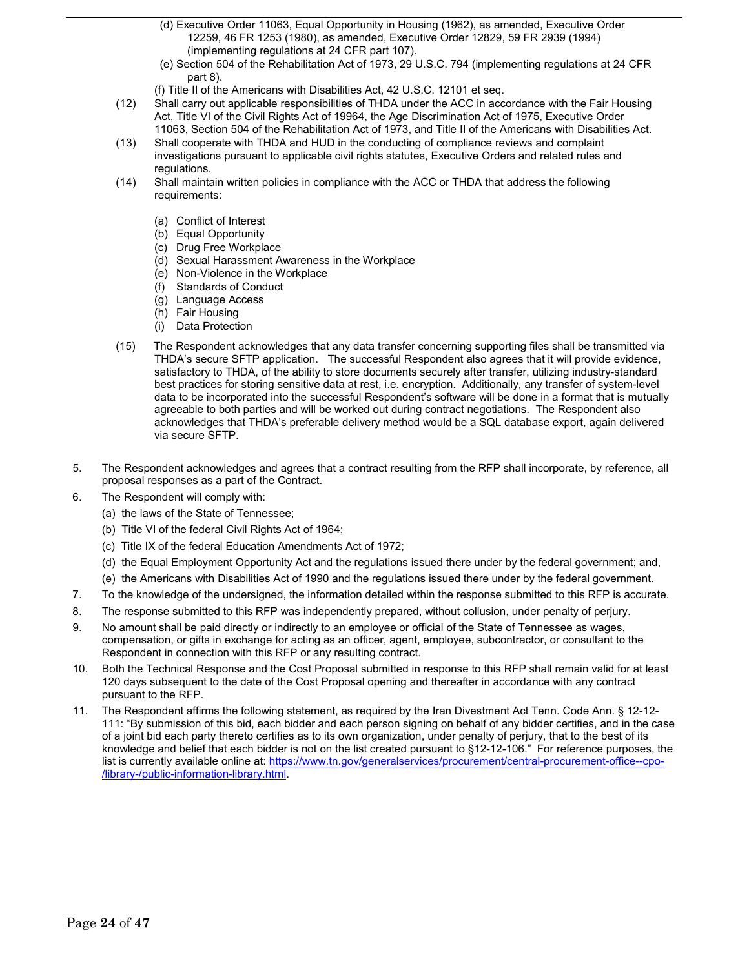- (d) Executive Order 11063, Equal Opportunity in Housing (1962), as amended, Executive Order 12259, 46 FR 1253 (1980), as amended, Executive Order 12829, 59 FR 2939 (1994) (implementing regulations at 24 CFR part 107).
- (e) Section 504 of the Rehabilitation Act of 1973, 29 U.S.C. 794 (implementing regulations at 24 CFR part 8).
- (f) Title II of the Americans with Disabilities Act, 42 U.S.C. 12101 et seq.
- (12) Shall carry out applicable responsibilities of THDA under the ACC in accordance with the Fair Housing Act, Title VI of the Civil Rights Act of 19964, the Age Discrimination Act of 1975, Executive Order 11063, Section 504 of the Rehabilitation Act of 1973, and Title II of the Americans with Disabilities Act.
- (13) Shall cooperate with THDA and HUD in the conducting of compliance reviews and complaint investigations pursuant to applicable civil rights statutes, Executive Orders and related rules and regulations.
- (14) Shall maintain written policies in compliance with the ACC or THDA that address the following requirements:
	- (a) Conflict of Interest
	- (b) Equal Opportunity
	- (c) Drug Free Workplace
	- (d) Sexual Harassment Awareness in the Workplace
	- (e) Non-Violence in the Workplace
	- (f) Standards of Conduct
	- (g) Language Access
	- (h) Fair Housing
	- (i) Data Protection
- (15) The Respondent acknowledges that any data transfer concerning supporting files shall be transmitted via THDA's secure SFTP application. The successful Respondent also agrees that it will provide evidence, satisfactory to THDA, of the ability to store documents securely after transfer, utilizing industry-standard best practices for storing sensitive data at rest, i.e. encryption. Additionally, any transfer of system-level data to be incorporated into the successful Respondent's software will be done in a format that is mutually agreeable to both parties and will be worked out during contract negotiations. The Respondent also acknowledges that THDA's preferable delivery method would be a SQL database export, again delivered via secure SFTP.
- 5. The Respondent acknowledges and agrees that a contract resulting from the RFP shall incorporate, by reference, all proposal responses as a part of the Contract.
- 6. The Respondent will comply with:
	- (a) the laws of the State of Tennessee;
	- (b) Title VI of the federal Civil Rights Act of 1964;
	- (c) Title IX of the federal Education Amendments Act of 1972;
	- (d) the Equal Employment Opportunity Act and the regulations issued there under by the federal government; and,
	- (e) the Americans with Disabilities Act of 1990 and the regulations issued there under by the federal government.
- 7. To the knowledge of the undersigned, the information detailed within the response submitted to this RFP is accurate.
- 8. The response submitted to this RFP was independently prepared, without collusion, under penalty of perjury.
- 9. No amount shall be paid directly or indirectly to an employee or official of the State of Tennessee as wages, compensation, or gifts in exchange for acting as an officer, agent, employee, subcontractor, or consultant to the Respondent in connection with this RFP or any resulting contract.
- 10. Both the Technical Response and the Cost Proposal submitted in response to this RFP shall remain valid for at least 120 days subsequent to the date of the Cost Proposal opening and thereafter in accordance with any contract pursuant to the RFP.
- 11. The Respondent affirms the following statement, as required by the Iran Divestment Act Tenn. Code Ann. § 12-12- 111: "By submission of this bid, each bidder and each person signing on behalf of any bidder certifies, and in the case of a joint bid each party thereto certifies as to its own organization, under penalty of perjury, that to the best of its knowledge and belief that each bidder is not on the list created pursuant to §12-12-106." For reference purposes, the list is currently available online at: [https://www.tn.gov/generalservices/procurement/central-procurement-office--cpo-](https://www.tn.gov/generalservices/procurement/central-procurement-office--cpo-/library-/public-information-library.html) [/library-/public-information-library.html.](https://www.tn.gov/generalservices/procurement/central-procurement-office--cpo-/library-/public-information-library.html)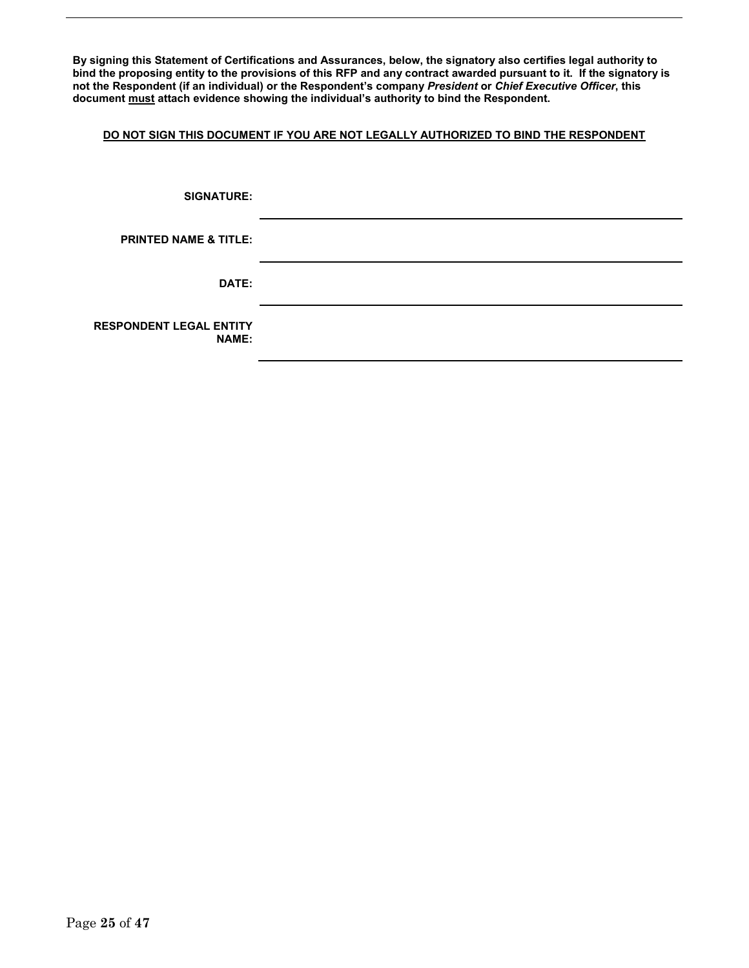**By signing this Statement of Certifications and Assurances, below, the signatory also certifies legal authority to bind the proposing entity to the provisions of this RFP and any contract awarded pursuant to it. If the signatory is not the Respondent (if an individual) or the Respondent's company** *President* **or** *Chief Executive Officer***, this document must attach evidence showing the individual's authority to bind the Respondent.**

### **DO NOT SIGN THIS DOCUMENT IF YOU ARE NOT LEGALLY AUTHORIZED TO BIND THE RESPONDENT**

| <b>SIGNATURE:</b>                              |  |
|------------------------------------------------|--|
| <b>PRINTED NAME &amp; TITLE:</b>               |  |
| DATE:                                          |  |
| <b>RESPONDENT LEGAL ENTITY</b><br><b>NAME:</b> |  |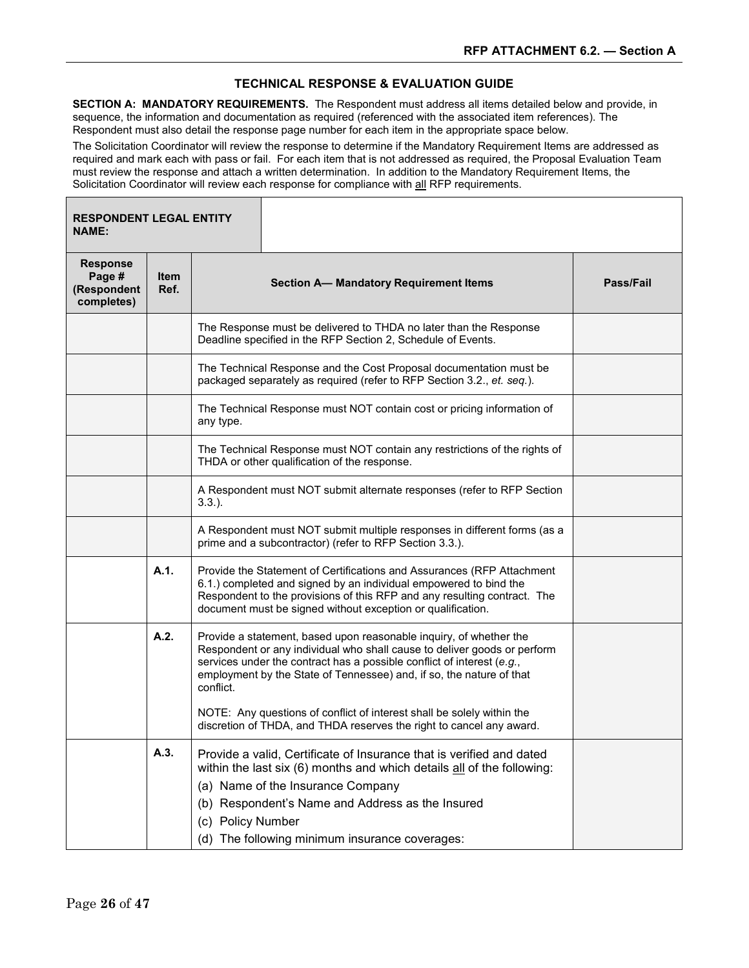### **TECHNICAL RESPONSE & EVALUATION GUIDE**

**SECTION A: MANDATORY REQUIREMENTS.** The Respondent must address all items detailed below and provide, in sequence, the information and documentation as required (referenced with the associated item references). The Respondent must also detail the response page number for each item in the appropriate space below.

The Solicitation Coordinator will review the response to determine if the Mandatory Requirement Items are addressed as required and mark each with pass or fail. For each item that is not addressed as required, the Proposal Evaluation Team must review the response and attach a written determination. In addition to the Mandatory Requirement Items, the Solicitation Coordinator will review each response for compliance with all RFP requirements.

| <b>RESPONDENT LEGAL ENTITY</b><br><b>NAME:</b>         |                     |                   |                                                                                                                                                                                                                                                                                                                                                                            |  |  |  |  |
|--------------------------------------------------------|---------------------|-------------------|----------------------------------------------------------------------------------------------------------------------------------------------------------------------------------------------------------------------------------------------------------------------------------------------------------------------------------------------------------------------------|--|--|--|--|
| <b>Response</b><br>Page #<br>(Respondent<br>completes) | <b>Item</b><br>Ref. |                   | <b>Section A- Mandatory Requirement Items</b>                                                                                                                                                                                                                                                                                                                              |  |  |  |  |
|                                                        |                     |                   | The Response must be delivered to THDA no later than the Response<br>Deadline specified in the RFP Section 2, Schedule of Events.                                                                                                                                                                                                                                          |  |  |  |  |
|                                                        |                     |                   | The Technical Response and the Cost Proposal documentation must be<br>packaged separately as required (refer to RFP Section 3.2., et. seq.).                                                                                                                                                                                                                               |  |  |  |  |
|                                                        |                     | any type.         | The Technical Response must NOT contain cost or pricing information of                                                                                                                                                                                                                                                                                                     |  |  |  |  |
|                                                        |                     |                   | The Technical Response must NOT contain any restrictions of the rights of<br>THDA or other qualification of the response.                                                                                                                                                                                                                                                  |  |  |  |  |
|                                                        |                     | $3.3.$ ).         | A Respondent must NOT submit alternate responses (refer to RFP Section                                                                                                                                                                                                                                                                                                     |  |  |  |  |
|                                                        |                     |                   | A Respondent must NOT submit multiple responses in different forms (as a<br>prime and a subcontractor) (refer to RFP Section 3.3.).                                                                                                                                                                                                                                        |  |  |  |  |
|                                                        | A.1.                |                   | Provide the Statement of Certifications and Assurances (RFP Attachment<br>6.1.) completed and signed by an individual empowered to bind the<br>Respondent to the provisions of this RFP and any resulting contract. The<br>document must be signed without exception or qualification.                                                                                     |  |  |  |  |
|                                                        | A.2.                | conflict.         | Provide a statement, based upon reasonable inquiry, of whether the<br>Respondent or any individual who shall cause to deliver goods or perform<br>services under the contract has a possible conflict of interest (e.g.,<br>employment by the State of Tennessee) and, if so, the nature of that<br>NOTE: Any questions of conflict of interest shall be solely within the |  |  |  |  |
|                                                        | A.3.                |                   | discretion of THDA, and THDA reserves the right to cancel any award.<br>Provide a valid, Certificate of Insurance that is verified and dated                                                                                                                                                                                                                               |  |  |  |  |
|                                                        |                     |                   | within the last six (6) months and which details all of the following:                                                                                                                                                                                                                                                                                                     |  |  |  |  |
|                                                        |                     |                   | (a) Name of the Insurance Company                                                                                                                                                                                                                                                                                                                                          |  |  |  |  |
|                                                        |                     |                   | (b) Respondent's Name and Address as the Insured                                                                                                                                                                                                                                                                                                                           |  |  |  |  |
|                                                        |                     | (c) Policy Number |                                                                                                                                                                                                                                                                                                                                                                            |  |  |  |  |
|                                                        |                     |                   | (d) The following minimum insurance coverages:                                                                                                                                                                                                                                                                                                                             |  |  |  |  |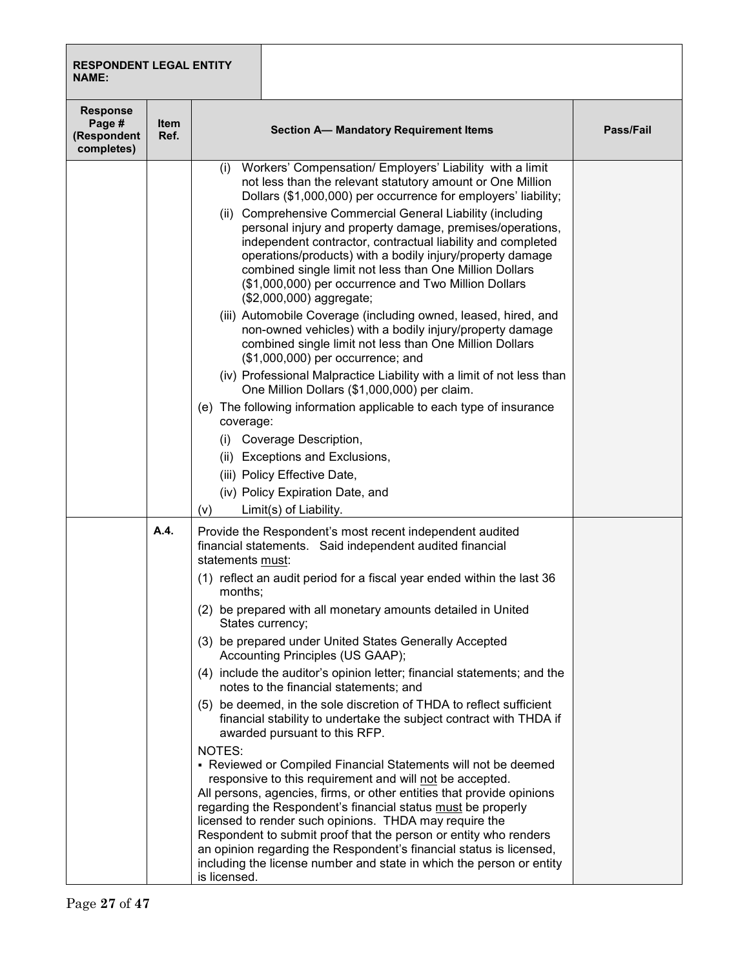| <b>RESPONDENT LEGAL ENTITY</b><br><b>NAME:</b>         |                     |                                                                                                                                                                                                                                                                                                                                                                                                                                                                                                                                                                                                                                                                                                                                                                                                                                                                                                                                                                                                                                                                                                                                                                                                                                                                                                  |                  |
|--------------------------------------------------------|---------------------|--------------------------------------------------------------------------------------------------------------------------------------------------------------------------------------------------------------------------------------------------------------------------------------------------------------------------------------------------------------------------------------------------------------------------------------------------------------------------------------------------------------------------------------------------------------------------------------------------------------------------------------------------------------------------------------------------------------------------------------------------------------------------------------------------------------------------------------------------------------------------------------------------------------------------------------------------------------------------------------------------------------------------------------------------------------------------------------------------------------------------------------------------------------------------------------------------------------------------------------------------------------------------------------------------|------------------|
| <b>Response</b><br>Page #<br>(Respondent<br>completes) | <b>Item</b><br>Ref. | <b>Section A- Mandatory Requirement Items</b>                                                                                                                                                                                                                                                                                                                                                                                                                                                                                                                                                                                                                                                                                                                                                                                                                                                                                                                                                                                                                                                                                                                                                                                                                                                    | <b>Pass/Fail</b> |
|                                                        |                     | (i) Workers' Compensation/ Employers' Liability with a limit<br>not less than the relevant statutory amount or One Million<br>Dollars (\$1,000,000) per occurrence for employers' liability;<br>(ii) Comprehensive Commercial General Liability (including<br>personal injury and property damage, premises/operations,<br>independent contractor, contractual liability and completed<br>operations/products) with a bodily injury/property damage<br>combined single limit not less than One Million Dollars<br>(\$1,000,000) per occurrence and Two Million Dollars<br>(\$2,000,000) aggregate;<br>(iii) Automobile Coverage (including owned, leased, hired, and<br>non-owned vehicles) with a bodily injury/property damage<br>combined single limit not less than One Million Dollars<br>(\$1,000,000) per occurrence; and<br>(iv) Professional Malpractice Liability with a limit of not less than<br>One Million Dollars (\$1,000,000) per claim.<br>(e) The following information applicable to each type of insurance<br>coverage:<br>(i) Coverage Description,<br>(ii) Exceptions and Exclusions,<br>(iii) Policy Effective Date,<br>(iv) Policy Expiration Date, and<br>Limit(s) of Liability.<br>(v)                                                                                |                  |
|                                                        | A.4.                | Provide the Respondent's most recent independent audited<br>financial statements. Said independent audited financial<br>statements must:<br>(1) reflect an audit period for a fiscal year ended within the last 36<br>months;<br>(2) be prepared with all monetary amounts detailed in United<br>States currency;<br>(3) be prepared under United States Generally Accepted<br>Accounting Principles (US GAAP);<br>(4) include the auditor's opinion letter; financial statements; and the<br>notes to the financial statements; and<br>(5) be deemed, in the sole discretion of THDA to reflect sufficient<br>financial stability to undertake the subject contract with THDA if<br>awarded pursuant to this RFP.<br>NOTES:<br>• Reviewed or Compiled Financial Statements will not be deemed<br>responsive to this requirement and will not be accepted.<br>All persons, agencies, firms, or other entities that provide opinions<br>regarding the Respondent's financial status must be properly<br>licensed to render such opinions. THDA may require the<br>Respondent to submit proof that the person or entity who renders<br>an opinion regarding the Respondent's financial status is licensed,<br>including the license number and state in which the person or entity<br>is licensed. |                  |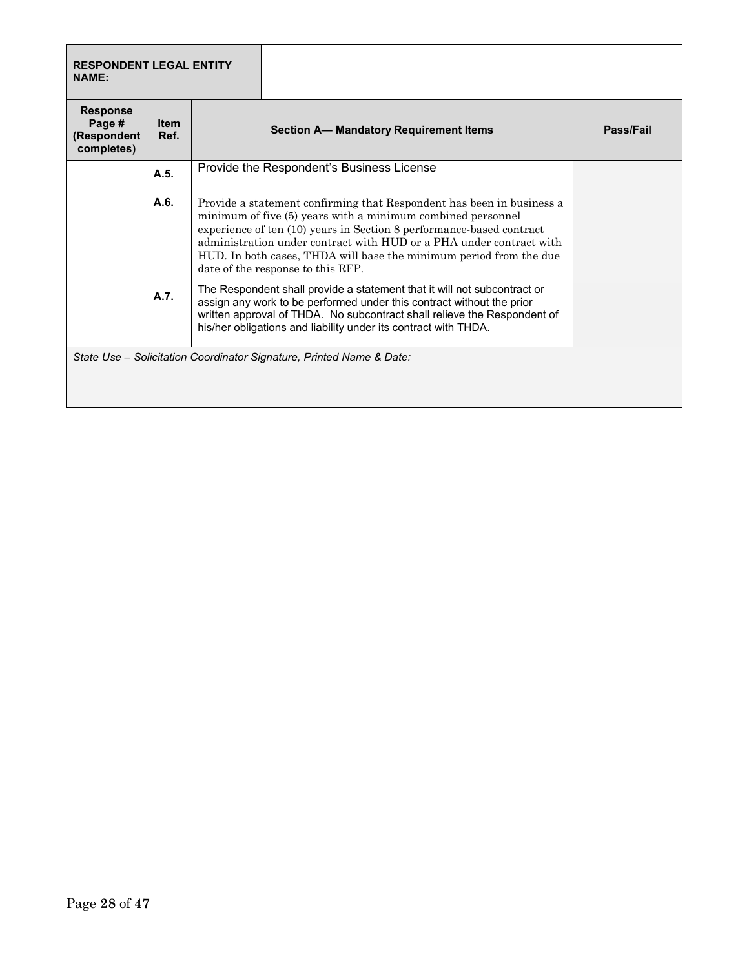| <b>RESPONDENT LEGAL ENTITY</b><br><b>NAME:</b>         |                     |                                                                                                                                                                                                                                                                                                                                                                                                |  |  |  |  |
|--------------------------------------------------------|---------------------|------------------------------------------------------------------------------------------------------------------------------------------------------------------------------------------------------------------------------------------------------------------------------------------------------------------------------------------------------------------------------------------------|--|--|--|--|
| <b>Response</b><br>Page #<br>(Respondent<br>completes) | <b>Item</b><br>Ref. | <b>Section A- Mandatory Requirement Items</b>                                                                                                                                                                                                                                                                                                                                                  |  |  |  |  |
|                                                        | A.5.                | Provide the Respondent's Business License                                                                                                                                                                                                                                                                                                                                                      |  |  |  |  |
|                                                        | A.6.                | Provide a statement confirming that Respondent has been in business a<br>minimum of five (5) years with a minimum combined personnel<br>experience of ten (10) years in Section 8 performance-based contract<br>administration under contract with HUD or a PHA under contract with<br>HUD. In both cases, THDA will base the minimum period from the due<br>date of the response to this RFP. |  |  |  |  |
|                                                        | A.7.                | The Respondent shall provide a statement that it will not subcontract or<br>assign any work to be performed under this contract without the prior<br>written approval of THDA. No subcontract shall relieve the Respondent of<br>his/her obligations and liability under its contract with THDA.                                                                                               |  |  |  |  |
|                                                        |                     | State Use - Solicitation Coordinator Signature, Printed Name & Date:                                                                                                                                                                                                                                                                                                                           |  |  |  |  |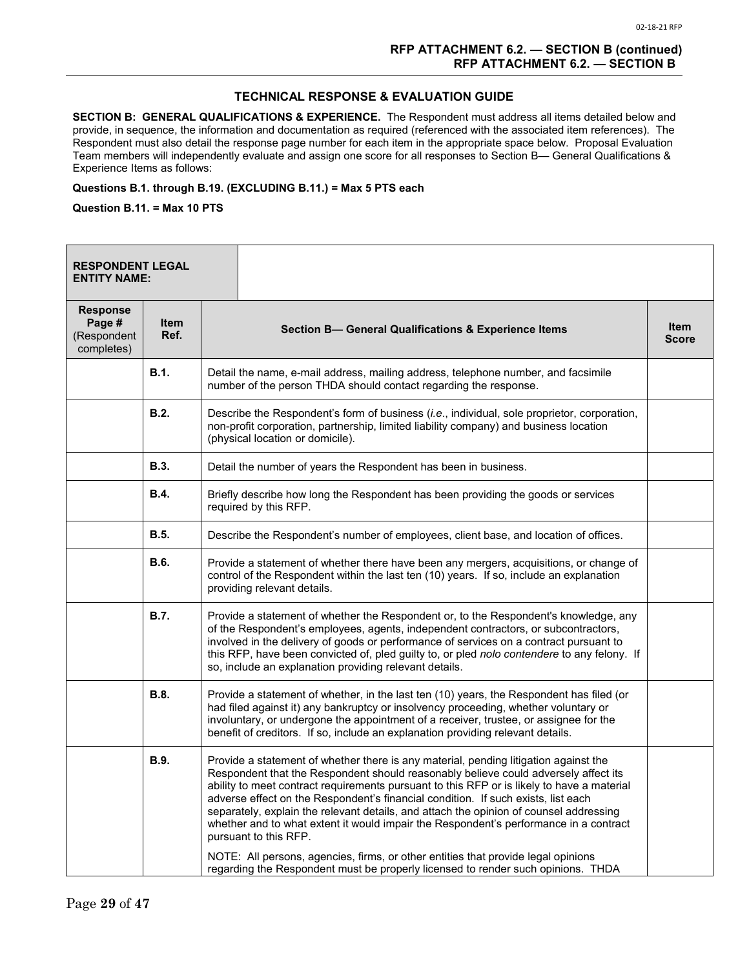#### **TECHNICAL RESPONSE & EVALUATION GUIDE**

**SECTION B: GENERAL QUALIFICATIONS & EXPERIENCE.** The Respondent must address all items detailed below and provide, in sequence, the information and documentation as required (referenced with the associated item references). The Respondent must also detail the response page number for each item in the appropriate space below. Proposal Evaluation Team members will independently evaluate and assign one score for all responses to Section B— General Qualifications & Experience Items as follows:

#### **Questions B.1. through B.19. (EXCLUDING B.11.) = Max 5 PTS each**

**Question B.11. = Max 10 PTS**

| <b>RESPONDENT LEGAL</b><br><b>ENTITY NAME:</b>         |              |                                                                                                                                                                                                                                                                                                                                                                                                                                                                                                                                                                                                                                                                                                                                                     |                             |
|--------------------------------------------------------|--------------|-----------------------------------------------------------------------------------------------------------------------------------------------------------------------------------------------------------------------------------------------------------------------------------------------------------------------------------------------------------------------------------------------------------------------------------------------------------------------------------------------------------------------------------------------------------------------------------------------------------------------------------------------------------------------------------------------------------------------------------------------------|-----------------------------|
| <b>Response</b><br>Page #<br>(Respondent<br>completes) | Item<br>Ref. | Section B- General Qualifications & Experience Items                                                                                                                                                                                                                                                                                                                                                                                                                                                                                                                                                                                                                                                                                                | <b>Item</b><br><b>Score</b> |
|                                                        | <b>B.1.</b>  | Detail the name, e-mail address, mailing address, telephone number, and facsimile<br>number of the person THDA should contact regarding the response.                                                                                                                                                                                                                                                                                                                                                                                                                                                                                                                                                                                               |                             |
|                                                        | B.2.         | Describe the Respondent's form of business (i.e., individual, sole proprietor, corporation,<br>non-profit corporation, partnership, limited liability company) and business location<br>(physical location or domicile).                                                                                                                                                                                                                                                                                                                                                                                                                                                                                                                            |                             |
|                                                        | B.3.         | Detail the number of years the Respondent has been in business.                                                                                                                                                                                                                                                                                                                                                                                                                                                                                                                                                                                                                                                                                     |                             |
|                                                        | <b>B.4.</b>  | Briefly describe how long the Respondent has been providing the goods or services<br>required by this RFP.                                                                                                                                                                                                                                                                                                                                                                                                                                                                                                                                                                                                                                          |                             |
|                                                        | <b>B.5.</b>  | Describe the Respondent's number of employees, client base, and location of offices.                                                                                                                                                                                                                                                                                                                                                                                                                                                                                                                                                                                                                                                                |                             |
|                                                        | <b>B.6.</b>  | Provide a statement of whether there have been any mergers, acquisitions, or change of<br>control of the Respondent within the last ten (10) years. If so, include an explanation<br>providing relevant details.                                                                                                                                                                                                                                                                                                                                                                                                                                                                                                                                    |                             |
|                                                        | <b>B.7.</b>  | Provide a statement of whether the Respondent or, to the Respondent's knowledge, any<br>of the Respondent's employees, agents, independent contractors, or subcontractors,<br>involved in the delivery of goods or performance of services on a contract pursuant to<br>this RFP, have been convicted of, pled guilty to, or pled nolo contendere to any felony. If<br>so, include an explanation providing relevant details.                                                                                                                                                                                                                                                                                                                       |                             |
|                                                        | <b>B.8.</b>  | Provide a statement of whether, in the last ten (10) years, the Respondent has filed (or<br>had filed against it) any bankruptcy or insolvency proceeding, whether voluntary or<br>involuntary, or undergone the appointment of a receiver, trustee, or assignee for the<br>benefit of creditors. If so, include an explanation providing relevant details.                                                                                                                                                                                                                                                                                                                                                                                         |                             |
|                                                        | <b>B.9.</b>  | Provide a statement of whether there is any material, pending litigation against the<br>Respondent that the Respondent should reasonably believe could adversely affect its<br>ability to meet contract requirements pursuant to this RFP or is likely to have a material<br>adverse effect on the Respondent's financial condition. If such exists, list each<br>separately, explain the relevant details, and attach the opinion of counsel addressing<br>whether and to what extent it would impair the Respondent's performance in a contract<br>pursuant to this RFP.<br>NOTE: All persons, agencies, firms, or other entities that provide legal opinions<br>regarding the Respondent must be properly licensed to render such opinions. THDA |                             |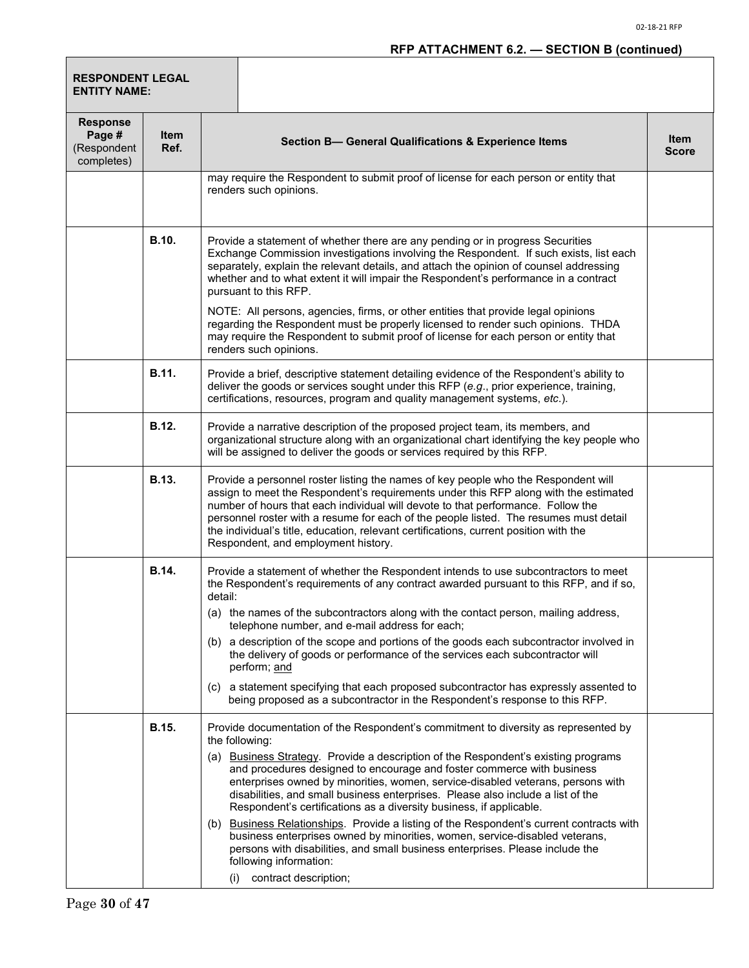# **RFP ATTACHMENT 6.2. — SECTION B (continued)**

| <b>RESPONDENT LEGAL</b><br><b>ENTITY NAME:</b>         |                     |         |                                                                                                                                                                                                                                                                                                                                                                                                                                                                                                                                                                                                                                                                                                                                                                                                                                   |                             |
|--------------------------------------------------------|---------------------|---------|-----------------------------------------------------------------------------------------------------------------------------------------------------------------------------------------------------------------------------------------------------------------------------------------------------------------------------------------------------------------------------------------------------------------------------------------------------------------------------------------------------------------------------------------------------------------------------------------------------------------------------------------------------------------------------------------------------------------------------------------------------------------------------------------------------------------------------------|-----------------------------|
| <b>Response</b><br>Page #<br>(Respondent<br>completes) | <b>Item</b><br>Ref. |         | Section B- General Qualifications & Experience Items                                                                                                                                                                                                                                                                                                                                                                                                                                                                                                                                                                                                                                                                                                                                                                              | <b>Item</b><br><b>Score</b> |
|                                                        |                     |         | may require the Respondent to submit proof of license for each person or entity that<br>renders such opinions.                                                                                                                                                                                                                                                                                                                                                                                                                                                                                                                                                                                                                                                                                                                    |                             |
|                                                        | <b>B.10.</b>        |         | Provide a statement of whether there are any pending or in progress Securities<br>Exchange Commission investigations involving the Respondent. If such exists, list each<br>separately, explain the relevant details, and attach the opinion of counsel addressing<br>whether and to what extent it will impair the Respondent's performance in a contract<br>pursuant to this RFP.<br>NOTE: All persons, agencies, firms, or other entities that provide legal opinions<br>regarding the Respondent must be properly licensed to render such opinions. THDA<br>may require the Respondent to submit proof of license for each person or entity that                                                                                                                                                                              |                             |
|                                                        | <b>B.11.</b>        |         | renders such opinions.<br>Provide a brief, descriptive statement detailing evidence of the Respondent's ability to<br>deliver the goods or services sought under this RFP (e.g., prior experience, training,<br>certifications, resources, program and quality management systems, etc.).                                                                                                                                                                                                                                                                                                                                                                                                                                                                                                                                         |                             |
|                                                        | <b>B.12.</b>        |         | Provide a narrative description of the proposed project team, its members, and<br>organizational structure along with an organizational chart identifying the key people who<br>will be assigned to deliver the goods or services required by this RFP.                                                                                                                                                                                                                                                                                                                                                                                                                                                                                                                                                                           |                             |
|                                                        | <b>B.13.</b>        |         | Provide a personnel roster listing the names of key people who the Respondent will<br>assign to meet the Respondent's requirements under this RFP along with the estimated<br>number of hours that each individual will devote to that performance. Follow the<br>personnel roster with a resume for each of the people listed. The resumes must detail<br>the individual's title, education, relevant certifications, current position with the<br>Respondent, and employment history.                                                                                                                                                                                                                                                                                                                                           |                             |
|                                                        | B.14.               | detail: | Provide a statement of whether the Respondent intends to use subcontractors to meet<br>the Respondent's requirements of any contract awarded pursuant to this RFP, and if so,<br>(a) the names of the subcontractors along with the contact person, mailing address,<br>telephone number, and e-mail address for each;<br>(b) a description of the scope and portions of the goods each subcontractor involved in<br>the delivery of goods or performance of the services each subcontractor will<br>perform; and<br>(c) a statement specifying that each proposed subcontractor has expressly assented to<br>being proposed as a subcontractor in the Respondent's response to this RFP.                                                                                                                                         |                             |
|                                                        | B.15.               | (i)     | Provide documentation of the Respondent's commitment to diversity as represented by<br>the following:<br>(a) Business Strategy. Provide a description of the Respondent's existing programs<br>and procedures designed to encourage and foster commerce with business<br>enterprises owned by minorities, women, service-disabled veterans, persons with<br>disabilities, and small business enterprises. Please also include a list of the<br>Respondent's certifications as a diversity business, if applicable.<br>(b) Business Relationships. Provide a listing of the Respondent's current contracts with<br>business enterprises owned by minorities, women, service-disabled veterans,<br>persons with disabilities, and small business enterprises. Please include the<br>following information:<br>contract description; |                             |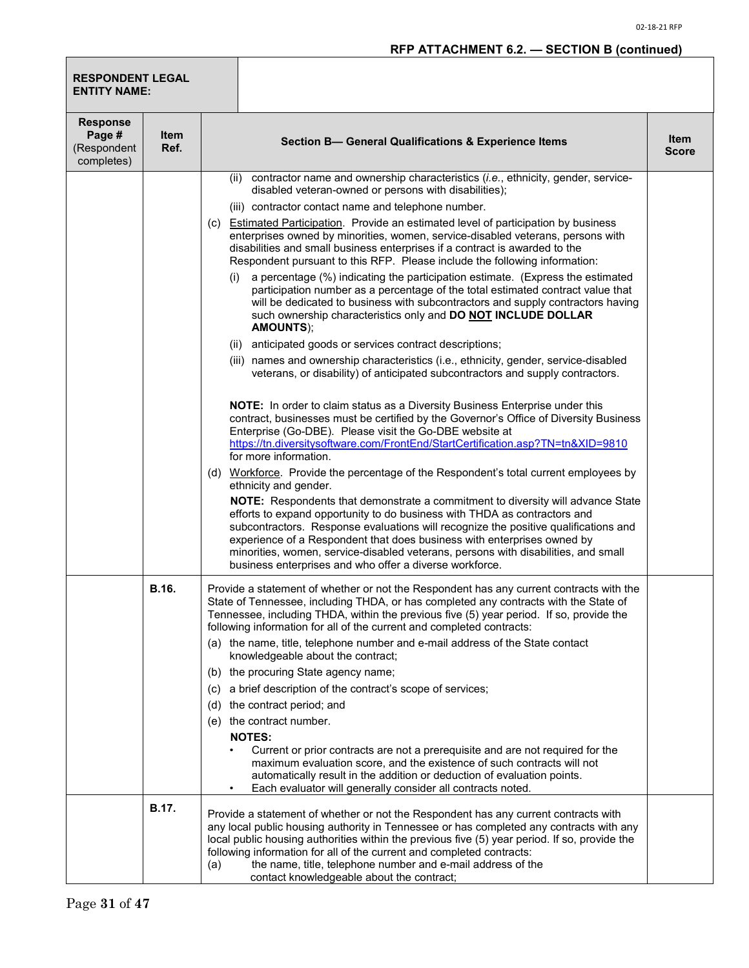| <b>RESPONDENT LEGAL</b><br><b>ENTITY NAME:</b>         |              |                                                                                                                                                                                                                                                                                                                                                                                                                                                                                 |                             |
|--------------------------------------------------------|--------------|---------------------------------------------------------------------------------------------------------------------------------------------------------------------------------------------------------------------------------------------------------------------------------------------------------------------------------------------------------------------------------------------------------------------------------------------------------------------------------|-----------------------------|
| <b>Response</b><br>Page #<br>(Respondent<br>completes) | Item<br>Ref. | Section B- General Qualifications & Experience Items                                                                                                                                                                                                                                                                                                                                                                                                                            | <b>Item</b><br><b>Score</b> |
|                                                        |              | (ii) contractor name and ownership characteristics (i.e., ethnicity, gender, service-<br>disabled veteran-owned or persons with disabilities);                                                                                                                                                                                                                                                                                                                                  |                             |
|                                                        |              | (iii) contractor contact name and telephone number.                                                                                                                                                                                                                                                                                                                                                                                                                             |                             |
|                                                        |              | <b>Estimated Participation.</b> Provide an estimated level of participation by business<br>(C)<br>enterprises owned by minorities, women, service-disabled veterans, persons with<br>disabilities and small business enterprises if a contract is awarded to the<br>Respondent pursuant to this RFP. Please include the following information:                                                                                                                                  |                             |
|                                                        |              | a percentage (%) indicating the participation estimate. (Express the estimated<br>(1)<br>participation number as a percentage of the total estimated contract value that<br>will be dedicated to business with subcontractors and supply contractors having<br>such ownership characteristics only and DO NOT INCLUDE DOLLAR<br><b>AMOUNTS);</b>                                                                                                                                |                             |
|                                                        |              | (ii) anticipated goods or services contract descriptions;                                                                                                                                                                                                                                                                                                                                                                                                                       |                             |
|                                                        |              | (iii) names and ownership characteristics (i.e., ethnicity, gender, service-disabled<br>veterans, or disability) of anticipated subcontractors and supply contractors.                                                                                                                                                                                                                                                                                                          |                             |
|                                                        |              | NOTE: In order to claim status as a Diversity Business Enterprise under this<br>contract, businesses must be certified by the Governor's Office of Diversity Business<br>Enterprise (Go-DBE). Please visit the Go-DBE website at<br>https://tn.diversitysoftware.com/FrontEnd/StartCertification.asp?TN=tn&XID=9810                                                                                                                                                             |                             |
|                                                        |              | for more information.                                                                                                                                                                                                                                                                                                                                                                                                                                                           |                             |
|                                                        |              | (d) Workforce. Provide the percentage of the Respondent's total current employees by<br>ethnicity and gender.                                                                                                                                                                                                                                                                                                                                                                   |                             |
|                                                        |              | NOTE: Respondents that demonstrate a commitment to diversity will advance State<br>efforts to expand opportunity to do business with THDA as contractors and<br>subcontractors. Response evaluations will recognize the positive qualifications and<br>experience of a Respondent that does business with enterprises owned by<br>minorities, women, service-disabled veterans, persons with disabilities, and small<br>business enterprises and who offer a diverse workforce. |                             |
|                                                        | <b>B.16.</b> | Provide a statement of whether or not the Respondent has any current contracts with the<br>State of Tennessee, including THDA, or has completed any contracts with the State of<br>Tennessee, including THDA, within the previous five (5) year period. If so, provide the<br>following information for all of the current and completed contracts:                                                                                                                             |                             |
|                                                        |              | (a) the name, title, telephone number and e-mail address of the State contact<br>knowledgeable about the contract;                                                                                                                                                                                                                                                                                                                                                              |                             |
|                                                        |              | (b) the procuring State agency name;                                                                                                                                                                                                                                                                                                                                                                                                                                            |                             |
|                                                        |              | a brief description of the contract's scope of services;<br>(c)                                                                                                                                                                                                                                                                                                                                                                                                                 |                             |
|                                                        |              | the contract period; and<br>(d)                                                                                                                                                                                                                                                                                                                                                                                                                                                 |                             |
|                                                        |              | (e) the contract number.<br><b>NOTES:</b>                                                                                                                                                                                                                                                                                                                                                                                                                                       |                             |
|                                                        |              | Current or prior contracts are not a prerequisite and are not required for the<br>maximum evaluation score, and the existence of such contracts will not<br>automatically result in the addition or deduction of evaluation points.<br>Each evaluator will generally consider all contracts noted.                                                                                                                                                                              |                             |
|                                                        | B.17.        | Provide a statement of whether or not the Respondent has any current contracts with<br>any local public housing authority in Tennessee or has completed any contracts with any<br>local public housing authorities within the previous five (5) year period. If so, provide the<br>following information for all of the current and completed contracts:<br>the name, title, telephone number and e-mail address of the<br>(a)<br>contact knowledgeable about the contract;     |                             |

Г

П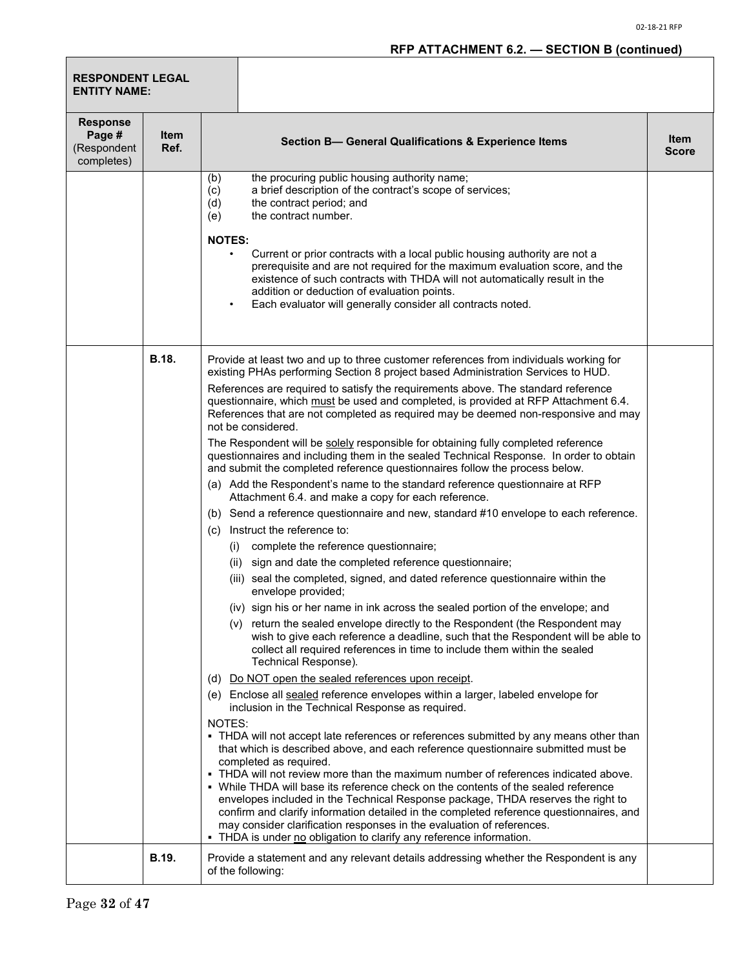| <b>RESPONDENT LEGAL</b><br><b>ENTITY NAME:</b>         |                     |                                                                                                                                                                                                                                                                                                                                                                                                                                                                                                                                                                                                                                                                                                                                                                                                                                                                                                                                                                                                                                                                                                                                                                                                                                                                                                                                                                                                                                                                                                                                                                                                                                                                                                                                                                                                                                                                                                                                                                                                                                                                                                                                                                                                                                                                                                                                                                                                                                                                                                                  |  |
|--------------------------------------------------------|---------------------|------------------------------------------------------------------------------------------------------------------------------------------------------------------------------------------------------------------------------------------------------------------------------------------------------------------------------------------------------------------------------------------------------------------------------------------------------------------------------------------------------------------------------------------------------------------------------------------------------------------------------------------------------------------------------------------------------------------------------------------------------------------------------------------------------------------------------------------------------------------------------------------------------------------------------------------------------------------------------------------------------------------------------------------------------------------------------------------------------------------------------------------------------------------------------------------------------------------------------------------------------------------------------------------------------------------------------------------------------------------------------------------------------------------------------------------------------------------------------------------------------------------------------------------------------------------------------------------------------------------------------------------------------------------------------------------------------------------------------------------------------------------------------------------------------------------------------------------------------------------------------------------------------------------------------------------------------------------------------------------------------------------------------------------------------------------------------------------------------------------------------------------------------------------------------------------------------------------------------------------------------------------------------------------------------------------------------------------------------------------------------------------------------------------------------------------------------------------------------------------------------------------|--|
| <b>Response</b><br>Page #<br>(Respondent<br>completes) | <b>Item</b><br>Ref. | <b>Item</b><br><b>Section B- General Qualifications &amp; Experience Items</b><br><b>Score</b>                                                                                                                                                                                                                                                                                                                                                                                                                                                                                                                                                                                                                                                                                                                                                                                                                                                                                                                                                                                                                                                                                                                                                                                                                                                                                                                                                                                                                                                                                                                                                                                                                                                                                                                                                                                                                                                                                                                                                                                                                                                                                                                                                                                                                                                                                                                                                                                                                   |  |
|                                                        |                     | the procuring public housing authority name;<br>(b)<br>a brief description of the contract's scope of services;<br>(c)<br>the contract period; and<br>(d)<br>the contract number.<br>(e)<br><b>NOTES:</b><br>Current or prior contracts with a local public housing authority are not a<br>prerequisite and are not required for the maximum evaluation score, and the<br>existence of such contracts with THDA will not automatically result in the<br>addition or deduction of evaluation points.<br>Each evaluator will generally consider all contracts noted.                                                                                                                                                                                                                                                                                                                                                                                                                                                                                                                                                                                                                                                                                                                                                                                                                                                                                                                                                                                                                                                                                                                                                                                                                                                                                                                                                                                                                                                                                                                                                                                                                                                                                                                                                                                                                                                                                                                                               |  |
|                                                        | <b>B.18.</b>        | Provide at least two and up to three customer references from individuals working for<br>existing PHAs performing Section 8 project based Administration Services to HUD.<br>References are required to satisfy the requirements above. The standard reference<br>questionnaire, which must be used and completed, is provided at RFP Attachment 6.4.<br>References that are not completed as required may be deemed non-responsive and may<br>not be considered.<br>The Respondent will be solely responsible for obtaining fully completed reference<br>questionnaires and including them in the sealed Technical Response. In order to obtain<br>and submit the completed reference questionnaires follow the process below.<br>(a) Add the Respondent's name to the standard reference questionnaire at RFP<br>Attachment 6.4. and make a copy for each reference.<br>(b) Send a reference questionnaire and new, standard #10 envelope to each reference.<br>Instruct the reference to:<br>(c)<br>(i) complete the reference questionnaire;<br>(ii) sign and date the completed reference questionnaire;<br>(iii) seal the completed, signed, and dated reference questionnaire within the<br>envelope provided;<br>(iv) sign his or her name in ink across the sealed portion of the envelope; and<br>(v) return the sealed envelope directly to the Respondent (the Respondent may<br>wish to give each reference a deadline, such that the Respondent will be able to<br>collect all required references in time to include them within the sealed<br>Technical Response).<br>Do NOT open the sealed references upon receipt.<br>(d)<br>(e) Enclose all sealed reference envelopes within a larger, labeled envelope for<br>inclusion in the Technical Response as required.<br>NOTES:<br>• THDA will not accept late references or references submitted by any means other than<br>that which is described above, and each reference questionnaire submitted must be<br>completed as required.<br>- THDA will not review more than the maximum number of references indicated above.<br>• While THDA will base its reference check on the contents of the sealed reference<br>envelopes included in the Technical Response package, THDA reserves the right to<br>confirm and clarify information detailed in the completed reference questionnaires, and<br>may consider clarification responses in the evaluation of references.<br>THDA is under no obligation to clarify any reference information. |  |
|                                                        | <b>B.19.</b>        | Provide a statement and any relevant details addressing whether the Respondent is any<br>of the following:                                                                                                                                                                                                                                                                                                                                                                                                                                                                                                                                                                                                                                                                                                                                                                                                                                                                                                                                                                                                                                                                                                                                                                                                                                                                                                                                                                                                                                                                                                                                                                                                                                                                                                                                                                                                                                                                                                                                                                                                                                                                                                                                                                                                                                                                                                                                                                                                       |  |

Г

П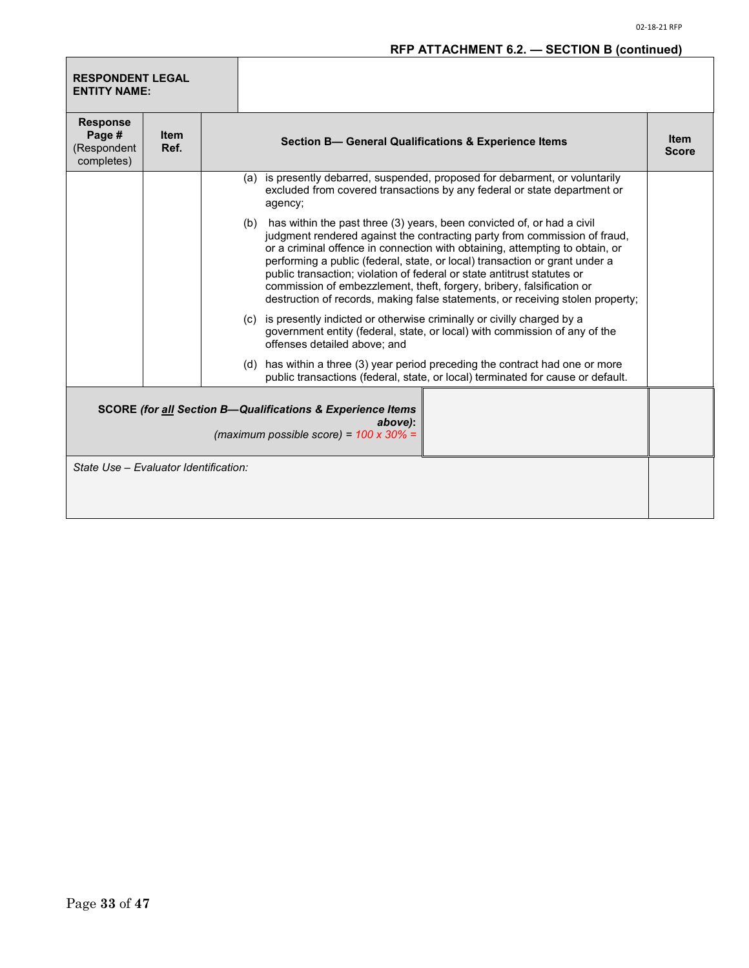# **RFP ATTACHMENT 6.2. — SECTION B (continued)**

| <b>RESPONDENT LEGAL</b><br><b>ENTITY NAME:</b>                                                                                     |                     |  |                                                                                                                                                                                                                                                                                                                                                                                                                                                                                                                                                              |  |  |  |
|------------------------------------------------------------------------------------------------------------------------------------|---------------------|--|--------------------------------------------------------------------------------------------------------------------------------------------------------------------------------------------------------------------------------------------------------------------------------------------------------------------------------------------------------------------------------------------------------------------------------------------------------------------------------------------------------------------------------------------------------------|--|--|--|
| <b>Response</b><br>Page #<br>(Respondent<br>completes)                                                                             | <b>Item</b><br>Ref. |  | Section B- General Qualifications & Experience Items                                                                                                                                                                                                                                                                                                                                                                                                                                                                                                         |  |  |  |
|                                                                                                                                    |                     |  | (a) is presently debarred, suspended, proposed for debarment, or voluntarily<br>excluded from covered transactions by any federal or state department or<br>agency;                                                                                                                                                                                                                                                                                                                                                                                          |  |  |  |
|                                                                                                                                    |                     |  | (b) has within the past three (3) years, been convicted of, or had a civil<br>judgment rendered against the contracting party from commission of fraud,<br>or a criminal offence in connection with obtaining, attempting to obtain, or<br>performing a public (federal, state, or local) transaction or grant under a<br>public transaction; violation of federal or state antitrust statutes or<br>commission of embezzlement, theft, forgery, bribery, falsification or<br>destruction of records, making false statements, or receiving stolen property; |  |  |  |
|                                                                                                                                    |                     |  | (c) is presently indicted or otherwise criminally or civilly charged by a<br>government entity (federal, state, or local) with commission of any of the<br>offenses detailed above; and                                                                                                                                                                                                                                                                                                                                                                      |  |  |  |
|                                                                                                                                    |                     |  | (d) has within a three (3) year period preceding the contract had one or more<br>public transactions (federal, state, or local) terminated for cause or default.                                                                                                                                                                                                                                                                                                                                                                                             |  |  |  |
| <b>SCORE (for all Section B-Qualifications &amp; Experience Items</b><br>above):<br>(maximum possible score) = $100 \times 30\%$ = |                     |  |                                                                                                                                                                                                                                                                                                                                                                                                                                                                                                                                                              |  |  |  |
| State Use - Evaluator Identification:                                                                                              |                     |  |                                                                                                                                                                                                                                                                                                                                                                                                                                                                                                                                                              |  |  |  |

Г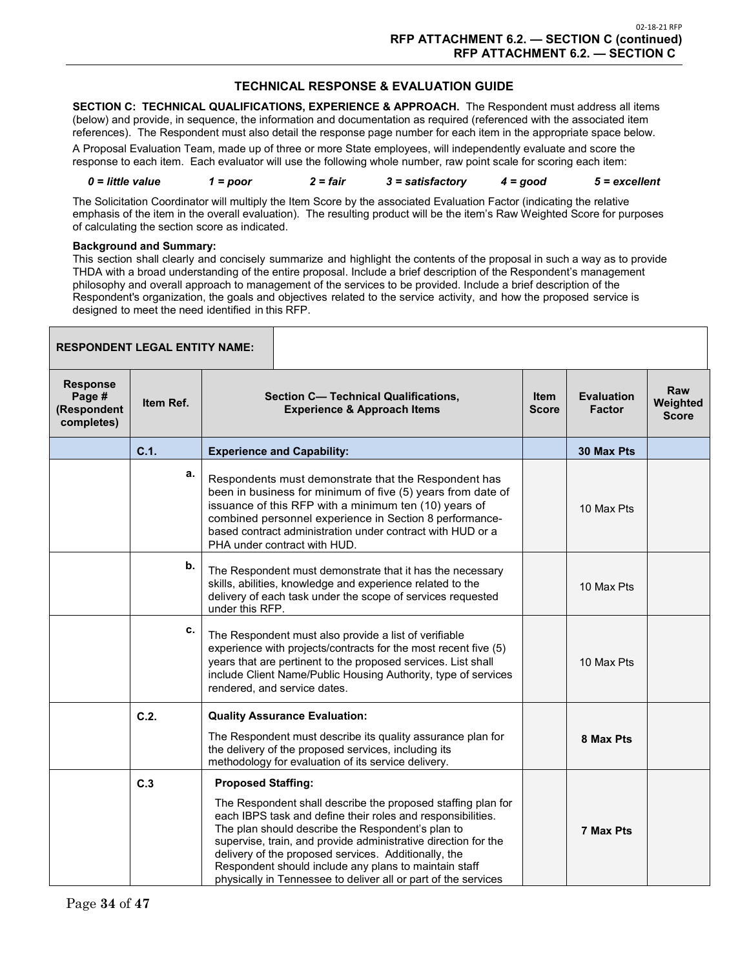#### **TECHNICAL RESPONSE & EVALUATION GUIDE**

**SECTION C: TECHNICAL QUALIFICATIONS, EXPERIENCE & APPROACH.** The Respondent must address all items (below) and provide, in sequence, the information and documentation as required (referenced with the associated item references). The Respondent must also detail the response page number for each item in the appropriate space below.

A Proposal Evaluation Team, made up of three or more State employees, will independently evaluate and score the response to each item. Each evaluator will use the following whole number, raw point scale for scoring each item:

*0 = little value 1 = poor 2 = fair 3 = satisfactory 4 = good 5 = excellent*

The Solicitation Coordinator will multiply the Item Score by the associated Evaluation Factor (indicating the relative emphasis of the item in the overall evaluation). The resulting product will be the item's Raw Weighted Score for purposes of calculating the section score as indicated.

#### **Background and Summary:**

This section shall clearly and concisely summarize and highlight the contents of the proposal in such a way as to provide THDA with a broad understanding of the entire proposal. Include a brief description of the Respondent's management philosophy and overall approach to management of the services to be provided. Include a brief description of the Respondent's organization, the goals and objectives related to the service activity, and how the proposed service is designed to meet the need identified in this RFP.

| <b>RESPONDENT LEGAL ENTITY NAME:</b>                   |           |                                                                                                                                                                                                                                                                                                                                                                                                                                       |  |                                    |                                        |
|--------------------------------------------------------|-----------|---------------------------------------------------------------------------------------------------------------------------------------------------------------------------------------------------------------------------------------------------------------------------------------------------------------------------------------------------------------------------------------------------------------------------------------|--|------------------------------------|----------------------------------------|
| <b>Response</b><br>Page #<br>(Respondent<br>completes) | Item Ref. | <b>Section C- Technical Qualifications,</b><br><b>Experience &amp; Approach Items</b>                                                                                                                                                                                                                                                                                                                                                 |  | <b>Evaluation</b><br><b>Factor</b> | <b>Raw</b><br>Weighted<br><b>Score</b> |
|                                                        | C.1.      | <b>Experience and Capability:</b>                                                                                                                                                                                                                                                                                                                                                                                                     |  | 30 Max Pts                         |                                        |
|                                                        | а.        | Respondents must demonstrate that the Respondent has<br>been in business for minimum of five (5) years from date of<br>issuance of this RFP with a minimum ten (10) years of<br>combined personnel experience in Section 8 performance-<br>based contract administration under contract with HUD or a<br>PHA under contract with HUD.                                                                                                 |  | 10 Max Pts                         |                                        |
|                                                        | b.        | The Respondent must demonstrate that it has the necessary<br>skills, abilities, knowledge and experience related to the<br>delivery of each task under the scope of services requested<br>under this RFP.                                                                                                                                                                                                                             |  | 10 Max Pts                         |                                        |
|                                                        | с.        | The Respondent must also provide a list of verifiable<br>experience with projects/contracts for the most recent five (5)<br>years that are pertinent to the proposed services. List shall<br>include Client Name/Public Housing Authority, type of services<br>rendered, and service dates.                                                                                                                                           |  | 10 Max Pts                         |                                        |
|                                                        | C.2.      | <b>Quality Assurance Evaluation:</b>                                                                                                                                                                                                                                                                                                                                                                                                  |  |                                    |                                        |
|                                                        |           | The Respondent must describe its quality assurance plan for<br>the delivery of the proposed services, including its<br>methodology for evaluation of its service delivery.                                                                                                                                                                                                                                                            |  | 8 Max Pts                          |                                        |
|                                                        | C.3       | <b>Proposed Staffing:</b>                                                                                                                                                                                                                                                                                                                                                                                                             |  |                                    |                                        |
|                                                        |           | The Respondent shall describe the proposed staffing plan for<br>each IBPS task and define their roles and responsibilities.<br>The plan should describe the Respondent's plan to<br>supervise, train, and provide administrative direction for the<br>delivery of the proposed services. Additionally, the<br>Respondent should include any plans to maintain staff<br>physically in Tennessee to deliver all or part of the services |  | 7 Max Pts                          |                                        |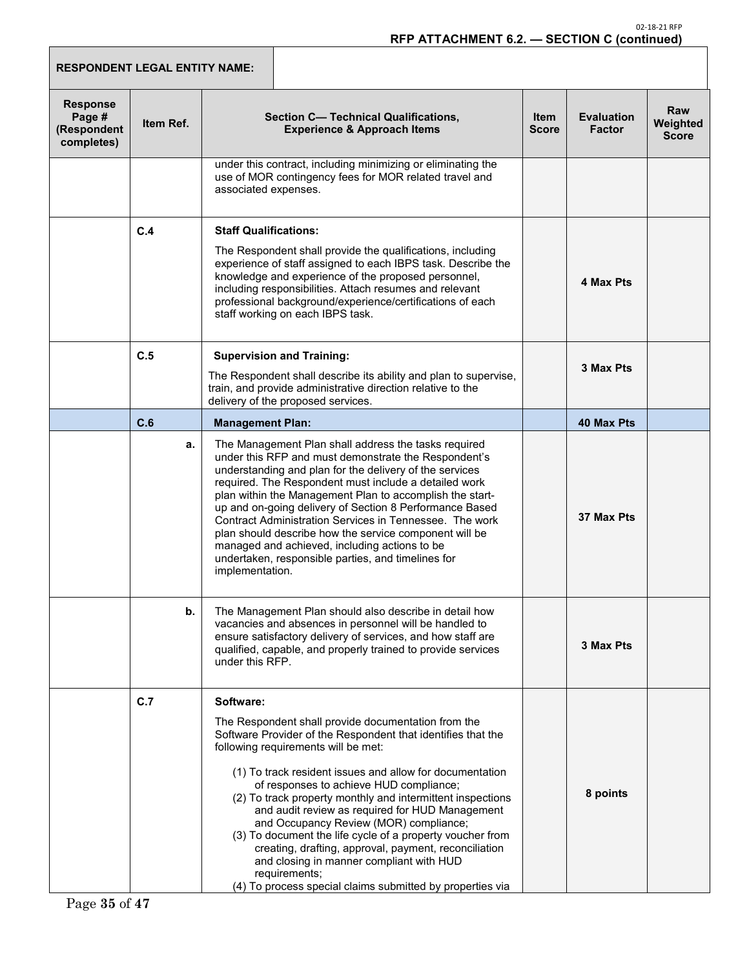| <b>RESPONDENT LEGAL ENTITY NAME:</b>                   |           |                                                                                                                                                                                                                                                                                                                                                                                                                                                                                                                                                                                                                                                                                           |                      |                                    |                                        |
|--------------------------------------------------------|-----------|-------------------------------------------------------------------------------------------------------------------------------------------------------------------------------------------------------------------------------------------------------------------------------------------------------------------------------------------------------------------------------------------------------------------------------------------------------------------------------------------------------------------------------------------------------------------------------------------------------------------------------------------------------------------------------------------|----------------------|------------------------------------|----------------------------------------|
| <b>Response</b><br>Page #<br>(Respondent<br>completes) | Item Ref. | <b>Section C- Technical Qualifications,</b><br><b>Experience &amp; Approach Items</b>                                                                                                                                                                                                                                                                                                                                                                                                                                                                                                                                                                                                     | <b>Item</b><br>Score | <b>Evaluation</b><br><b>Factor</b> | <b>Raw</b><br>Weighted<br><b>Score</b> |
|                                                        |           | under this contract, including minimizing or eliminating the<br>use of MOR contingency fees for MOR related travel and<br>associated expenses.                                                                                                                                                                                                                                                                                                                                                                                                                                                                                                                                            |                      |                                    |                                        |
|                                                        | C.4       | <b>Staff Qualifications:</b><br>The Respondent shall provide the qualifications, including<br>experience of staff assigned to each IBPS task. Describe the<br>knowledge and experience of the proposed personnel,<br>including responsibilities. Attach resumes and relevant<br>professional background/experience/certifications of each<br>staff working on each IBPS task.                                                                                                                                                                                                                                                                                                             |                      | 4 Max Pts                          |                                        |
|                                                        | C.5       | <b>Supervision and Training:</b><br>The Respondent shall describe its ability and plan to supervise,<br>train, and provide administrative direction relative to the<br>delivery of the proposed services.                                                                                                                                                                                                                                                                                                                                                                                                                                                                                 |                      | 3 Max Pts                          |                                        |
|                                                        | C.6       | <b>Management Plan:</b>                                                                                                                                                                                                                                                                                                                                                                                                                                                                                                                                                                                                                                                                   |                      | <b>40 Max Pts</b>                  |                                        |
|                                                        | a.        | The Management Plan shall address the tasks required<br>under this RFP and must demonstrate the Respondent's<br>understanding and plan for the delivery of the services<br>required. The Respondent must include a detailed work<br>plan within the Management Plan to accomplish the start-<br>up and on-going delivery of Section 8 Performance Based<br>Contract Administration Services in Tennessee. The work<br>plan should describe how the service component will be<br>managed and achieved, including actions to be<br>undertaken, responsible parties, and timelines for<br>implementation.                                                                                    |                      | 37 Max Pts                         |                                        |
|                                                        | b.        | The Management Plan should also describe in detail how<br>vacancies and absences in personnel will be handled to<br>ensure satisfactory delivery of services, and how staff are<br>qualified, capable, and properly trained to provide services<br>under this RFP.                                                                                                                                                                                                                                                                                                                                                                                                                        |                      | 3 Max Pts                          |                                        |
|                                                        | C.7       | Software:<br>The Respondent shall provide documentation from the<br>Software Provider of the Respondent that identifies that the<br>following requirements will be met:<br>(1) To track resident issues and allow for documentation<br>of responses to achieve HUD compliance;<br>(2) To track property monthly and intermittent inspections<br>and audit review as required for HUD Management<br>and Occupancy Review (MOR) compliance;<br>(3) To document the life cycle of a property voucher from<br>creating, drafting, approval, payment, reconciliation<br>and closing in manner compliant with HUD<br>requirements;<br>(4) To process special claims submitted by properties via |                      | 8 points                           |                                        |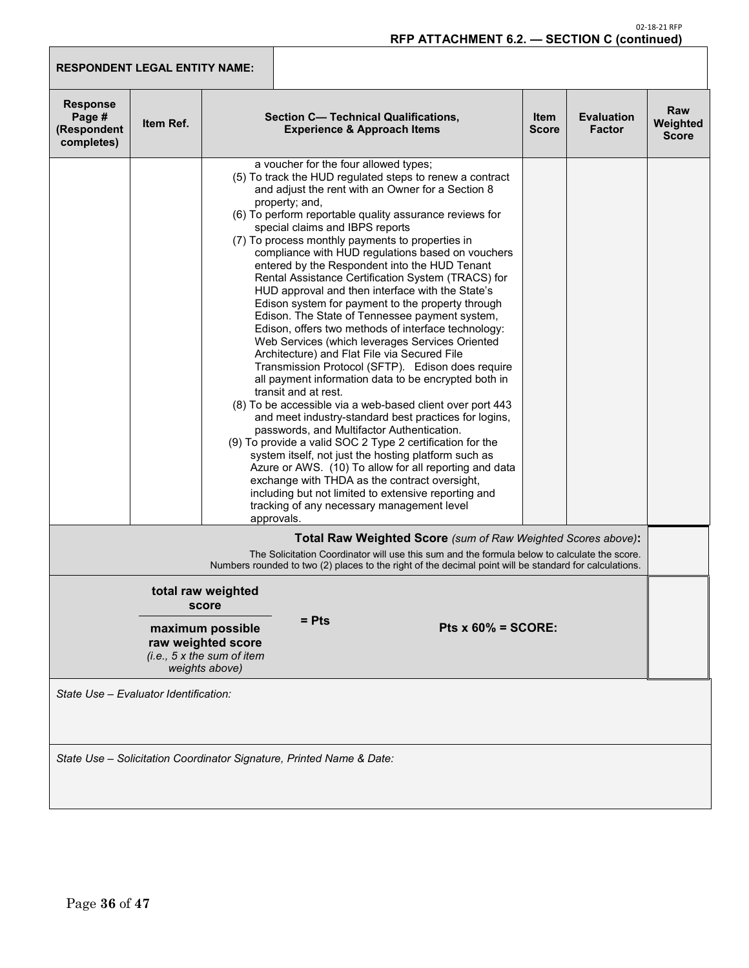# **RFP ATTACHMENT 6.2. — SECTION C (continued)**

| <b>RESPONDENT LEGAL ENTITY NAME:</b>                                 |                                                                                                                        |            |                                                                                                                                                                                                                                                                                                                                                                                                                                                                                                                                                                                                                                                                                                                                                                                                                                                                                                                                                                                                                                                                                                                                                                                                                                                                                                                                                                                                                                                            |  |                                                              |                             |                                    |                                 |
|----------------------------------------------------------------------|------------------------------------------------------------------------------------------------------------------------|------------|------------------------------------------------------------------------------------------------------------------------------------------------------------------------------------------------------------------------------------------------------------------------------------------------------------------------------------------------------------------------------------------------------------------------------------------------------------------------------------------------------------------------------------------------------------------------------------------------------------------------------------------------------------------------------------------------------------------------------------------------------------------------------------------------------------------------------------------------------------------------------------------------------------------------------------------------------------------------------------------------------------------------------------------------------------------------------------------------------------------------------------------------------------------------------------------------------------------------------------------------------------------------------------------------------------------------------------------------------------------------------------------------------------------------------------------------------------|--|--------------------------------------------------------------|-----------------------------|------------------------------------|---------------------------------|
| <b>Response</b><br>Page #<br>(Respondent<br>completes)               | <b>Item Ref.</b>                                                                                                       |            | Section C- Technical Qualifications,<br><b>Experience &amp; Approach Items</b>                                                                                                                                                                                                                                                                                                                                                                                                                                                                                                                                                                                                                                                                                                                                                                                                                                                                                                                                                                                                                                                                                                                                                                                                                                                                                                                                                                             |  |                                                              | <b>Item</b><br><b>Score</b> | <b>Evaluation</b><br><b>Factor</b> | Raw<br>Weighted<br><b>Score</b> |
|                                                                      |                                                                                                                        | approvals. | a voucher for the four allowed types;<br>(5) To track the HUD regulated steps to renew a contract<br>and adjust the rent with an Owner for a Section 8<br>property; and,<br>(6) To perform reportable quality assurance reviews for<br>special claims and IBPS reports<br>(7) To process monthly payments to properties in<br>compliance with HUD regulations based on vouchers<br>entered by the Respondent into the HUD Tenant<br>Rental Assistance Certification System (TRACS) for<br>HUD approval and then interface with the State's<br>Edison system for payment to the property through<br>Edison. The State of Tennessee payment system,<br>Edison, offers two methods of interface technology:<br>Web Services (which leverages Services Oriented<br>Architecture) and Flat File via Secured File<br>Transmission Protocol (SFTP). Edison does require<br>all payment information data to be encrypted both in<br>transit and at rest.<br>(8) To be accessible via a web-based client over port 443<br>and meet industry-standard best practices for logins,<br>passwords, and Multifactor Authentication.<br>(9) To provide a valid SOC 2 Type 2 certification for the<br>system itself, not just the hosting platform such as<br>Azure or AWS. (10) To allow for all reporting and data<br>exchange with THDA as the contract oversight,<br>including but not limited to extensive reporting and<br>tracking of any necessary management level |  |                                                              |                             |                                    |                                 |
|                                                                      |                                                                                                                        |            | The Solicitation Coordinator will use this sum and the formula below to calculate the score.<br>Numbers rounded to two (2) places to the right of the decimal point will be standard for calculations.                                                                                                                                                                                                                                                                                                                                                                                                                                                                                                                                                                                                                                                                                                                                                                                                                                                                                                                                                                                                                                                                                                                                                                                                                                                     |  | Total Raw Weighted Score (sum of Raw Weighted Scores above): |                             |                                    |                                 |
|                                                                      | total raw weighted<br>score<br>maximum possible<br>raw weighted score<br>(i.e., 5 x the sum of item)<br>weights above) |            | $=$ Pts                                                                                                                                                                                                                                                                                                                                                                                                                                                                                                                                                                                                                                                                                                                                                                                                                                                                                                                                                                                                                                                                                                                                                                                                                                                                                                                                                                                                                                                    |  | Pts $x 60\%$ = SCORE:                                        |                             |                                    |                                 |
| State Use - Evaluator Identification:                                |                                                                                                                        |            |                                                                                                                                                                                                                                                                                                                                                                                                                                                                                                                                                                                                                                                                                                                                                                                                                                                                                                                                                                                                                                                                                                                                                                                                                                                                                                                                                                                                                                                            |  |                                                              |                             |                                    |                                 |
| State Use - Solicitation Coordinator Signature, Printed Name & Date: |                                                                                                                        |            |                                                                                                                                                                                                                                                                                                                                                                                                                                                                                                                                                                                                                                                                                                                                                                                                                                                                                                                                                                                                                                                                                                                                                                                                                                                                                                                                                                                                                                                            |  |                                                              |                             |                                    |                                 |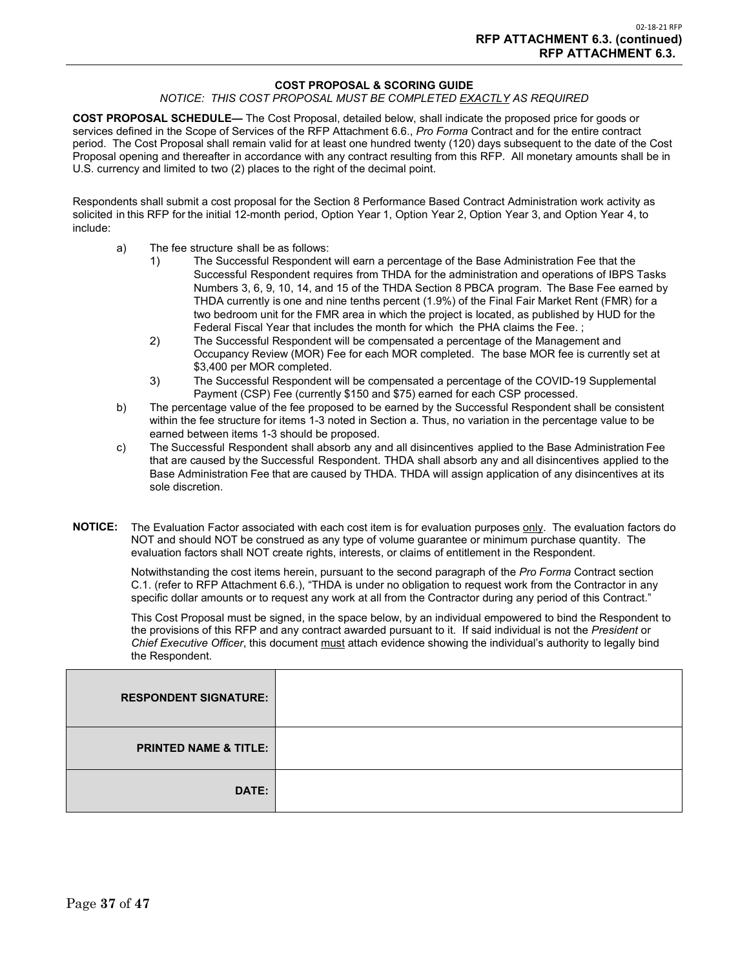#### **COST PROPOSAL & SCORING GUIDE**

#### *NOTICE: THIS COST PROPOSAL MUST BE COMPLETED EXACTLY AS REQUIRED*

**COST PROPOSAL SCHEDULE—** The Cost Proposal, detailed below, shall indicate the proposed price for goods or services defined in the Scope of Services of the RFP Attachment 6.6., *Pro Forma* Contract and for the entire contract period. The Cost Proposal shall remain valid for at least one hundred twenty (120) days subsequent to the date of the Cost Proposal opening and thereafter in accordance with any contract resulting from this RFP. All monetary amounts shall be in U.S. currency and limited to two (2) places to the right of the decimal point.

Respondents shall submit a cost proposal for the Section 8 Performance Based Contract Administration work activity as solicited in this RFP for the initial 12-month period, Option Year 1, Option Year 2, Option Year 3, and Option Year 4, to include:

- a) The fee structure shall be as follows:
	- 1) The Successful Respondent will earn a percentage of the Base Administration Fee that the Successful Respondent requires from THDA for the administration and operations of IBPS Tasks Numbers 3, 6, 9, 10, 14, and 15 of the THDA Section 8 PBCA program. The Base Fee earned by THDA currently is one and nine tenths percent (1.9%) of the Final Fair Market Rent (FMR) for a two bedroom unit for the FMR area in which the project is located, as published by HUD for the Federal Fiscal Year that includes the month for which the PHA claims the Fee.;
	- 2) The Successful Respondent will be compensated a percentage of the Management and Occupancy Review (MOR) Fee for each MOR completed. The base MOR fee is currently set at \$3,400 per MOR completed.
	- 3) The Successful Respondent will be compensated a percentage of the COVID-19 Supplemental Payment (CSP) Fee (currently \$150 and \$75) earned for each CSP processed.
- b) The percentage value of the fee proposed to be earned by the Successful Respondent shall be consistent within the fee structure for items 1-3 noted in Section a. Thus, no variation in the percentage value to be earned between items 1-3 should be proposed.
- c) The Successful Respondent shall absorb any and all disincentives applied to the Base Administration Fee that are caused by the Successful Respondent. THDA shall absorb any and all disincentives applied to the Base Administration Fee that are caused by THDA. THDA will assign application of any disincentives at its sole discretion.
- **NOTICE:** The Evaluation Factor associated with each cost item is for evaluation purposes only. The evaluation factors do NOT and should NOT be construed as any type of volume guarantee or minimum purchase quantity. The evaluation factors shall NOT create rights, interests, or claims of entitlement in the Respondent.

Notwithstanding the cost items herein, pursuant to the second paragraph of the *Pro Forma* Contract section C.1. (refer to RFP Attachment 6.6.), "THDA is under no obligation to request work from the Contractor in any specific dollar amounts or to request any work at all from the Contractor during any period of this Contract."

This Cost Proposal must be signed, in the space below, by an individual empowered to bind the Respondent to the provisions of this RFP and any contract awarded pursuant to it. If said individual is not the *President* or *Chief Executive Officer*, this document must attach evidence showing the individual's authority to legally bind the Respondent.

| <b>RESPONDENT SIGNATURE:</b>     |  |
|----------------------------------|--|
| <b>PRINTED NAME &amp; TITLE:</b> |  |
| DATE:                            |  |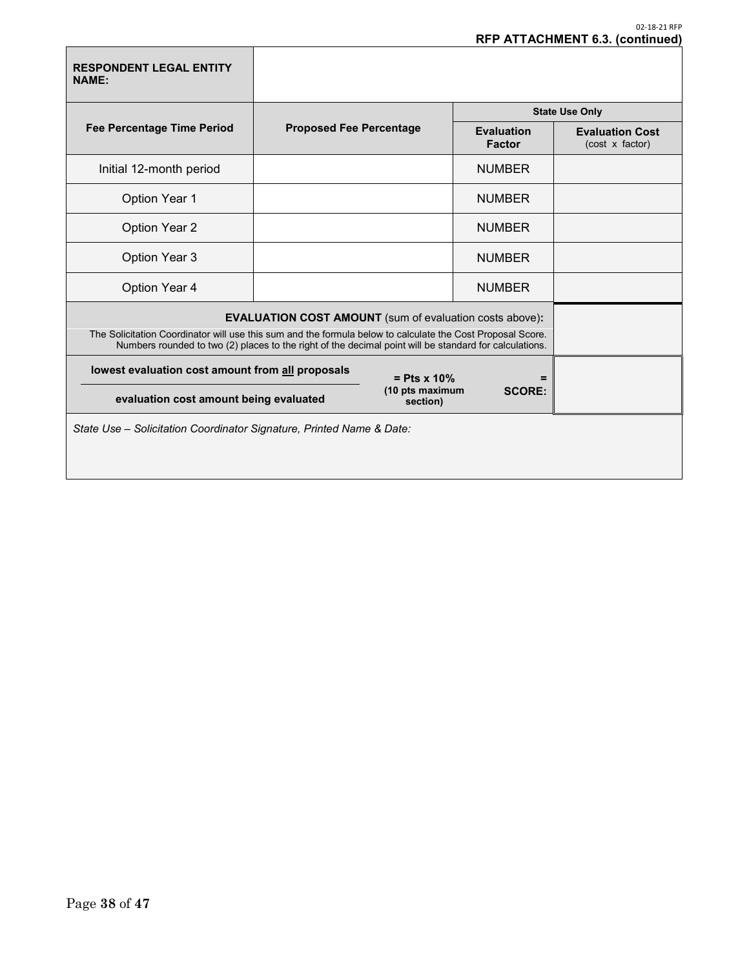| <b>RESPONDENT LEGAL ENTITY</b><br><b>NAME:</b>                       |                                                                                                                                                                                                                                                                                        |               |                                    |                                           |  |  |
|----------------------------------------------------------------------|----------------------------------------------------------------------------------------------------------------------------------------------------------------------------------------------------------------------------------------------------------------------------------------|---------------|------------------------------------|-------------------------------------------|--|--|
|                                                                      |                                                                                                                                                                                                                                                                                        |               |                                    | <b>State Use Only</b>                     |  |  |
| <b>Fee Percentage Time Period</b>                                    | <b>Proposed Fee Percentage</b>                                                                                                                                                                                                                                                         |               | <b>Evaluation</b><br><b>Factor</b> | <b>Evaluation Cost</b><br>(cost x factor) |  |  |
| Initial 12-month period                                              |                                                                                                                                                                                                                                                                                        |               | <b>NUMBER</b>                      |                                           |  |  |
| <b>Option Year 1</b>                                                 |                                                                                                                                                                                                                                                                                        |               | <b>NUMBER</b>                      |                                           |  |  |
| <b>Option Year 2</b>                                                 |                                                                                                                                                                                                                                                                                        |               | <b>NUMBER</b>                      |                                           |  |  |
| <b>Option Year 3</b>                                                 |                                                                                                                                                                                                                                                                                        |               | <b>NUMBER</b>                      |                                           |  |  |
| Option Year 4                                                        |                                                                                                                                                                                                                                                                                        |               | <b>NUMBER</b>                      |                                           |  |  |
|                                                                      | <b>EVALUATION COST AMOUNT</b> (sum of evaluation costs above):<br>The Solicitation Coordinator will use this sum and the formula below to calculate the Cost Proposal Score.<br>Numbers rounded to two (2) places to the right of the decimal point will be standard for calculations. |               |                                    |                                           |  |  |
|                                                                      | lowest evaluation cost amount from all proposals<br>$=$ Pts x 10%                                                                                                                                                                                                                      |               |                                    |                                           |  |  |
| evaluation cost amount being evaluated                               | (10 pts maximum<br>section)                                                                                                                                                                                                                                                            | <b>SCORE:</b> |                                    |                                           |  |  |
| State Use - Solicitation Coordinator Signature, Printed Name & Date: |                                                                                                                                                                                                                                                                                        |               |                                    |                                           |  |  |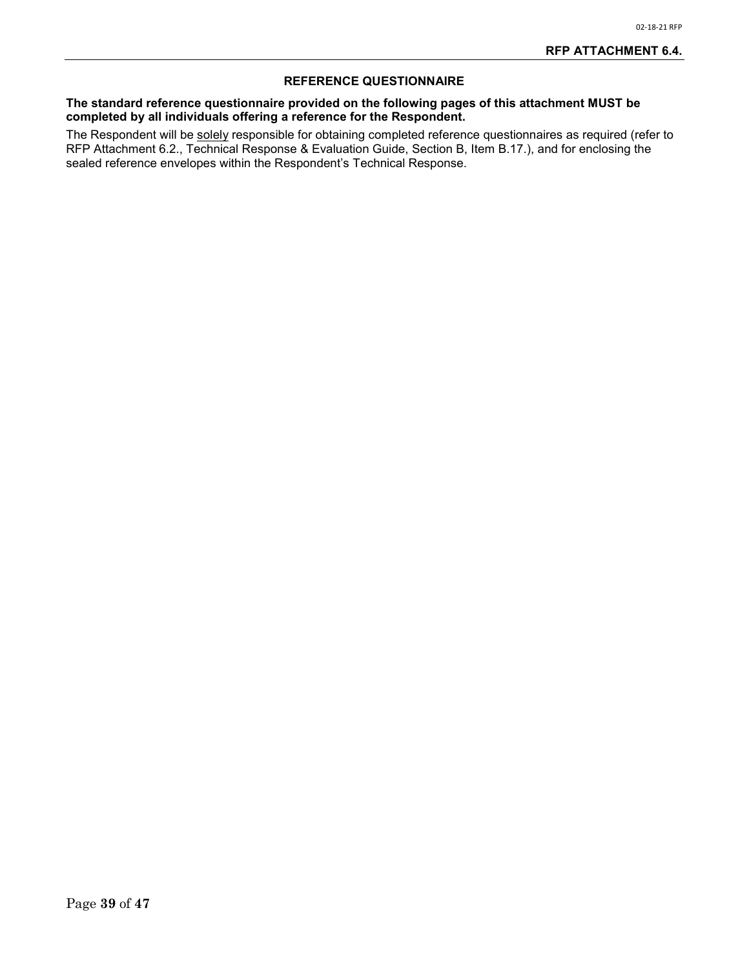### **REFERENCE QUESTIONNAIRE**

#### **The standard reference questionnaire provided on the following pages of this attachment MUST be completed by all individuals offering a reference for the Respondent.**

The Respondent will be <u>solely</u> responsible for obtaining completed reference questionnaires as required (refer to RFP Attachment 6.2., Technical Response & Evaluation Guide, Section B, Item B.17.), and for enclosing the sealed reference envelopes within the Respondent's Technical Response.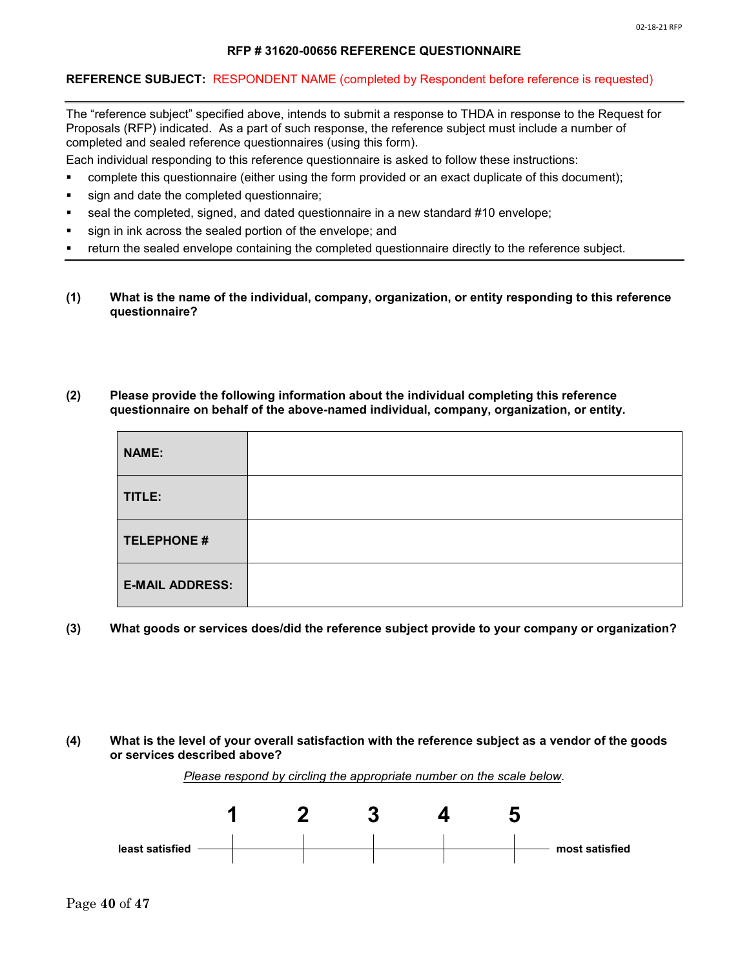#### **RFP # 31620-00656 REFERENCE QUESTIONNAIRE**

#### **REFERENCE SUBJECT:** RESPONDENT NAME (completed by Respondent before reference is requested)

The "reference subject" specified above, intends to submit a response to THDA in response to the Request for Proposals (RFP) indicated. As a part of such response, the reference subject must include a number of completed and sealed reference questionnaires (using this form).

Each individual responding to this reference questionnaire is asked to follow these instructions:

- complete this questionnaire (either using the form provided or an exact duplicate of this document);
- sign and date the completed questionnaire;
- seal the completed, signed, and dated questionnaire in a new standard #10 envelope;
- sign in ink across the sealed portion of the envelope; and
- return the sealed envelope containing the completed questionnaire directly to the reference subject.
- **(1) What is the name of the individual, company, organization, or entity responding to this reference questionnaire?**

#### **(2) Please provide the following information about the individual completing this reference questionnaire on behalf of the above-named individual, company, organization, or entity.**

| <b>NAME:</b>           |  |
|------------------------|--|
| TITLE:                 |  |
| <b>TELEPHONE #</b>     |  |
| <b>E-MAIL ADDRESS:</b> |  |

**(3) What goods or services does/did the reference subject provide to your company or organization?**

#### **(4) What is the level of your overall satisfaction with the reference subject as a vendor of the goods or services described above?**



**least satisfied most satisfied**

*Please respond by circling the appropriate number on the scale below.*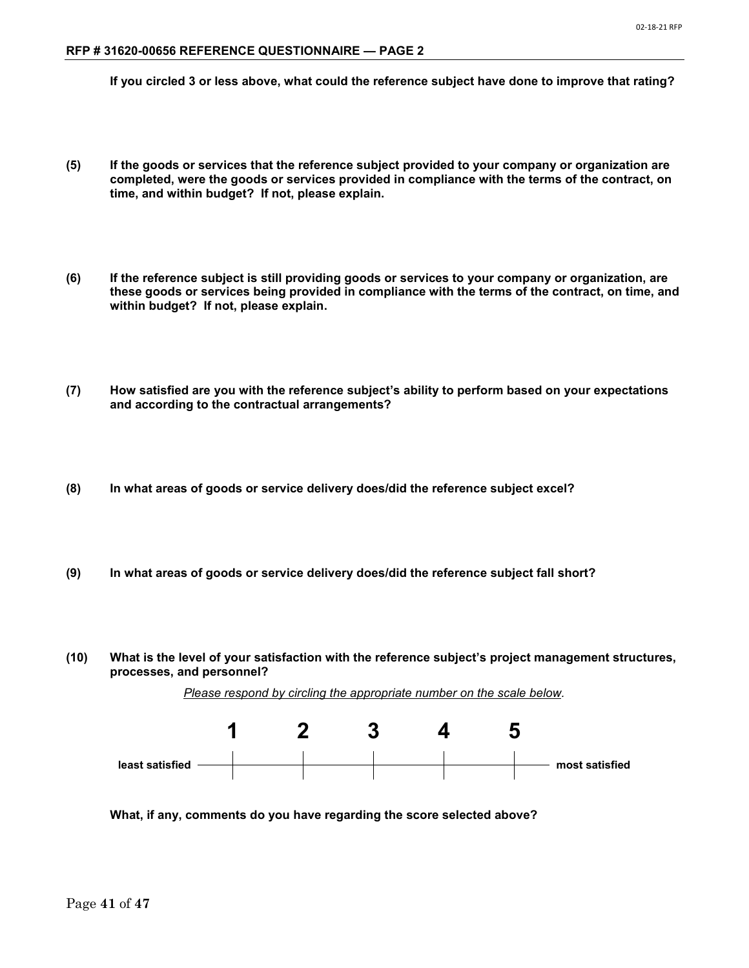**If you circled 3 or less above, what could the reference subject have done to improve that rating?**

- **(5) If the goods or services that the reference subject provided to your company or organization are completed, were the goods or services provided in compliance with the terms of the contract, on time, and within budget? If not, please explain.**
- **(6) If the reference subject is still providing goods or services to your company or organization, are these goods or services being provided in compliance with the terms of the contract, on time, and within budget? If not, please explain.**
- **(7) How satisfied are you with the reference subject's ability to perform based on your expectations and according to the contractual arrangements?**
- **(8) In what areas of goods or service delivery does/did the reference subject excel?**
- **(9) In what areas of goods or service delivery does/did the reference subject fall short?**
- **(10) What is the level of your satisfaction with the reference subject's project management structures, processes, and personnel?**

*Please respond by circling the appropriate number on the scale below.*



**What, if any, comments do you have regarding the score selected above?**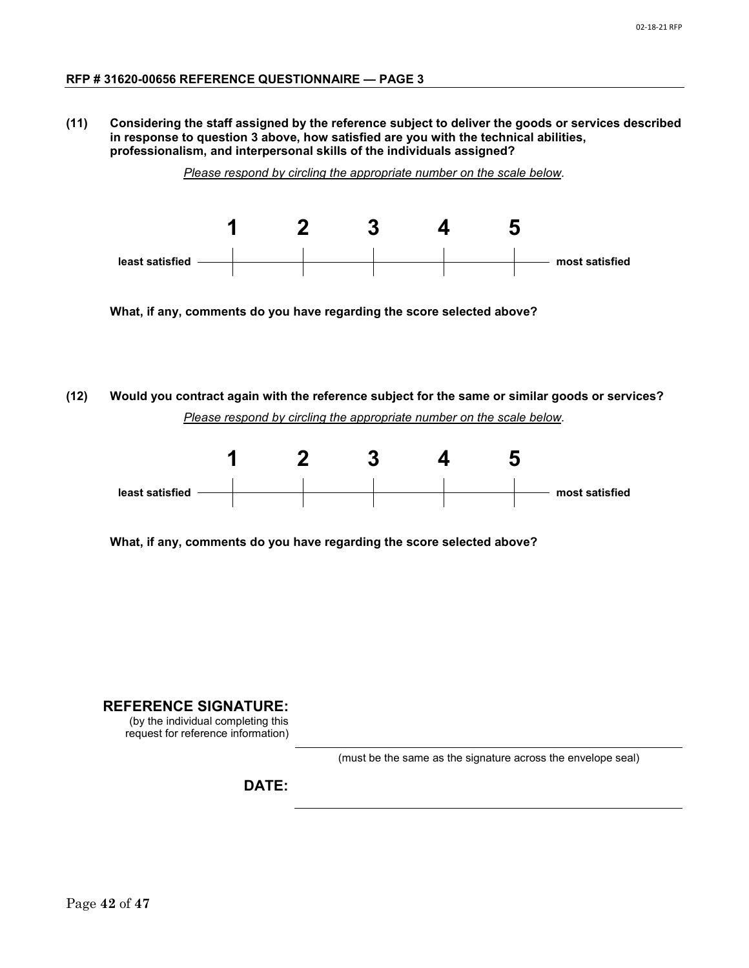**(11) Considering the staff assigned by the reference subject to deliver the goods or services described in response to question 3 above, how satisfied are you with the technical abilities, professionalism, and interpersonal skills of the individuals assigned?** 

*Please respond by circling the appropriate number on the scale below.*



**What, if any, comments do you have regarding the score selected above?**

**(12) Would you contract again with the reference subject for the same or similar goods or services?**  *Please respond by circling the appropriate number on the scale below.*



**What, if any, comments do you have regarding the score selected above?**

**REFERENCE SIGNATURE:**

(by the individual completing this request for reference information)

(must be the same as the signature across the envelope seal)

**DATE:**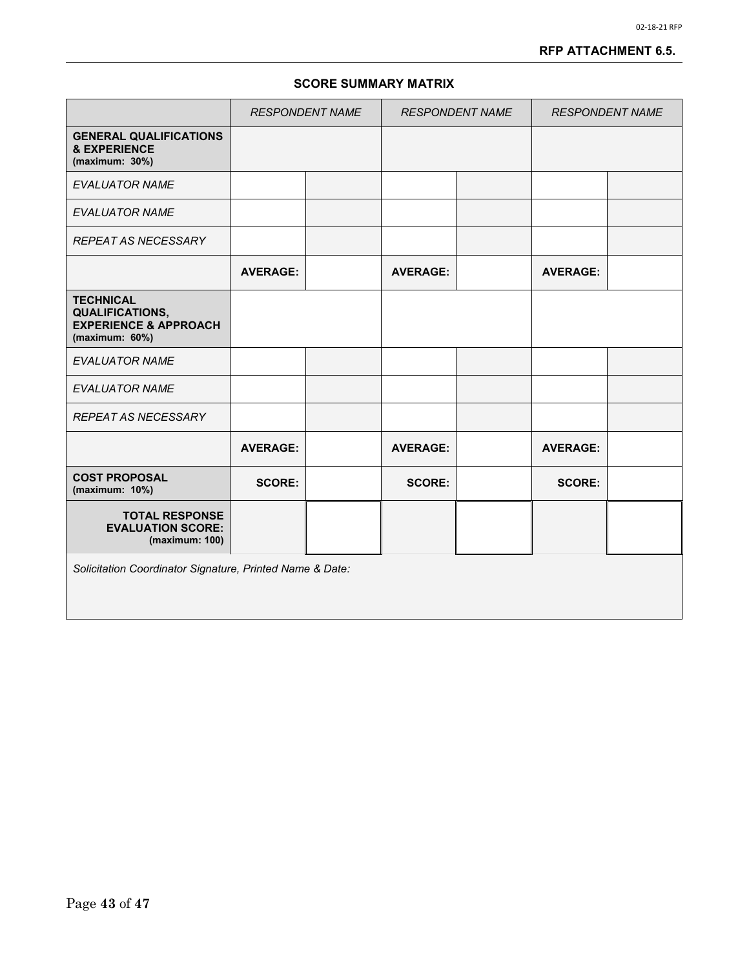#### 02-18-21 RFP

### **RFP ATTACHMENT 6.5.**

### **SCORE SUMMARY MATRIX**

|                                                                                                      | <b>RESPONDENT NAME</b> |  | <b>RESPONDENT NAME</b> |  | <b>RESPONDENT NAME</b> |  |
|------------------------------------------------------------------------------------------------------|------------------------|--|------------------------|--|------------------------|--|
| <b>GENERAL QUALIFICATIONS</b><br><b>&amp; EXPERIENCE</b><br>(maximum: 30%)                           |                        |  |                        |  |                        |  |
| <b>EVALUATOR NAME</b>                                                                                |                        |  |                        |  |                        |  |
| <b>EVALUATOR NAME</b>                                                                                |                        |  |                        |  |                        |  |
| <b>REPEAT AS NECESSARY</b>                                                                           |                        |  |                        |  |                        |  |
|                                                                                                      | <b>AVERAGE:</b>        |  | <b>AVERAGE:</b>        |  | <b>AVERAGE:</b>        |  |
| <b>TECHNICAL</b><br><b>QUALIFICATIONS,</b><br><b>EXPERIENCE &amp; APPROACH</b><br>(maximum: $60\%$ ) |                        |  |                        |  |                        |  |
| <b>EVALUATOR NAME</b>                                                                                |                        |  |                        |  |                        |  |
| <b>EVALUATOR NAME</b>                                                                                |                        |  |                        |  |                        |  |
| <b>REPEAT AS NECESSARY</b>                                                                           |                        |  |                        |  |                        |  |
|                                                                                                      | <b>AVERAGE:</b>        |  | <b>AVERAGE:</b>        |  | <b>AVERAGE:</b>        |  |
| <b>COST PROPOSAL</b><br>(maximum: 10%)                                                               | <b>SCORE:</b>          |  | <b>SCORE:</b>          |  | <b>SCORE:</b>          |  |
| <b>TOTAL RESPONSE</b><br><b>EVALUATION SCORE:</b><br>(maximum: 100)                                  |                        |  |                        |  |                        |  |
| Solicitation Coordinator Signature, Printed Name & Date:                                             |                        |  |                        |  |                        |  |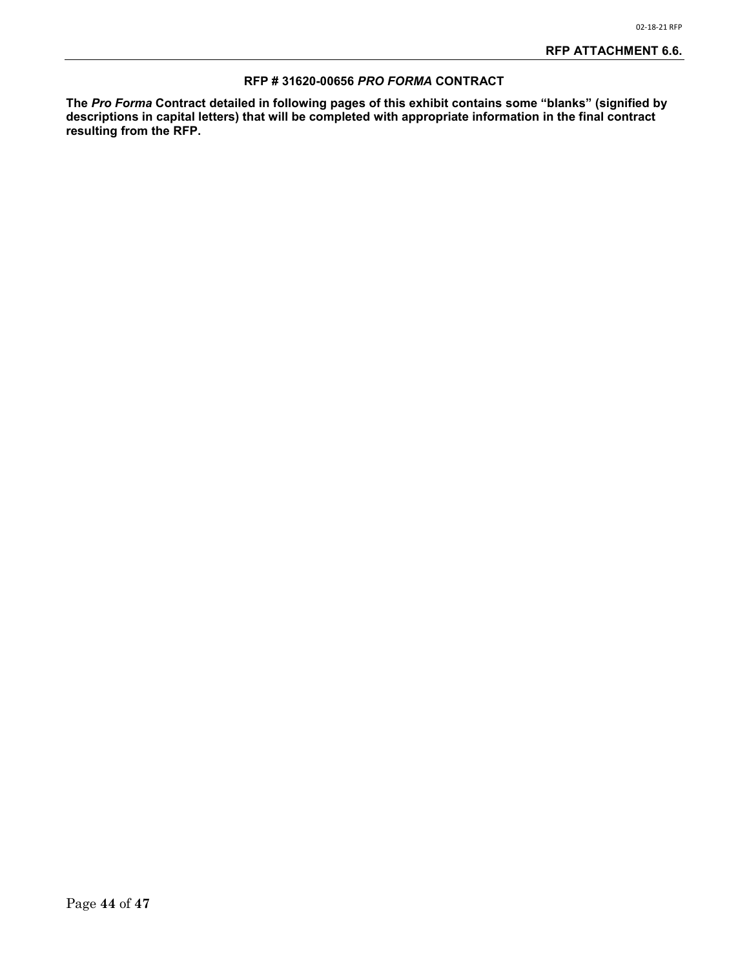#### **RFP # 31620-00656** *PRO FORMA* **CONTRACT**

**The** *Pro Forma* **Contract detailed in following pages of this exhibit contains some "blanks" (signified by descriptions in capital letters) that will be completed with appropriate information in the final contract resulting from the RFP.**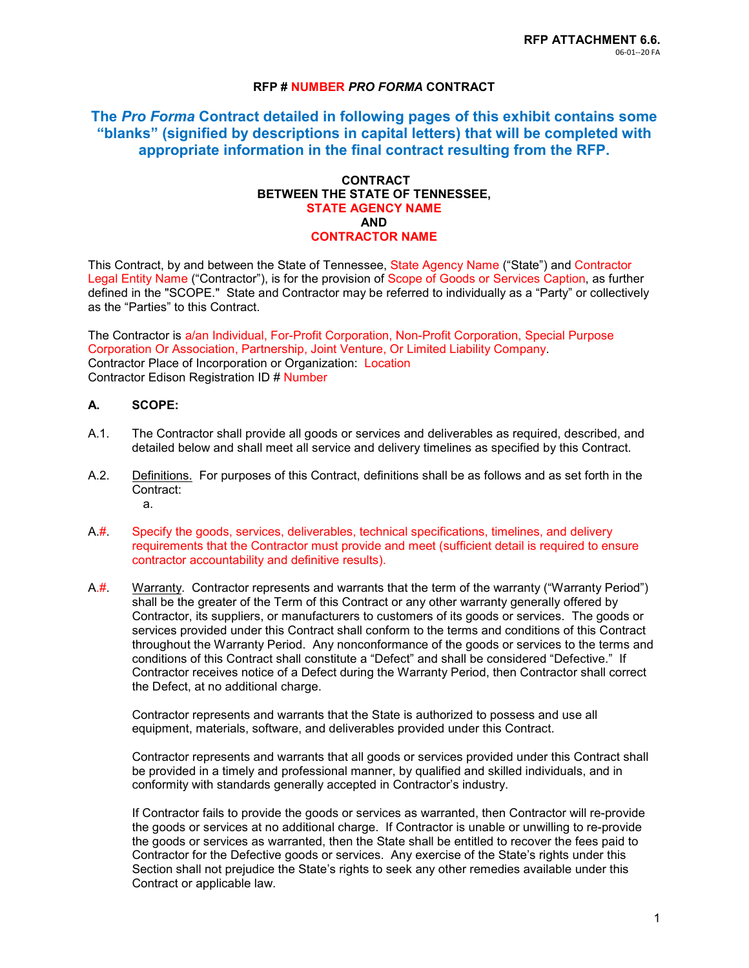### **RFP # NUMBER** *PRO FORMA* **CONTRACT**

**The** *Pro Forma* **Contract detailed in following pages of this exhibit contains some "blanks" (signified by descriptions in capital letters) that will be completed with appropriate information in the final contract resulting from the RFP.**

#### **CONTRACT BETWEEN THE STATE OF TENNESSEE, STATE AGENCY NAME AND CONTRACTOR NAME**

This Contract, by and between the State of Tennessee, State Agency Name ("State") and Contractor Legal Entity Name ("Contractor"), is for the provision of Scope of Goods or Services Caption, as further defined in the "SCOPE." State and Contractor may be referred to individually as a "Party" or collectively as the "Parties" to this Contract.

The Contractor is a/an Individual, For-Profit Corporation, Non-Profit Corporation, Special Purpose Corporation Or Association, Partnership, Joint Venture, Or Limited Liability Company. Contractor Place of Incorporation or Organization: Location Contractor Edison Registration ID # Number

### **A. SCOPE:**

- A.1. The Contractor shall provide all goods or services and deliverables as required, described, and detailed below and shall meet all service and delivery timelines as specified by this Contract.
- A.2. Definitions. For purposes of this Contract, definitions shall be as follows and as set forth in the Contract: a.
- A.#. Specify the goods, services, deliverables, technical specifications, timelines, and delivery requirements that the Contractor must provide and meet (sufficient detail is required to ensure contractor accountability and definitive results).
- A.#. Warranty. Contractor represents and warrants that the term of the warranty ("Warranty Period") shall be the greater of the Term of this Contract or any other warranty generally offered by Contractor, its suppliers, or manufacturers to customers of its goods or services. The goods or services provided under this Contract shall conform to the terms and conditions of this Contract throughout the Warranty Period. Any nonconformance of the goods or services to the terms and conditions of this Contract shall constitute a "Defect" and shall be considered "Defective." If Contractor receives notice of a Defect during the Warranty Period, then Contractor shall correct the Defect, at no additional charge.

Contractor represents and warrants that the State is authorized to possess and use all equipment, materials, software, and deliverables provided under this Contract.

Contractor represents and warrants that all goods or services provided under this Contract shall be provided in a timely and professional manner, by qualified and skilled individuals, and in conformity with standards generally accepted in Contractor's industry.

If Contractor fails to provide the goods or services as warranted, then Contractor will re-provide the goods or services at no additional charge. If Contractor is unable or unwilling to re-provide the goods or services as warranted, then the State shall be entitled to recover the fees paid to Contractor for the Defective goods or services. Any exercise of the State's rights under this Section shall not prejudice the State's rights to seek any other remedies available under this Contract or applicable law.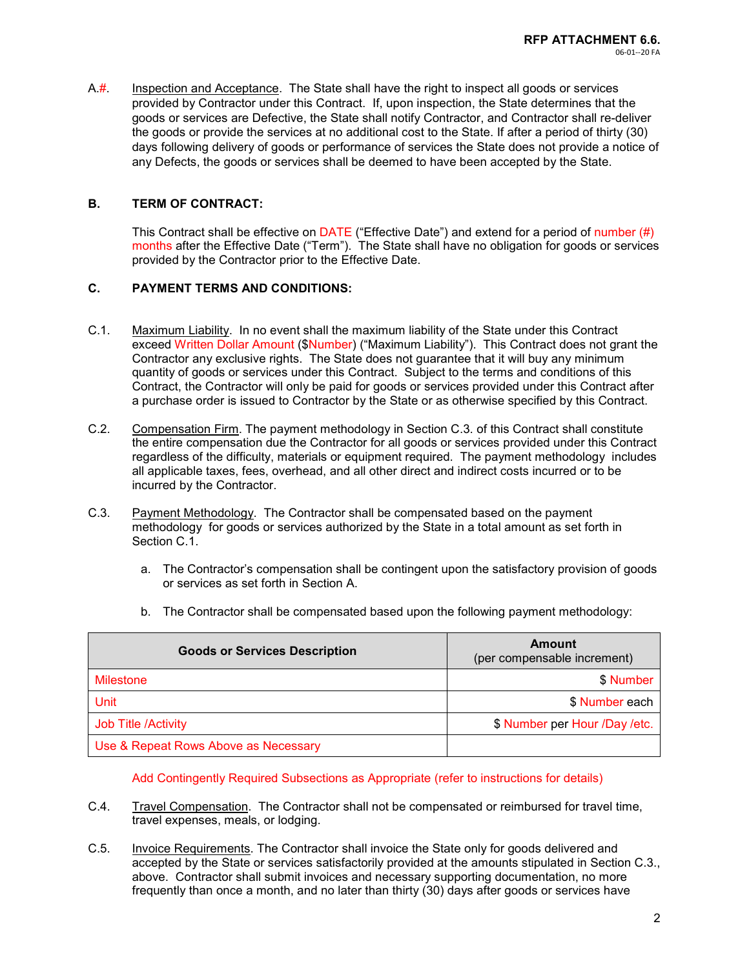A.#. Inspection and Acceptance. The State shall have the right to inspect all goods or services provided by Contractor under this Contract. If, upon inspection, the State determines that the goods or services are Defective, the State shall notify Contractor, and Contractor shall re-deliver the goods or provide the services at no additional cost to the State. If after a period of thirty (30) days following delivery of goods or performance of services the State does not provide a notice of any Defects, the goods or services shall be deemed to have been accepted by the State.

### **B. TERM OF CONTRACT:**

This Contract shall be effective on  $\overline{\text{DATE}}$  ("Effective Date") and extend for a period of number (#) months after the Effective Date ("Term"). The State shall have no obligation for goods or services provided by the Contractor prior to the Effective Date.

### **C. PAYMENT TERMS AND CONDITIONS:**

- C.1. Maximum Liability. In no event shall the maximum liability of the State under this Contract exceed Written Dollar Amount (\$Number) ("Maximum Liability"). This Contract does not grant the Contractor any exclusive rights. The State does not guarantee that it will buy any minimum quantity of goods or services under this Contract. Subject to the terms and conditions of this Contract, the Contractor will only be paid for goods or services provided under this Contract after a purchase order is issued to Contractor by the State or as otherwise specified by this Contract.
- C.2. Compensation Firm. The payment methodology in Section C.3. of this Contract shall constitute the entire compensation due the Contractor for all goods or services provided under this Contract regardless of the difficulty, materials or equipment required. The payment methodology includes all applicable taxes, fees, overhead, and all other direct and indirect costs incurred or to be incurred by the Contractor.
- C.3. Payment Methodology. The Contractor shall be compensated based on the payment methodology for goods or services authorized by the State in a total amount as set forth in Section C.1.
	- a. The Contractor's compensation shall be contingent upon the satisfactory provision of goods or services as set forth in Section A.
	- b. The Contractor shall be compensated based upon the following payment methodology:

| <b>Goods or Services Description</b> | Amount<br>(per compensable increment) |
|--------------------------------------|---------------------------------------|
| Milestone                            | \$ Number                             |
| Unit                                 | \$ Number each                        |
| Job Title / Activity                 | \$ Number per Hour /Day /etc.         |
| Use & Repeat Rows Above as Necessary |                                       |

#### Add Contingently Required Subsections as Appropriate (refer to instructions for details)

- C.4. Travel Compensation. The Contractor shall not be compensated or reimbursed for travel time, travel expenses, meals, or lodging.
- C.5. Invoice Requirements. The Contractor shall invoice the State only for goods delivered and accepted by the State or services satisfactorily provided at the amounts stipulated in Section C.3., above. Contractor shall submit invoices and necessary supporting documentation, no more frequently than once a month, and no later than thirty (30) days after goods or services have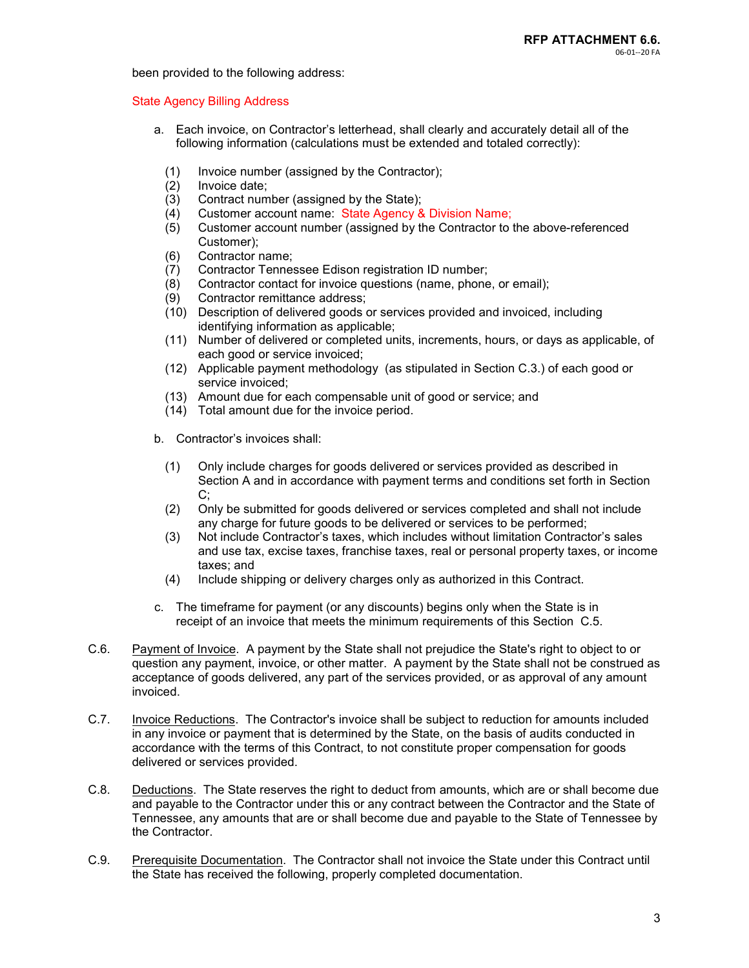been provided to the following address:

#### State Agency Billing Address

- a. Each invoice, on Contractor's letterhead, shall clearly and accurately detail all of the following information (calculations must be extended and totaled correctly):
	- (1) Invoice number (assigned by the Contractor);<br>(2) Invoice date;
	-
	- (2) Invoice date; Contract number (assigned by the State);
	- (4) Customer account name: State Agency & Division Name;
	- (5) Customer account number (assigned by the Contractor to the above-referenced Customer);
	- (6) Contractor name;
	- (7) Contractor Tennessee Edison registration ID number;
	- Contractor contact for invoice questions (name, phone, or email);
	- (9) Contractor remittance address;
	- (10) Description of delivered goods or services provided and invoiced, including identifying information as applicable;
	- (11) Number of delivered or completed units, increments, hours, or days as applicable, of each good or service invoiced;
	- (12) Applicable payment methodology (as stipulated in Section C.3.) of each good or service invoiced;
	- (13) Amount due for each compensable unit of good or service; and
	- (14) Total amount due for the invoice period.
- b. Contractor's invoices shall:
	- (1) Only include charges for goods delivered or services provided as described in Section A and in accordance with payment terms and conditions set forth in Section C;
	- (2) Only be submitted for goods delivered or services completed and shall not include any charge for future goods to be delivered or services to be performed;
	- (3) Not include Contractor's taxes, which includes without limitation Contractor's sales and use tax, excise taxes, franchise taxes, real or personal property taxes, or income taxes; and
	- (4) Include shipping or delivery charges only as authorized in this Contract.
- c. The timeframe for payment (or any discounts) begins only when the State is in receipt of an invoice that meets the minimum requirements of this Section C.5.
- C.6. Payment of Invoice. A payment by the State shall not prejudice the State's right to object to or question any payment, invoice, or other matter. A payment by the State shall not be construed as acceptance of goods delivered, any part of the services provided, or as approval of any amount invoiced.
- C.7. Invoice Reductions. The Contractor's invoice shall be subject to reduction for amounts included in any invoice or payment that is determined by the State, on the basis of audits conducted in accordance with the terms of this Contract, to not constitute proper compensation for goods delivered or services provided.
- C.8. Deductions. The State reserves the right to deduct from amounts, which are or shall become due and payable to the Contractor under this or any contract between the Contractor and the State of Tennessee, any amounts that are or shall become due and payable to the State of Tennessee by the Contractor.
- C.9. Prerequisite Documentation. The Contractor shall not invoice the State under this Contract until the State has received the following, properly completed documentation.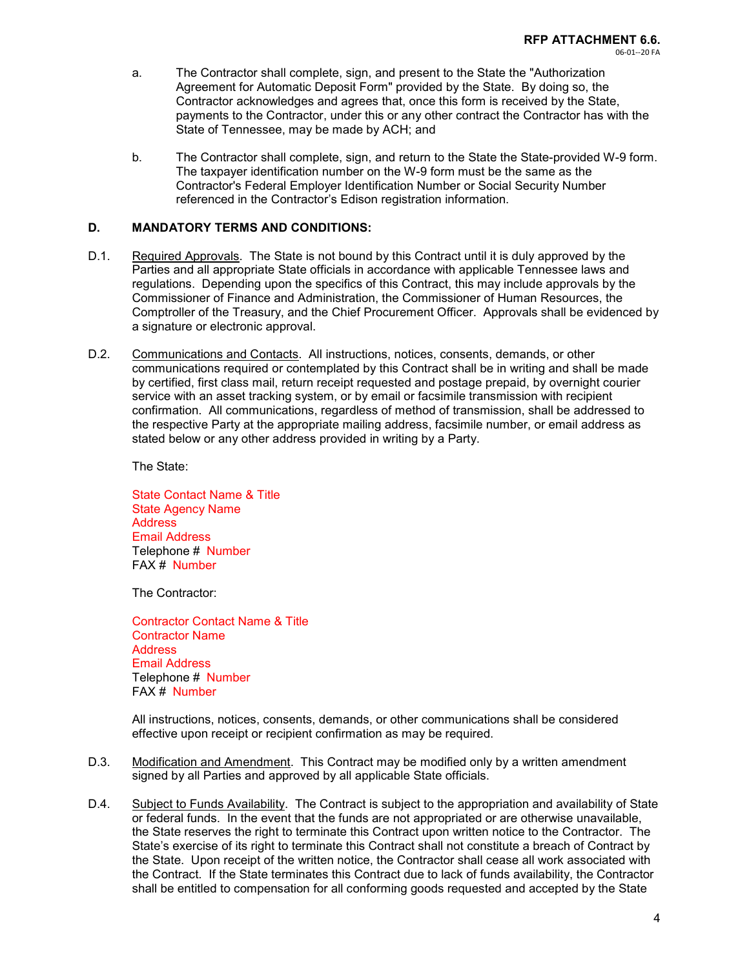- a. The Contractor shall complete, sign, and present to the State the "Authorization Agreement for Automatic Deposit Form" provided by the State. By doing so, the Contractor acknowledges and agrees that, once this form is received by the State, payments to the Contractor, under this or any other contract the Contractor has with the State of Tennessee, may be made by ACH; and
	- b. The Contractor shall complete, sign, and return to the State the State-provided W-9 form. The taxpayer identification number on the W-9 form must be the same as the Contractor's Federal Employer Identification Number or Social Security Number referenced in the Contractor's Edison registration information.

### **D. MANDATORY TERMS AND CONDITIONS:**

- D.1. Required Approvals. The State is not bound by this Contract until it is duly approved by the Parties and all appropriate State officials in accordance with applicable Tennessee laws and regulations. Depending upon the specifics of this Contract, this may include approvals by the Commissioner of Finance and Administration, the Commissioner of Human Resources, the Comptroller of the Treasury, and the Chief Procurement Officer. Approvals shall be evidenced by a signature or electronic approval.
- D.2. Communications and Contacts. All instructions, notices, consents, demands, or other communications required or contemplated by this Contract shall be in writing and shall be made by certified, first class mail, return receipt requested and postage prepaid, by overnight courier service with an asset tracking system, or by email or facsimile transmission with recipient confirmation. All communications, regardless of method of transmission, shall be addressed to the respective Party at the appropriate mailing address, facsimile number, or email address as stated below or any other address provided in writing by a Party.

The State:

State Contact Name & Title State Agency Name **Address** Email Address Telephone # Number FAX # Number

The Contractor:

Contractor Contact Name & Title Contractor Name **Address** Email Address Telephone # Number FAX # Number

All instructions, notices, consents, demands, or other communications shall be considered effective upon receipt or recipient confirmation as may be required.

- D.3. Modification and Amendment. This Contract may be modified only by a written amendment signed by all Parties and approved by all applicable State officials.
- D.4. Subject to Funds Availability. The Contract is subject to the appropriation and availability of State or federal funds. In the event that the funds are not appropriated or are otherwise unavailable, the State reserves the right to terminate this Contract upon written notice to the Contractor. The State's exercise of its right to terminate this Contract shall not constitute a breach of Contract by the State. Upon receipt of the written notice, the Contractor shall cease all work associated with the Contract. If the State terminates this Contract due to lack of funds availability, the Contractor shall be entitled to compensation for all conforming goods requested and accepted by the State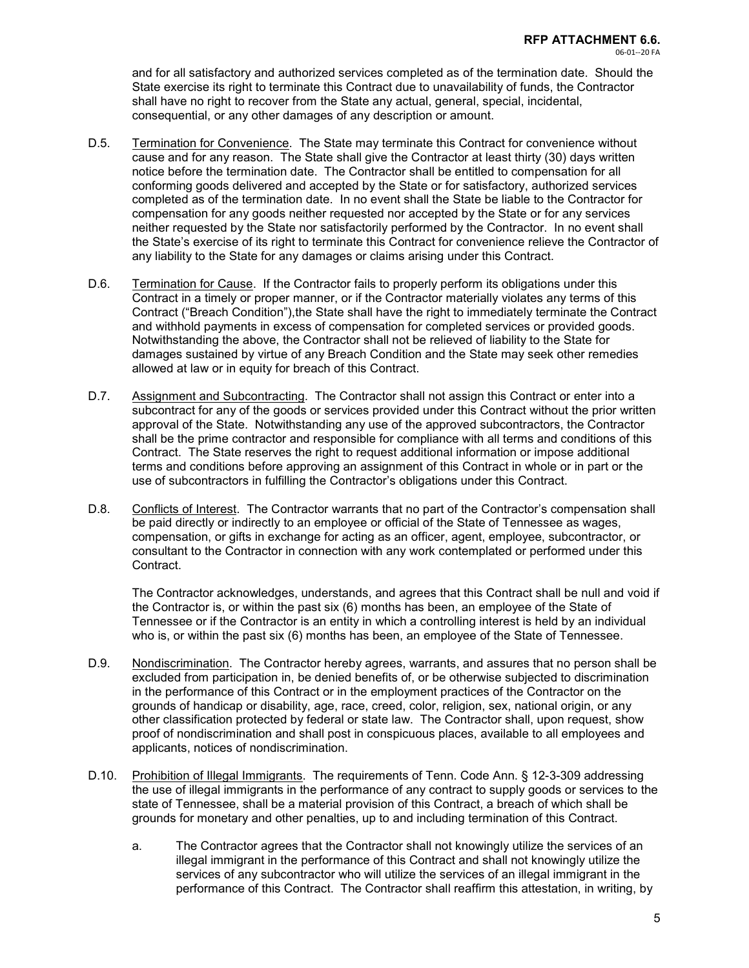and for all satisfactory and authorized services completed as of the termination date. Should the State exercise its right to terminate this Contract due to unavailability of funds, the Contractor shall have no right to recover from the State any actual, general, special, incidental, consequential, or any other damages of any description or amount.

- D.5. Termination for Convenience. The State may terminate this Contract for convenience without cause and for any reason. The State shall give the Contractor at least thirty (30) days written notice before the termination date. The Contractor shall be entitled to compensation for all conforming goods delivered and accepted by the State or for satisfactory, authorized services completed as of the termination date. In no event shall the State be liable to the Contractor for compensation for any goods neither requested nor accepted by the State or for any services neither requested by the State nor satisfactorily performed by the Contractor. In no event shall the State's exercise of its right to terminate this Contract for convenience relieve the Contractor of any liability to the State for any damages or claims arising under this Contract.
- D.6. Termination for Cause. If the Contractor fails to properly perform its obligations under this Contract in a timely or proper manner, or if the Contractor materially violates any terms of this Contract ("Breach Condition"),the State shall have the right to immediately terminate the Contract and withhold payments in excess of compensation for completed services or provided goods. Notwithstanding the above, the Contractor shall not be relieved of liability to the State for damages sustained by virtue of any Breach Condition and the State may seek other remedies allowed at law or in equity for breach of this Contract.
- D.7. Assignment and Subcontracting. The Contractor shall not assign this Contract or enter into a subcontract for any of the goods or services provided under this Contract without the prior written approval of the State. Notwithstanding any use of the approved subcontractors, the Contractor shall be the prime contractor and responsible for compliance with all terms and conditions of this Contract. The State reserves the right to request additional information or impose additional terms and conditions before approving an assignment of this Contract in whole or in part or the use of subcontractors in fulfilling the Contractor's obligations under this Contract.
- D.8. Conflicts of Interest. The Contractor warrants that no part of the Contractor's compensation shall be paid directly or indirectly to an employee or official of the State of Tennessee as wages, compensation, or gifts in exchange for acting as an officer, agent, employee, subcontractor, or consultant to the Contractor in connection with any work contemplated or performed under this Contract.

The Contractor acknowledges, understands, and agrees that this Contract shall be null and void if the Contractor is, or within the past six (6) months has been, an employee of the State of Tennessee or if the Contractor is an entity in which a controlling interest is held by an individual who is, or within the past six (6) months has been, an employee of the State of Tennessee.

- D.9. Nondiscrimination. The Contractor hereby agrees, warrants, and assures that no person shall be excluded from participation in, be denied benefits of, or be otherwise subjected to discrimination in the performance of this Contract or in the employment practices of the Contractor on the grounds of handicap or disability, age, race, creed, color, religion, sex, national origin, or any other classification protected by federal or state law. The Contractor shall, upon request, show proof of nondiscrimination and shall post in conspicuous places, available to all employees and applicants, notices of nondiscrimination.
- D.10. Prohibition of Illegal Immigrants. The requirements of Tenn. Code Ann. § 12-3-309 addressing the use of illegal immigrants in the performance of any contract to supply goods or services to the state of Tennessee, shall be a material provision of this Contract, a breach of which shall be grounds for monetary and other penalties, up to and including termination of this Contract.
	- a. The Contractor agrees that the Contractor shall not knowingly utilize the services of an illegal immigrant in the performance of this Contract and shall not knowingly utilize the services of any subcontractor who will utilize the services of an illegal immigrant in the performance of this Contract. The Contractor shall reaffirm this attestation, in writing, by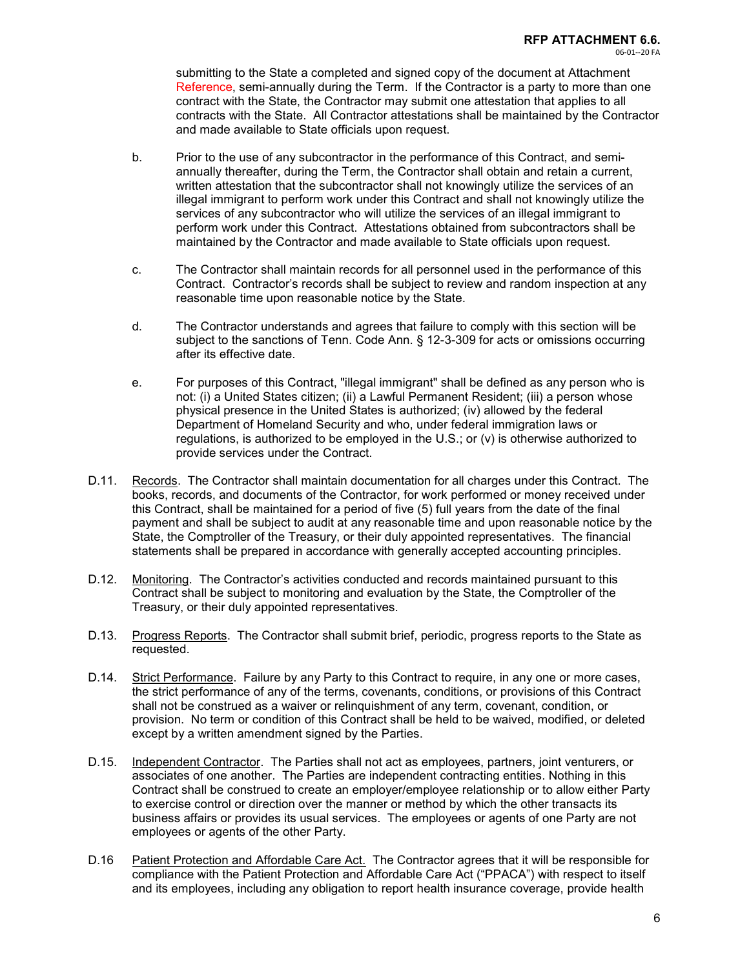submitting to the State a completed and signed copy of the document at Attachment Reference, semi-annually during the Term. If the Contractor is a party to more than one contract with the State, the Contractor may submit one attestation that applies to all contracts with the State. All Contractor attestations shall be maintained by the Contractor and made available to State officials upon request.

- b. Prior to the use of any subcontractor in the performance of this Contract, and semiannually thereafter, during the Term, the Contractor shall obtain and retain a current, written attestation that the subcontractor shall not knowingly utilize the services of an illegal immigrant to perform work under this Contract and shall not knowingly utilize the services of any subcontractor who will utilize the services of an illegal immigrant to perform work under this Contract. Attestations obtained from subcontractors shall be maintained by the Contractor and made available to State officials upon request.
- c. The Contractor shall maintain records for all personnel used in the performance of this Contract. Contractor's records shall be subject to review and random inspection at any reasonable time upon reasonable notice by the State.
- d. The Contractor understands and agrees that failure to comply with this section will be subject to the sanctions of Tenn. Code Ann. § 12-3-309 for acts or omissions occurring after its effective date.
- e. For purposes of this Contract, "illegal immigrant" shall be defined as any person who is not: (i) a United States citizen; (ii) a Lawful Permanent Resident; (iii) a person whose physical presence in the United States is authorized; (iv) allowed by the federal Department of Homeland Security and who, under federal immigration laws or regulations, is authorized to be employed in the U.S.; or (v) is otherwise authorized to provide services under the Contract.
- D.11. Records. The Contractor shall maintain documentation for all charges under this Contract. The books, records, and documents of the Contractor, for work performed or money received under this Contract, shall be maintained for a period of five (5) full years from the date of the final payment and shall be subject to audit at any reasonable time and upon reasonable notice by the State, the Comptroller of the Treasury, or their duly appointed representatives. The financial statements shall be prepared in accordance with generally accepted accounting principles.
- D.12. Monitoring. The Contractor's activities conducted and records maintained pursuant to this Contract shall be subject to monitoring and evaluation by the State, the Comptroller of the Treasury, or their duly appointed representatives.
- D.13. Progress Reports. The Contractor shall submit brief, periodic, progress reports to the State as requested.
- D.14. Strict Performance. Failure by any Party to this Contract to require, in any one or more cases, the strict performance of any of the terms, covenants, conditions, or provisions of this Contract shall not be construed as a waiver or relinquishment of any term, covenant, condition, or provision. No term or condition of this Contract shall be held to be waived, modified, or deleted except by a written amendment signed by the Parties.
- D.15. Independent Contractor. The Parties shall not act as employees, partners, joint venturers, or associates of one another. The Parties are independent contracting entities. Nothing in this Contract shall be construed to create an employer/employee relationship or to allow either Party to exercise control or direction over the manner or method by which the other transacts its business affairs or provides its usual services. The employees or agents of one Party are not employees or agents of the other Party.
- D.16 Patient Protection and Affordable Care Act. The Contractor agrees that it will be responsible for compliance with the Patient Protection and Affordable Care Act ("PPACA") with respect to itself and its employees, including any obligation to report health insurance coverage, provide health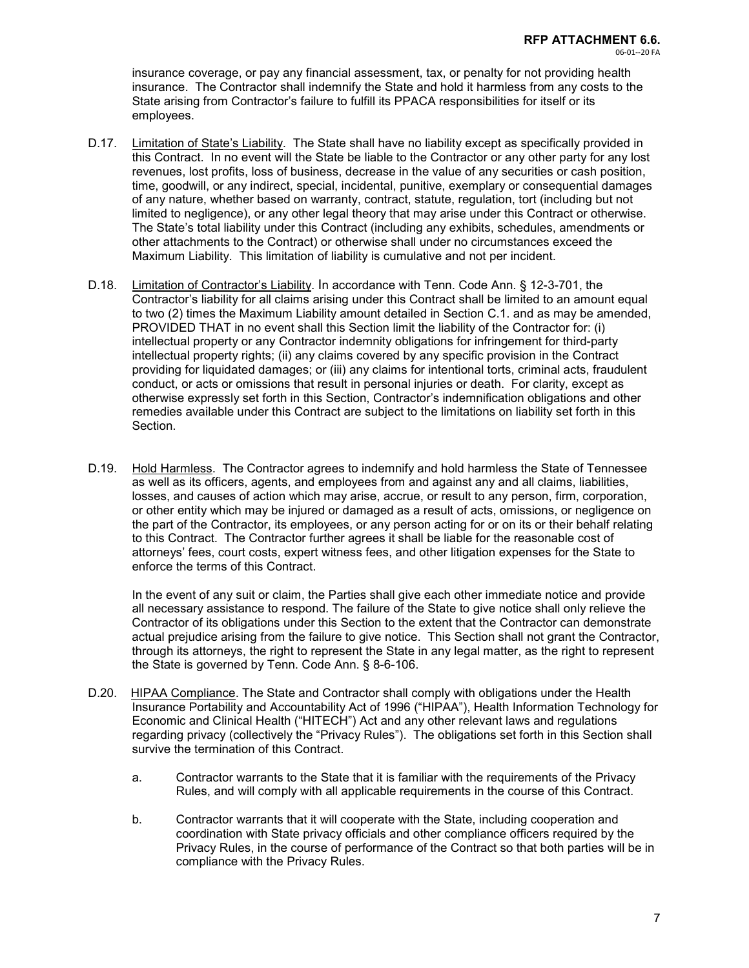insurance coverage, or pay any financial assessment, tax, or penalty for not providing health insurance. The Contractor shall indemnify the State and hold it harmless from any costs to the State arising from Contractor's failure to fulfill its PPACA responsibilities for itself or its employees.

- D.17. Limitation of State's Liability. The State shall have no liability except as specifically provided in this Contract. In no event will the State be liable to the Contractor or any other party for any lost revenues, lost profits, loss of business, decrease in the value of any securities or cash position, time, goodwill, or any indirect, special, incidental, punitive, exemplary or consequential damages of any nature, whether based on warranty, contract, statute, regulation, tort (including but not limited to negligence), or any other legal theory that may arise under this Contract or otherwise. The State's total liability under this Contract (including any exhibits, schedules, amendments or other attachments to the Contract) or otherwise shall under no circumstances exceed the Maximum Liability. This limitation of liability is cumulative and not per incident.
- D.18. Limitation of Contractor's Liability. In accordance with Tenn. Code Ann. § 12-3-701, the Contractor's liability for all claims arising under this Contract shall be limited to an amount equal to two (2) times the Maximum Liability amount detailed in Section C.1. and as may be amended, PROVIDED THAT in no event shall this Section limit the liability of the Contractor for: (i) intellectual property or any Contractor indemnity obligations for infringement for third-party intellectual property rights; (ii) any claims covered by any specific provision in the Contract providing for liquidated damages; or (iii) any claims for intentional torts, criminal acts, fraudulent conduct, or acts or omissions that result in personal injuries or death. For clarity, except as otherwise expressly set forth in this Section, Contractor's indemnification obligations and other remedies available under this Contract are subject to the limitations on liability set forth in this Section.
- D.19. Hold Harmless. The Contractor agrees to indemnify and hold harmless the State of Tennessee as well as its officers, agents, and employees from and against any and all claims, liabilities, losses, and causes of action which may arise, accrue, or result to any person, firm, corporation, or other entity which may be injured or damaged as a result of acts, omissions, or negligence on the part of the Contractor, its employees, or any person acting for or on its or their behalf relating to this Contract. The Contractor further agrees it shall be liable for the reasonable cost of attorneys' fees, court costs, expert witness fees, and other litigation expenses for the State to enforce the terms of this Contract.

In the event of any suit or claim, the Parties shall give each other immediate notice and provide all necessary assistance to respond. The failure of the State to give notice shall only relieve the Contractor of its obligations under this Section to the extent that the Contractor can demonstrate actual prejudice arising from the failure to give notice. This Section shall not grant the Contractor, through its attorneys, the right to represent the State in any legal matter, as the right to represent the State is governed by Tenn. Code Ann. § 8-6-106.

- D.20. HIPAA Compliance. The State and Contractor shall comply with obligations under the Health Insurance Portability and Accountability Act of 1996 ("HIPAA"), Health Information Technology for Economic and Clinical Health ("HITECH") Act and any other relevant laws and regulations regarding privacy (collectively the "Privacy Rules"). The obligations set forth in this Section shall survive the termination of this Contract.
	- a. Contractor warrants to the State that it is familiar with the requirements of the Privacy Rules, and will comply with all applicable requirements in the course of this Contract.
	- b. Contractor warrants that it will cooperate with the State, including cooperation and coordination with State privacy officials and other compliance officers required by the Privacy Rules, in the course of performance of the Contract so that both parties will be in compliance with the Privacy Rules.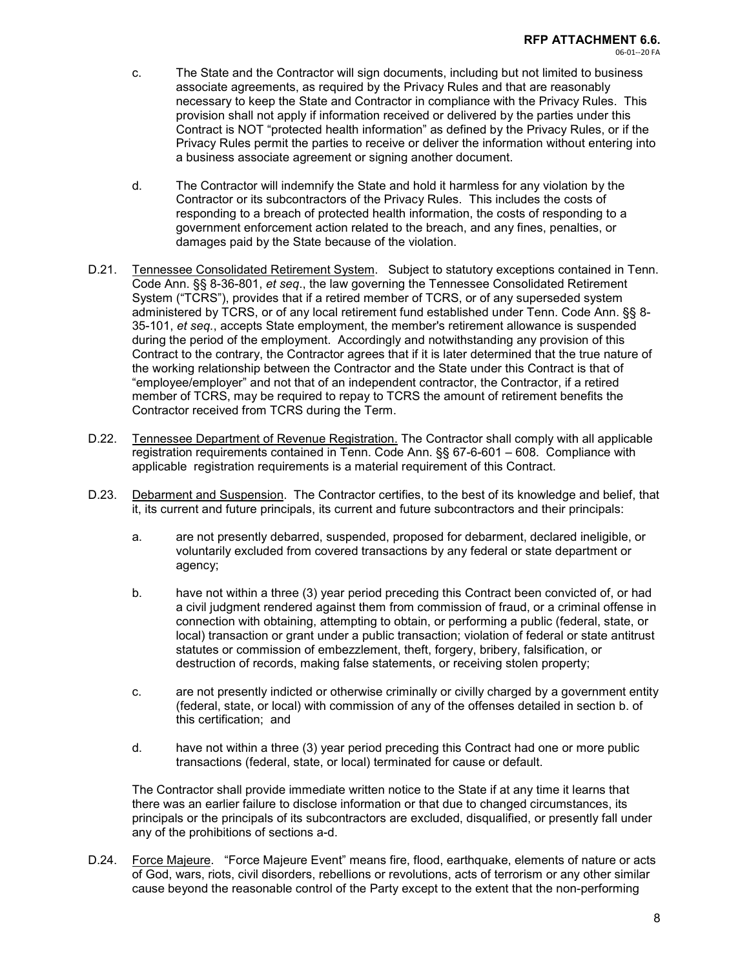- c. The State and the Contractor will sign documents, including but not limited to business associate agreements, as required by the Privacy Rules and that are reasonably necessary to keep the State and Contractor in compliance with the Privacy Rules. This provision shall not apply if information received or delivered by the parties under this Contract is NOT "protected health information" as defined by the Privacy Rules, or if the Privacy Rules permit the parties to receive or deliver the information without entering into a business associate agreement or signing another document.
- d. The Contractor will indemnify the State and hold it harmless for any violation by the Contractor or its subcontractors of the Privacy Rules. This includes the costs of responding to a breach of protected health information, the costs of responding to a government enforcement action related to the breach, and any fines, penalties, or damages paid by the State because of the violation.
- D.21. Tennessee Consolidated Retirement System. Subject to statutory exceptions contained in Tenn. Code Ann. §§ 8-36-801, *et seq*., the law governing the Tennessee Consolidated Retirement System ("TCRS"), provides that if a retired member of TCRS, or of any superseded system administered by TCRS, or of any local retirement fund established under Tenn. Code Ann. §§ 8- 35-101, *et seq.*, accepts State employment, the member's retirement allowance is suspended during the period of the employment. Accordingly and notwithstanding any provision of this Contract to the contrary, the Contractor agrees that if it is later determined that the true nature of the working relationship between the Contractor and the State under this Contract is that of "employee/employer" and not that of an independent contractor, the Contractor, if a retired member of TCRS, may be required to repay to TCRS the amount of retirement benefits the Contractor received from TCRS during the Term.
- D.22. Tennessee Department of Revenue Registration. The Contractor shall comply with all applicable registration requirements contained in Tenn. Code Ann. §§ 67-6-601 – 608. Compliance with applicable registration requirements is a material requirement of this Contract.
- D.23. Debarment and Suspension. The Contractor certifies, to the best of its knowledge and belief, that it, its current and future principals, its current and future subcontractors and their principals:
	- a. are not presently debarred, suspended, proposed for debarment, declared ineligible, or voluntarily excluded from covered transactions by any federal or state department or agency;
	- b. have not within a three (3) year period preceding this Contract been convicted of, or had a civil judgment rendered against them from commission of fraud, or a criminal offense in connection with obtaining, attempting to obtain, or performing a public (federal, state, or local) transaction or grant under a public transaction; violation of federal or state antitrust statutes or commission of embezzlement, theft, forgery, bribery, falsification, or destruction of records, making false statements, or receiving stolen property;
	- c. are not presently indicted or otherwise criminally or civilly charged by a government entity (federal, state, or local) with commission of any of the offenses detailed in section b. of this certification; and
	- d. have not within a three (3) year period preceding this Contract had one or more public transactions (federal, state, or local) terminated for cause or default.

The Contractor shall provide immediate written notice to the State if at any time it learns that there was an earlier failure to disclose information or that due to changed circumstances, its principals or the principals of its subcontractors are excluded, disqualified, or presently fall under any of the prohibitions of sections a-d.

D.24. Force Majeure. "Force Majeure Event" means fire, flood, earthquake, elements of nature or acts of God, wars, riots, civil disorders, rebellions or revolutions, acts of terrorism or any other similar cause beyond the reasonable control of the Party except to the extent that the non-performing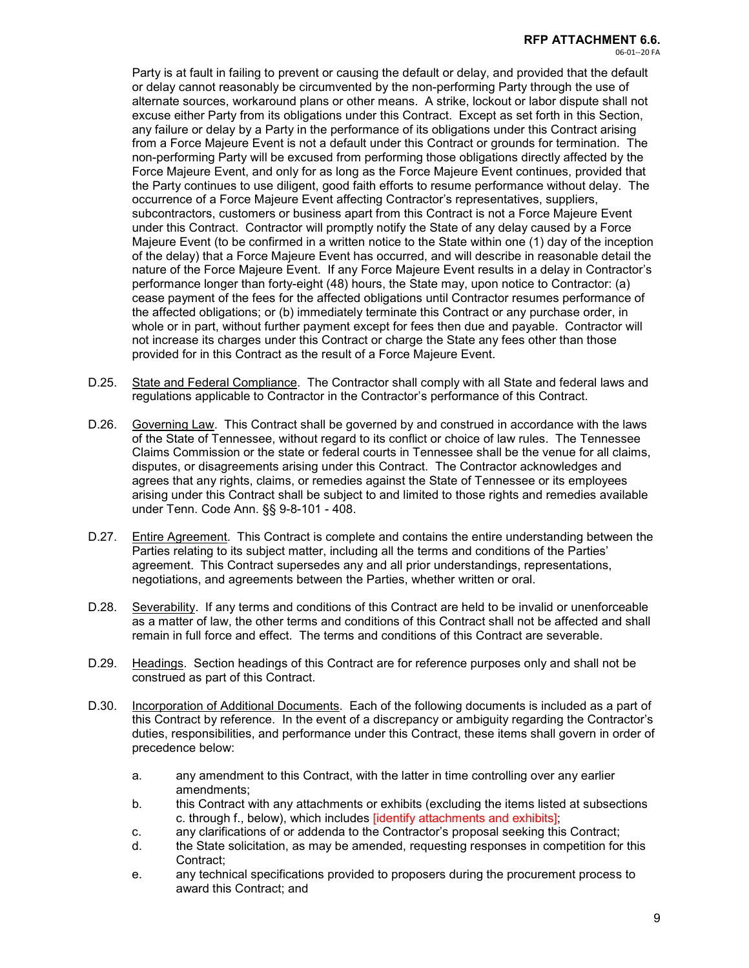Party is at fault in failing to prevent or causing the default or delay, and provided that the default or delay cannot reasonably be circumvented by the non-performing Party through the use of alternate sources, workaround plans or other means. A strike, lockout or labor dispute shall not excuse either Party from its obligations under this Contract. Except as set forth in this Section, any failure or delay by a Party in the performance of its obligations under this Contract arising from a Force Majeure Event is not a default under this Contract or grounds for termination. The non-performing Party will be excused from performing those obligations directly affected by the Force Majeure Event, and only for as long as the Force Majeure Event continues, provided that the Party continues to use diligent, good faith efforts to resume performance without delay. The occurrence of a Force Majeure Event affecting Contractor's representatives, suppliers, subcontractors, customers or business apart from this Contract is not a Force Majeure Event under this Contract. Contractor will promptly notify the State of any delay caused by a Force Majeure Event (to be confirmed in a written notice to the State within one (1) day of the inception of the delay) that a Force Majeure Event has occurred, and will describe in reasonable detail the nature of the Force Majeure Event. If any Force Majeure Event results in a delay in Contractor's performance longer than forty-eight (48) hours, the State may, upon notice to Contractor: (a) cease payment of the fees for the affected obligations until Contractor resumes performance of the affected obligations; or (b) immediately terminate this Contract or any purchase order, in whole or in part, without further payment except for fees then due and payable. Contractor will not increase its charges under this Contract or charge the State any fees other than those provided for in this Contract as the result of a Force Majeure Event.

- D.25. State and Federal Compliance. The Contractor shall comply with all State and federal laws and regulations applicable to Contractor in the Contractor's performance of this Contract.
- D.26. Governing Law. This Contract shall be governed by and construed in accordance with the laws of the State of Tennessee, without regard to its conflict or choice of law rules. The Tennessee Claims Commission or the state or federal courts in Tennessee shall be the venue for all claims, disputes, or disagreements arising under this Contract. The Contractor acknowledges and agrees that any rights, claims, or remedies against the State of Tennessee or its employees arising under this Contract shall be subject to and limited to those rights and remedies available under Tenn. Code Ann. §§ 9-8-101 - 408.
- D.27. Entire Agreement. This Contract is complete and contains the entire understanding between the Parties relating to its subject matter, including all the terms and conditions of the Parties' agreement. This Contract supersedes any and all prior understandings, representations, negotiations, and agreements between the Parties, whether written or oral.
- D.28. Severability. If any terms and conditions of this Contract are held to be invalid or unenforceable as a matter of law, the other terms and conditions of this Contract shall not be affected and shall remain in full force and effect. The terms and conditions of this Contract are severable.
- D.29. Headings. Section headings of this Contract are for reference purposes only and shall not be construed as part of this Contract.
- D.30. Incorporation of Additional Documents. Each of the following documents is included as a part of this Contract by reference. In the event of a discrepancy or ambiguity regarding the Contractor's duties, responsibilities, and performance under this Contract, these items shall govern in order of precedence below:
	- a. any amendment to this Contract, with the latter in time controlling over any earlier amendments;
	- b. this Contract with any attachments or exhibits (excluding the items listed at subsections c. through f., below), which includes [identify attachments and exhibits];
	- c. any clarifications of or addenda to the Contractor's proposal seeking this Contract;
	- d. the State solicitation, as may be amended, requesting responses in competition for this Contract;
	- e. any technical specifications provided to proposers during the procurement process to award this Contract; and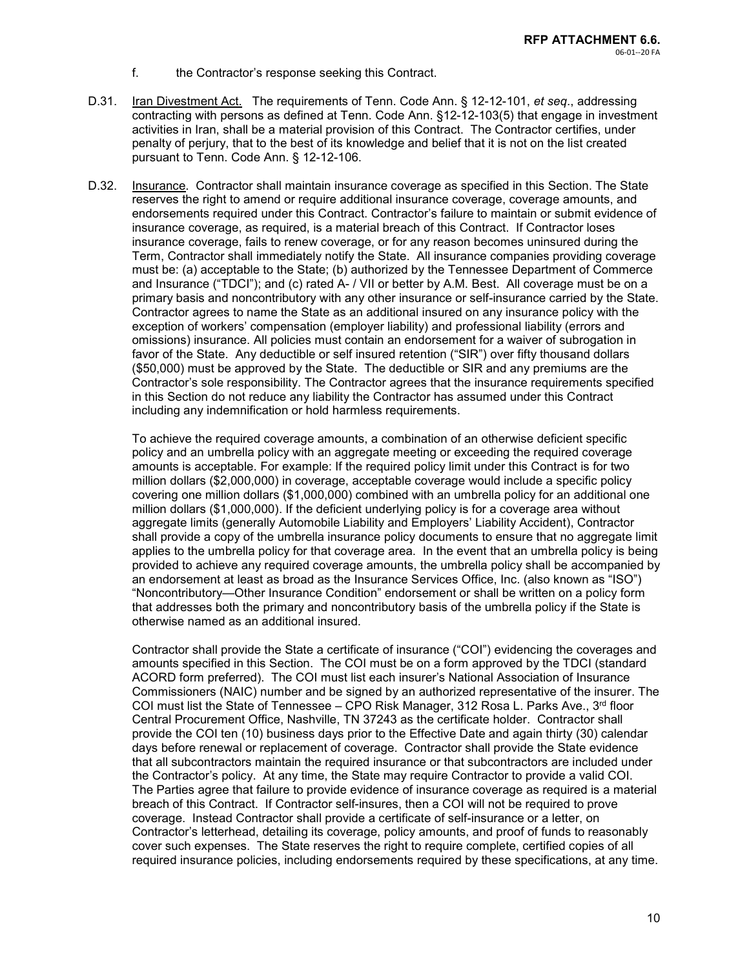- f. the Contractor's response seeking this Contract.
- D.31. Iran Divestment Act. The requirements of Tenn. Code Ann. § 12-12-101, *et seq*., addressing contracting with persons as defined at Tenn. Code Ann. §12-12-103(5) that engage in investment activities in Iran, shall be a material provision of this Contract. The Contractor certifies, under penalty of perjury, that to the best of its knowledge and belief that it is not on the list created pursuant to Tenn. Code Ann. § 12-12-106.
- D.32. Insurance. Contractor shall maintain insurance coverage as specified in this Section. The State reserves the right to amend or require additional insurance coverage, coverage amounts, and endorsements required under this Contract. Contractor's failure to maintain or submit evidence of insurance coverage, as required, is a material breach of this Contract. If Contractor loses insurance coverage, fails to renew coverage, or for any reason becomes uninsured during the Term, Contractor shall immediately notify the State. All insurance companies providing coverage must be: (a) acceptable to the State; (b) authorized by the Tennessee Department of Commerce and Insurance ("TDCI"); and (c) rated A- / VII or better by A.M. Best. All coverage must be on a primary basis and noncontributory with any other insurance or self-insurance carried by the State. Contractor agrees to name the State as an additional insured on any insurance policy with the exception of workers' compensation (employer liability) and professional liability (errors and omissions) insurance. All policies must contain an endorsement for a waiver of subrogation in favor of the State. Any deductible or self insured retention ("SIR") over fifty thousand dollars (\$50,000) must be approved by the State. The deductible or SIR and any premiums are the Contractor's sole responsibility. The Contractor agrees that the insurance requirements specified in this Section do not reduce any liability the Contractor has assumed under this Contract including any indemnification or hold harmless requirements.

To achieve the required coverage amounts, a combination of an otherwise deficient specific policy and an umbrella policy with an aggregate meeting or exceeding the required coverage amounts is acceptable. For example: If the required policy limit under this Contract is for two million dollars (\$2,000,000) in coverage, acceptable coverage would include a specific policy covering one million dollars (\$1,000,000) combined with an umbrella policy for an additional one million dollars (\$1,000,000). If the deficient underlying policy is for a coverage area without aggregate limits (generally Automobile Liability and Employers' Liability Accident), Contractor shall provide a copy of the umbrella insurance policy documents to ensure that no aggregate limit applies to the umbrella policy for that coverage area. In the event that an umbrella policy is being provided to achieve any required coverage amounts, the umbrella policy shall be accompanied by an endorsement at least as broad as the Insurance Services Office, Inc. (also known as "ISO") "Noncontributory—Other Insurance Condition" endorsement or shall be written on a policy form that addresses both the primary and noncontributory basis of the umbrella policy if the State is otherwise named as an additional insured.

Contractor shall provide the State a certificate of insurance ("COI") evidencing the coverages and amounts specified in this Section. The COI must be on a form approved by the TDCI (standard ACORD form preferred). The COI must list each insurer's National Association of Insurance Commissioners (NAIC) number and be signed by an authorized representative of the insurer. The COI must list the State of Tennessee – CPO Risk Manager, 312 Rosa L. Parks Ave.,  $3<sup>rd</sup>$  floor Central Procurement Office, Nashville, TN 37243 as the certificate holder. Contractor shall provide the COI ten (10) business days prior to the Effective Date and again thirty (30) calendar days before renewal or replacement of coverage. Contractor shall provide the State evidence that all subcontractors maintain the required insurance or that subcontractors are included under the Contractor's policy. At any time, the State may require Contractor to provide a valid COI. The Parties agree that failure to provide evidence of insurance coverage as required is a material breach of this Contract. If Contractor self-insures, then a COI will not be required to prove coverage. Instead Contractor shall provide a certificate of self-insurance or a letter, on Contractor's letterhead, detailing its coverage, policy amounts, and proof of funds to reasonably cover such expenses. The State reserves the right to require complete, certified copies of all required insurance policies, including endorsements required by these specifications, at any time.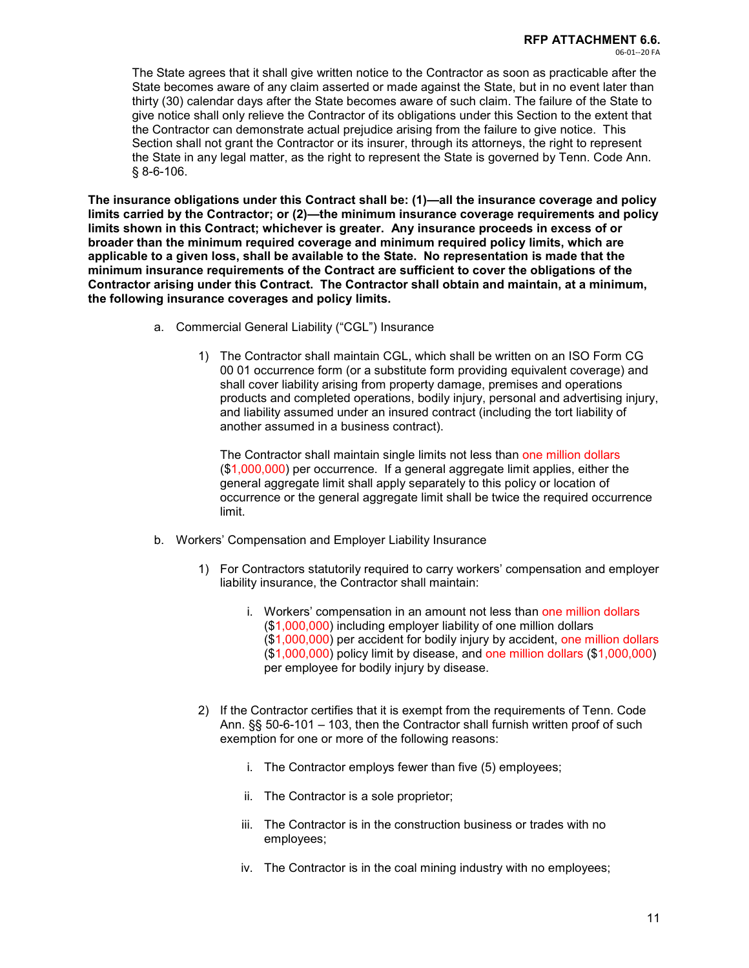The State agrees that it shall give written notice to the Contractor as soon as practicable after the State becomes aware of any claim asserted or made against the State, but in no event later than thirty (30) calendar days after the State becomes aware of such claim. The failure of the State to give notice shall only relieve the Contractor of its obligations under this Section to the extent that the Contractor can demonstrate actual prejudice arising from the failure to give notice. This Section shall not grant the Contractor or its insurer, through its attorneys, the right to represent the State in any legal matter, as the right to represent the State is governed by Tenn. Code Ann. § 8-6-106.

**The insurance obligations under this Contract shall be: (1)—all the insurance coverage and policy limits carried by the Contractor; or (2)—the minimum insurance coverage requirements and policy limits shown in this Contract; whichever is greater. Any insurance proceeds in excess of or broader than the minimum required coverage and minimum required policy limits, which are applicable to a given loss, shall be available to the State. No representation is made that the minimum insurance requirements of the Contract are sufficient to cover the obligations of the Contractor arising under this Contract. The Contractor shall obtain and maintain, at a minimum, the following insurance coverages and policy limits.**

- a. Commercial General Liability ("CGL") Insurance
	- 1) The Contractor shall maintain CGL, which shall be written on an ISO Form CG 00 01 occurrence form (or a substitute form providing equivalent coverage) and shall cover liability arising from property damage, premises and operations products and completed operations, bodily injury, personal and advertising injury, and liability assumed under an insured contract (including the tort liability of another assumed in a business contract).

The Contractor shall maintain single limits not less than one million dollars (\$1,000,000) per occurrence. If a general aggregate limit applies, either the general aggregate limit shall apply separately to this policy or location of occurrence or the general aggregate limit shall be twice the required occurrence limit.

- b. Workers' Compensation and Employer Liability Insurance
	- 1) For Contractors statutorily required to carry workers' compensation and employer liability insurance, the Contractor shall maintain:
		- i. Workers' compensation in an amount not less than one million dollars (\$1,000,000) including employer liability of one million dollars (\$1,000,000) per accident for bodily injury by accident, one million dollars (\$1,000,000) policy limit by disease, and one million dollars (\$1,000,000) per employee for bodily injury by disease.
	- 2) If the Contractor certifies that it is exempt from the requirements of Tenn. Code Ann. §§ 50-6-101 – 103, then the Contractor shall furnish written proof of such exemption for one or more of the following reasons:
		- i. The Contractor employs fewer than five (5) employees;
		- ii. The Contractor is a sole proprietor;
		- iii. The Contractor is in the construction business or trades with no employees;
		- iv. The Contractor is in the coal mining industry with no employees;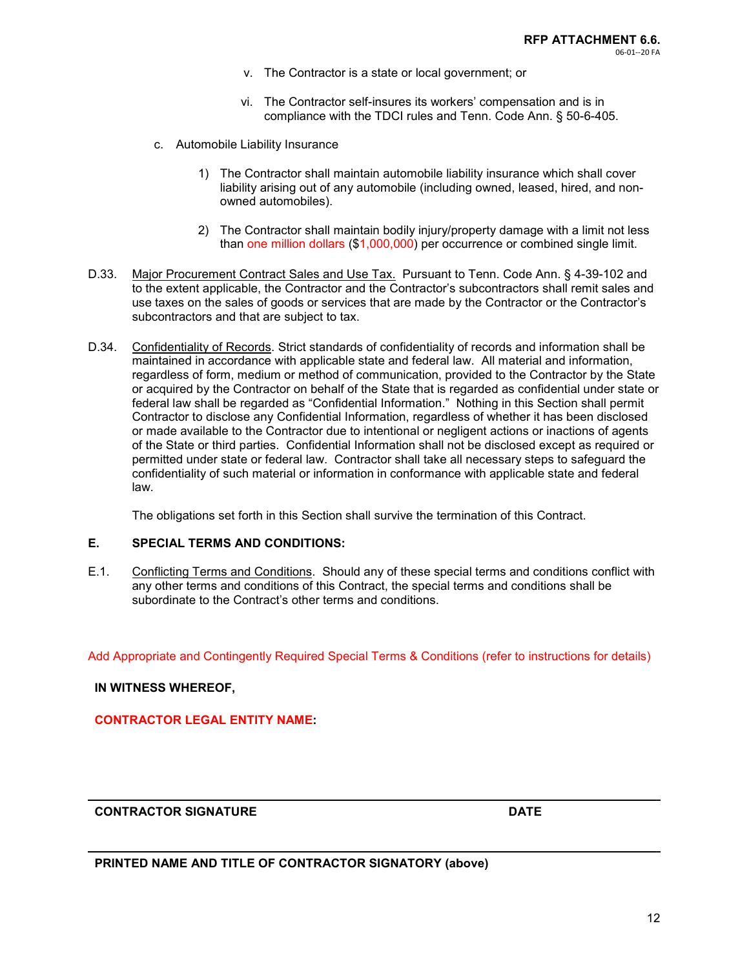- v. The Contractor is a state or local government; or
- vi. The Contractor self-insures its workers' compensation and is in compliance with the TDCI rules and Tenn. Code Ann. § 50-6-405.
- c. Automobile Liability Insurance
	- 1) The Contractor shall maintain automobile liability insurance which shall cover liability arising out of any automobile (including owned, leased, hired, and nonowned automobiles).
	- 2) The Contractor shall maintain bodily injury/property damage with a limit not less than one million dollars (\$1,000,000) per occurrence or combined single limit.
- D.33. Major Procurement Contract Sales and Use Tax. Pursuant to Tenn. Code Ann. § 4-39-102 and to the extent applicable, the Contractor and the Contractor's subcontractors shall remit sales and use taxes on the sales of goods or services that are made by the Contractor or the Contractor's subcontractors and that are subject to tax.
- D.34. Confidentiality of Records. Strict standards of confidentiality of records and information shall be maintained in accordance with applicable state and federal law. All material and information, regardless of form, medium or method of communication, provided to the Contractor by the State or acquired by the Contractor on behalf of the State that is regarded as confidential under state or federal law shall be regarded as "Confidential Information." Nothing in this Section shall permit Contractor to disclose any Confidential Information, regardless of whether it has been disclosed or made available to the Contractor due to intentional or negligent actions or inactions of agents of the State or third parties. Confidential Information shall not be disclosed except as required or permitted under state or federal law. Contractor shall take all necessary steps to safeguard the confidentiality of such material or information in conformance with applicable state and federal law.

The obligations set forth in this Section shall survive the termination of this Contract.

#### **E. SPECIAL TERMS AND CONDITIONS:**

E.1. Conflicting Terms and Conditions. Should any of these special terms and conditions conflict with any other terms and conditions of this Contract, the special terms and conditions shall be subordinate to the Contract's other terms and conditions.

Add Appropriate and Contingently Required Special Terms & Conditions (refer to instructions for details)

#### **IN WITNESS WHEREOF,**

#### **CONTRACTOR LEGAL ENTITY NAME:**

#### **CONTRACTOR SIGNATURE DATE**

#### **PRINTED NAME AND TITLE OF CONTRACTOR SIGNATORY (above)**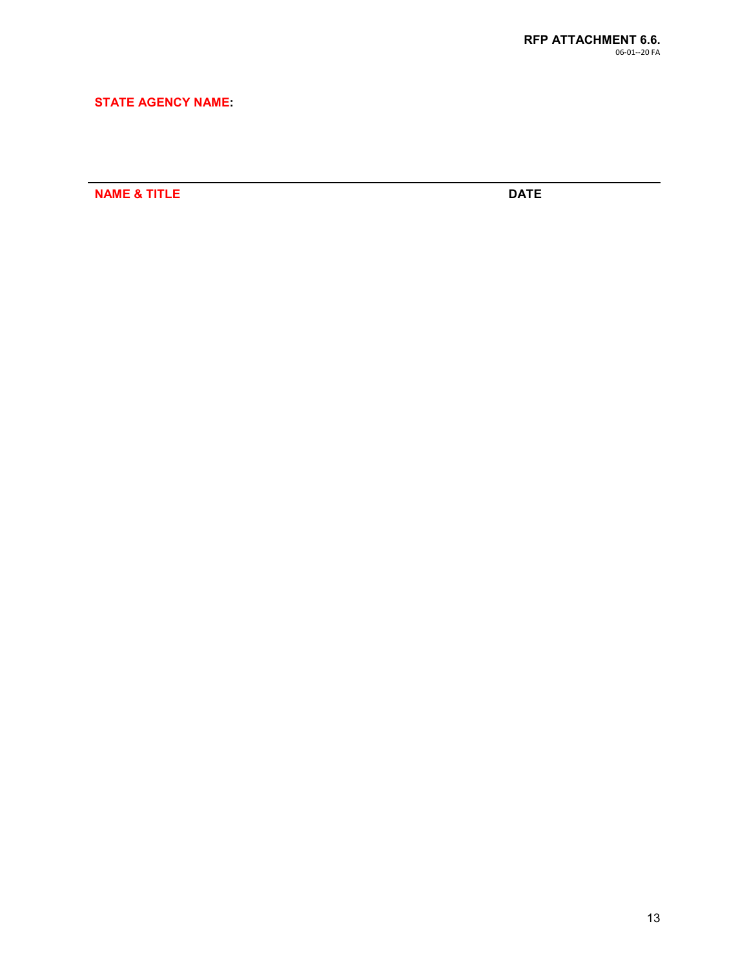# **STATE AGENCY NAME:**

**NAME & TITLE** DATE